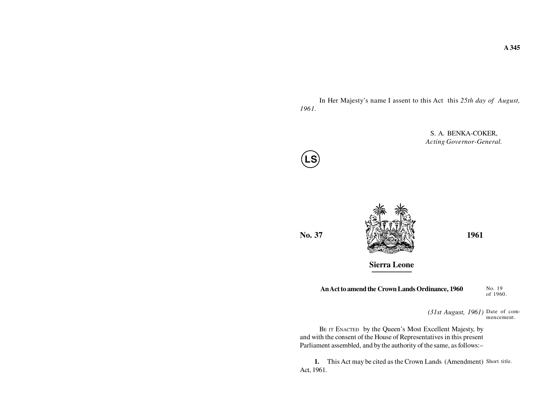In Her Majesty's name I assent to this Act this *25th day of August, 1961.*

> S. A. BENKA-COKER,*Acting Governor-General.*



**No. 37**



**Sierra Leone**

**An Act to amend the Crown Lands Ordinance, 1960**

No. 19of 1960.

*(31st August, 1961)* Date of commencement.

BE IT ENACTED by the Queen's Most Excellent Majesty, by and with the consent of the House of Representatives in this presentParliament assembled, and by the authority of the same, as follows:–

**1.** This Act may be cited as the Crown Lands (Amendment) Short title. Act, 1961.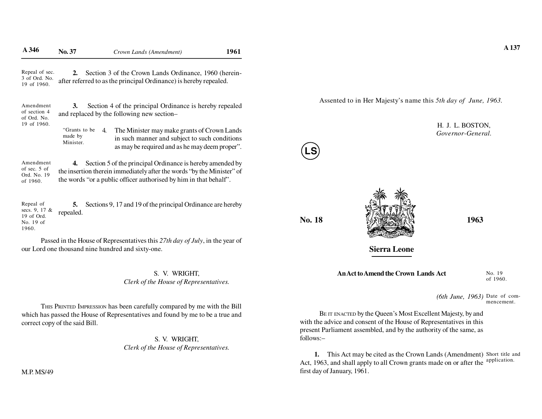| A 346                                                          | No. 37                                | Crown Lands (Amendment)                                                                                                                                                                                  | 1961 |        |                     |                                                        |
|----------------------------------------------------------------|---------------------------------------|----------------------------------------------------------------------------------------------------------------------------------------------------------------------------------------------------------|------|--------|---------------------|--------------------------------------------------------|
| Repeal of sec.<br>3 of Ord. No.<br>19 of 1960.                 |                                       | Section 3 of the Crown Lands Ordinance, 1960 (herein-<br>after referred to as the principal Ordinance) is hereby repealed.                                                                               |      |        |                     |                                                        |
| Amendment<br>of section 4<br>of Ord. No.                       | 3.                                    | Section 4 of the principal Ordinance is hereby repealed<br>and replaced by the following new section-                                                                                                    |      |        |                     | Assented to in Her Majesty's name this 5th day of June |
| 19 of 1960.                                                    | "Grants to be<br>made by<br>Minister. | The Minister may make grants of Crown Lands<br>4.<br>in such manner and subject to such conditions<br>as may be required and as he may deem proper".                                                     |      | LS)    |                     | H. J. L. BOSTC<br>Governor-Gene                        |
| Amendment<br>of sec. 5 of<br>Ord. No. 19<br>of 1960.           | 4.                                    | Section 5 of the principal Ordinance is hereby amended by<br>the insertion therein immediately after the words "by the Minister" of<br>the words "or a public officer authorised by him in that behalf". |      |        |                     |                                                        |
| Repeal of<br>secs. 9, 17 &<br>19 of Ord.<br>No. 19 of<br>1960. | 5.<br>repealed.                       | Sections 9, 17 and 19 of the principal Ordinance are hereby                                                                                                                                              |      | No. 18 |                     | 1963                                                   |
|                                                                |                                       | Passed in the House of Representatives this 27th day of July, in the year of<br>our Lord one thousand nine hundred and sixty-one.                                                                        |      |        | <b>Sierra Leone</b> |                                                        |

S. V. WRIGHT,*Clerk of the House of Representatives.*

THIS PRINTED IMPRESSION has been carefully compared by me with the Bill which has passed the House of Representatives and found by me to be a true andcorrect copy of the said Bill.

> S. V. WRIGHT,*Clerk of the House of Representatives.*

Assented to in Her Majesty's name this *5th day of June, 1963.*



H. J. L. BOSTON,*Governor-General.*

**Sierra Leone**

**An Act to Amend the Crown Lands Act**

No. 19of 1960.

*(6th June, 1963)* Date of commencement.

BE IT ENACTED by the Queen's Most Excellent Majesty, by and with the advice and consent of the House of Representatives in this present Parliament assembled, and by the authority of the same, asfollows:–

**1.** This Act may be cited as the Crown Lands (Amendment) Short title and Act, 1963, and shall apply to all Crown grants made on or after the first day of January, 1961.application.

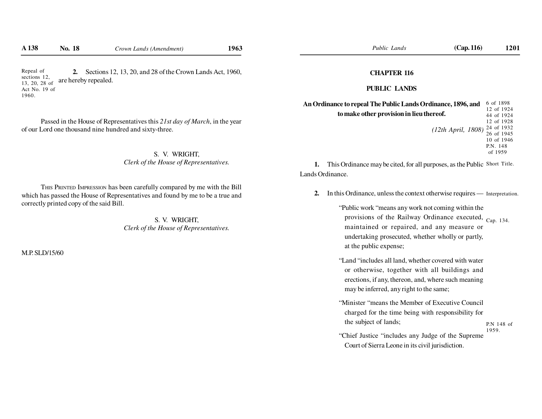**2.** Sections 12, 13, 20, and 28 of the Crown Lands Act, 1960, are hereby repealed.Repeal of sections 12, 13, 20, 28 of Act No. 19 of1960.

Passed in the House of Representatives this *21st day of March*, in the yearof our Lord one thousand nine hundred and sixty-three.

> S. V. WRIGHT,*Clerk of the House of Representatives.*

THIS PRINTED IMPRESSION has been carefully compared by me with the Bill which has passed the House of Representatives and found by me to be a true andcorrectly printed copy of the said Bill.

> S. V. WRIGHT,*Clerk of the House of Representatives.*

M.P. SLD/15/60

#### **CHAPTER 116**

#### **PUBLIC LANDS**

| An Ordinance to repeal The Public Lands Ordinance, 1896, and | 6 of 1898  |
|--------------------------------------------------------------|------------|
|                                                              | 12 of 1924 |
| to make other provision in lieu thereof.                     | 44 of 1924 |
|                                                              | 12 of 1928 |
| (12th April, 1808) $^{24}_{26}$ of 1932                      |            |
|                                                              | 26 of 1945 |
|                                                              | 10 of 1946 |
|                                                              | P.N. 148   |
|                                                              | of 1959    |

**1.** This Ordinance may be cited, for all purposes, as the Public Short Title. Lands Ordinance.

**2.** In this Ordinance, unless the context otherwise requires — Interpretation.

"Public work "means any work not coming within theprovisions of the Railway Ordinance executed, Cap. 134. maintained or repaired, and any measure orundertaking prosecuted, whether wholly or partly,at the public expense;

- "Land "includes all land, whether covered with wateror otherwise, together with all buildings and erections, if any, thereon, and, where such meaningmay be inferred, any right to the same;
- "Minister "means the Member of Executive Councilcharged for the time being with responsibility forthe subject of lands;P.N 148 of1959.
- "Chief Justice "includes any Judge of the SupremeCourt of Sierra Leone in its civil jurisdiction.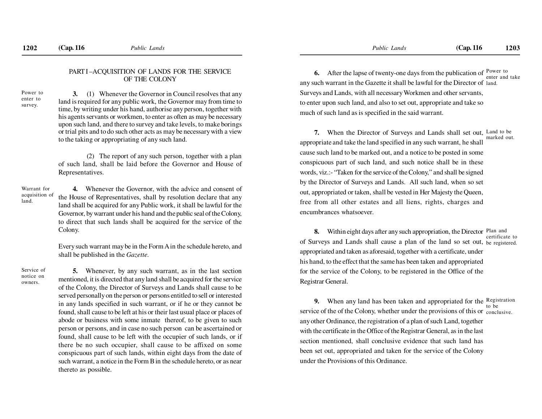#### PART I –ACQUISITION OF LANDS FOR THE SERVICEOF THE COLONY

Power to enter tosurvey.

# **3.** (1) Whenever the Governor in Council resolves that any

 land is required for any public work, the Governor may from time to time, by writing under his hand, authorise any person, together with his agents servants or workmen, to enter as often as may be necessary upon such land, and there to survey and take levels, to make borings or trial pits and to do such other acts as may be necessary with a viewto the taking or appropriating of any such land.

 (2) The report of any such person, together with a plan of such land, shall be laid before the Governor and House ofRepresentatives.

Warrant for acquisition ofland.

**4.** Whenever the Governor, with the advice and consent of the House of Representatives, shall by resolution declare that any land shall be acquired for any Public work, it shall be lawful for the Governor, by warrant under his hand and the public seal of the Colony,to direct that such lands shall be acquired for the service of theColony.

Every such warrant may be in the Form A in the schedule hereto, andshall be published in the *Gazette.*

Service of notice onowners.

**5.** Whenever, by any such warrant, as in the last section mentioned, it is directed that any land shall be acquired for the service of the Colony, the Director of Surveys and Lands shall cause to be served personally on the person or persons entitled to sell or interested in any lands specified in such warrant, or if he or they cannot be found, shall cause to be left at his or their last usual place or places of abode or business with some inmate thereof, to be given to such person or persons, and in case no such person can be ascertained or found, shall cause to be left with the occupier of such lands, or if there be no such occupier, shall cause to be affixed on some conspicuous part of such lands, within eight days from the date of such warrant, a notice in the Form B in the schedule hereto, or as nearthereto as possible.

**6.** After the lapse of twenty-one days from the publication of  $\frac{Power}{inter}$  to any such warrant in the Gazette it shall be lawful for the Director of land. Surveys and Lands, with all necessary Workmen and other servants,to enter upon such land, and also to set out, appropriate and take somuch of such land as is specified in the said warrant.enter and take

**7.** When the Director of Surveys and Lands shall set out, Land to be appropriate and take the land specified in any such warrant, he shallcause such land to be marked out, and a notice to be posted in someconspicuous part of such land, and such notice shall be in thesewords, viz.:- "Taken for the service of the Colony," and shall be signed by the Director of Surveys and Lands. All such land, when so setout, appropriated or taken, shall be vested in Her Majesty the Queen,free from all other estates and all liens, rights, charges andencumbrances whatsoever.marked out.

**8.** Within eight days after any such appropriation, the Director Plan and of Surveys and Lands shall cause a plan of the land so set out, <sub>be registered.</sub> appropriated and taken as aforesaid, together with a certificate, underhis hand, to the effect that the same has been taken and appropriatedfor the service of the Colony, to be registered in the Office of theRegistrar General.certificate to

**9.** When any land has been taken and appropriated for the  $\frac{Resistration}{to be}$ service of the of the Colony, whether under the provisions of this or conclusive. any other Ordinance, the registration of a plan of such Land, togetherwith the certificate in the Office of the Registrar General, as in the lastsection mentioned, shall conclusive evidence that such land hasbeen set out, appropriated and taken for the service of the Colonyunder the Provisions of this Ordinance.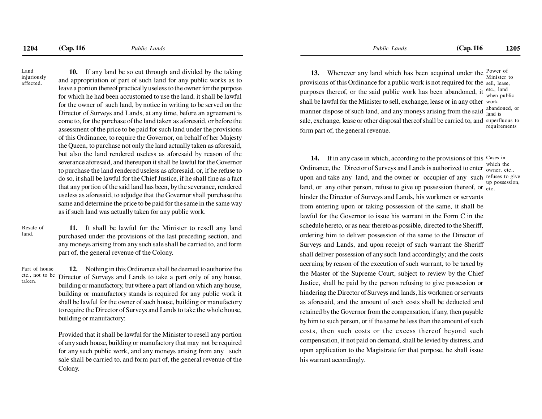Land injuriouslyaffected.

**10.** If any land be so cut through and divided by the taking and appropriation of part of such land for any public works as to leave a portion thereof practically useless to the owner for the purpose for which he had been accustomed to use the land, it shall be lawfulfor the owner of such land, by notice in writing to be served on the Director of Surveys and Lands, at any time, before an agreement is come to, for the purchase of the land taken as aforesaid, or before the assessment of the price to be paid for such land under the provisions of this Ordinance, to require the Governor, on behalf of her Majesty the Queen, to purchase not only the land actually taken as aforesaid,but also the land rendered useless as aforesaid by reason of the severance aforesaid, and thereupon it shall be lawful for the Governor to purchase the land rendered useless as aforesaid, or, if he refuse to do so, it shall be lawful for the Chief Justice, if he shall fine as a factthat any portion of the said land has been, by the severance, rendered useless as aforesaid, to adjudge that the Governor shall purchase the same and determine the price to be paid for the same in the same wayas if such land was actually taken for any public work.

Resale ofland.

**11.** It shall be lawful for the Minister to resell any land purchased under the provisions of the last preceding section, and any moneys arising from any such sale shall be carried to, and formpart of, the general revenue of the Colony.

Part of house etc., not to be taken.

**12.** Nothing in this Ordinance shall be deemed to authorize the Director of Surveys and Lands to take a part only of any house, building or manufactory, but where a part of land on which any house,building or manufactory stands is required for any public work itshall be lawful for the owner of such house, building or manufactory to require the Director of Surveys and Lands to take the whole house,building or manufactory:

Provided that it shall be lawful for the Minister to resell any portion of any such house, building or manufactory that may not be required for any such public work, and any moneys arising from any such sale shall be carried to, and form part of, the general revenue of theColony.

**13.** Whenever any land which has been acquired under the provisions of this Ordinance for a public work is not required for the sell, lease,purposes thereof, or the said public work has been abandoned, it shall be lawful for the Minister to sell, exchange, lease or in any other work manner dispose of such land, and any moneys arising from the said abandoned, or sale, exchange, lease or other disposal thereof shall be carried to, and superfluous toform part of, the general revenue.Power of Minister to etc., land when publicrequirements

**14.** If in any case in which, according to the provisions of this Cases in Ordinance, the Director of Surveys and Lands is authorized to enter  $\frac{m}{\omega}$  owner, etc., upon and take any land, and the owner or occupier of any such refuses to give **land, or any other person, refuse to give up possession thereof, or etc.** hinder the Director of Surveys and Lands, his workmen or servantsfrom entering upon or taking possession of the same, it shall belawful for the Governor to issue his warrant in the Form C in theschedule hereto, or as near thereto as possible, directed to the Sheriff,ordering him to deliver possession of the same to the Director ofSurveys and Lands, and upon receipt of such warrant the Sheriffshall deliver possession of any such land accordingly; and the costsaccruing by reason of the execution of such warrant, to be taxed by the Master of the Supreme Court, subject to review by the ChiefJustice, shall be paid by the person refusing to give possession orhindering the Director of Surveys and lands, his workmen or servantsas aforesaid, and the amount of such costs shall be deducted and retained by the Governor from the compensation, if any, then payableby him to such person, or if the same be less than the amount of such costs, then such costs or the excess thereof beyond such compensation, if not paid on demand, shall be levied by distress, andupon application to the Magistrate for that purpose, he shall issuehis warrant accordingly. which theup possession,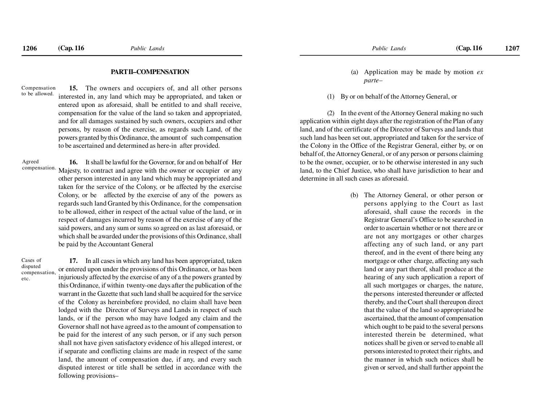#### **PART II–COMPENSATION**

**15.** The owners and occupiers of, and all other persons interested in, any land which may be appropriated, and taken or entered upon as aforesaid, shall be entitled to and shall receive,compensation for the value of the land so taken and appropriated,and for all damages sustained by such owners, occupiers and other persons, by reason of the exercise, as regards such Land, of the powers granted by this Ordinance, the amount of such compensationto be ascertained and determined as here-in after provided.Compensationto be allowed.

**16.** It shall be lawful for the Governor, for and on behalf of Her Majesty, to contract and agree with the owner or occupier or any other person interested in any land which may be appropriated and taken for the service of the Colony, or be affected by the exercise Colony, or be affected by the exercise of any of the powers as regards such land Granted by this Ordinance, for the compensation to be allowed, either in respect of the actual value of the land, or in respect of damages incurred by reason of the exercise of any of the said powers, and any sum or sums so agreed on as last aforesaid, or which shall be awarded under the provisions of this Ordinance, shallbe paid by the Accountant GeneralAgreedcompensation.

Cases of disputed compensation,etc.

**17.** In all cases in which any land has been appropriated, taken or entered upon under the provisions of this Ordinance, or has been injuriously affected by the exercise of any of a the powers granted by this Ordinance, if within twenty-one days after the publication of the warrant in the Gazette that such land shall be acquired for the service of the Colony as hereinbefore provided, no claim shall have been lodged with the Director of Surveys and Lands in respect of such lands, or if the person who may have lodged any claim and the Governor shall not have agreed as to the amount of compensation to be paid for the interest of any such person, or if any such person shall not have given satisfactory evidence of his alleged interest, or if separate and conflicting claims are made in respect of the same land, the amount of compensation due, if any, and every such disputed interest or title shall be settled in accordance with thefollowing provisions–

- (a) Application may be made by motion *exparte–*
- (1) By or on behalf of the Attorney General, or

(2) In the event of the Attorney General making no such application within eight days after the registration of the Plan of any land, and of the certificate of the Director of Surveys and lands thatsuch land has been set out, appropriated and taken for the service of the Colony in the Office of the Registrar General, either by, or on behalf of, the Attorney General, or of any person or persons claiming to be the owner, occupier, or to be otherwise interested in any such land, to the Chief Justice, who shall have jurisdiction to hear anddetermine in all such cases as aforesaid.

> (b) The Attorney General, or other person or persons applying to the Court as lastaforesaid, shall cause the records in the Registrar General's Office to be searched in order to ascertain whether or not there are or are not any mortgages or other charges affecting any of such land, or any partthereof, and in the event of there being any mortgage or other charge, affecting any such land or any part therof, shall produce at the hearing of any such application a report of all such mortgages or charges, the nature,the persons interested thereunder or affected thereby, and the Court shall thereupon directthat the value of the land so appropriated be ascertained, that the amount of compensation which ought to be paid to the several persons interested therein be determined, whatnotices shall be given or served to enable allpersons interested to protect their rights, and the manner in which such notices shall begiven or served, and shall further appoint the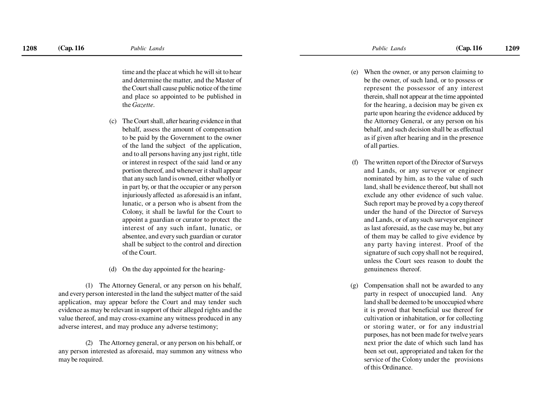time and the place at which he will sit to hear and determine the matter, and the Master of the Court shall cause public notice of the time and place so appointed to be published inthe *Gazette.*

- (c) The Court shall, after hearing evidence in thatbehalf, assess the amount of compensation to be paid by the Government to the owner of the land the subject of the application,and to all persons having any just right, title or interest in respect of the said land or any portion thereof, and whenever it shall appear that any such land is owned, either wholly or in part by, or that the occupier or any person injuriously affected as aforesaid is an infant,lunatic, or a person who is absent from the Colony, it shall be lawful for the Court to appoint a guardian or curator to protect the interest of any such infant, lunatic, or absentee, and every such guardian or curator shall be subject to the control and directionof the Court.
- (d) On the day appointed for the hearing-

(1) The Attorney General, or any person on his behalf, and every person interested in the land the subject matter of the said application, may appear before the Court and may tender such evidence as may be relevant in support of their alleged rights and the value thereof, and may cross-examine any witness produced in anyadverse interest, and may produce any adverse testimony;

(2) The Attorney general, or any person on his behalf, orany person interested as aforesaid, may summon any witness whomay be required.

- (e) When the owner, or any person claiming to be the owner, of such land, or to possess or represent the possessor of any interesttherein, shall not appear at the time appointed for the hearing, a decision may be given ex parte upon hearing the evidence adduced by the Attorney General, or any person on his behalf, and such decision shall be as effectualas if given after hearing and in the presenceof all parties.
- (f) The written report of the Director of Surveys and Lands, or any surveyor or engineer nominated by him, as to the value of such land, shall be evidence thereof, but shall notexclude any other evidence of such value.Such report may be proved by a copy thereofunder the hand of the Director of Surveys and Lands, or of any such surveyor engineer as last aforesaid, as the case may be, but any of them may be called to give evidence by any party having interest. Proof of the signature of such copy shall not be required,unless the Court sees reason to doubt thegenuineness thereof.
- (g) Compensation shall not be awarded to any party in respect of unoccupied land. Any land shall be deemed to be unoccupied where it is proved that beneficial use thereof forcultivation or inhabitation, or for collecting or storing water, or for any industrialpurposes, has not been made for twelve years next prior the date of which such land has been set out, appropriated and taken for theservice of the Colony under the provisions of this Ordinance.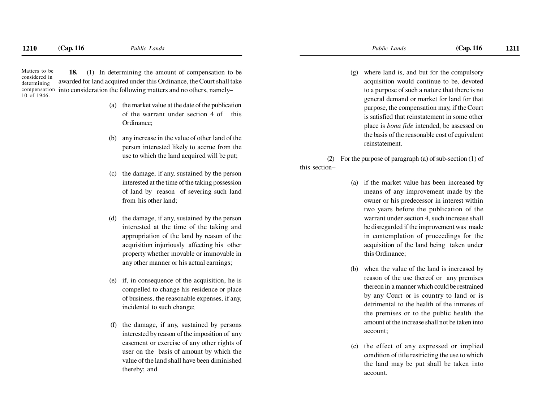**18.** (1) In determining the amount of compensation to be awarded for land acquired under this Ordinance, the Court shall takecompensation into consideration the following matters and no others, namely– Matters to be considered in determining10 of 1946.

- the market value at the date of the publication of the warrant under section 4 of thisOrdinance;
- (b) any increase in the value of other land of the person interested likely to accrue from theuse to which the land acquired will be put;
- (c) the damage, if any, sustained by the person interested at the time of the taking possession of land by reason of severing such landfrom his other land;
- the damage, if any, sustained by the person interested at the time of the taking and appropriation of the land by reason of the acquisition injuriously affecting his other property whether movable or immovable inany other manner or his actual earnings;
- (e) if, in consequence of the acquisition, he is compelled to change his residence or place of business, the reasonable expenses, if any,incidental to such change;
- (f) the damage, if any, sustained by personsinterested by reason of the imposition of any easement or exercise of any other rights ofuser on the basis of amount by which the value of the land shall have been diminishedthereby; and

(g) where land is, and but for the compulsory acquisition would continue to be, devoted to a purpose of such a nature that there is no general demand or market for land for thatpurpose, the compensation may, if the Courtis satisfied that reinstatement in some otherplace is *bona fide* intended, be assessed on the basis of the reasonable cost of equivalentreinstatement.

(2) For the purpose of paragraph (a) of sub-section (1) ofthis section–

- (a) if the market value has been increased by means of any improvement made by the owner or his predecessor in interest within two years before the publication of the warrant under section 4, such increase shallbe disregarded if the improvement was made in contemplation of proceedings for the acquisition of the land being taken underthis Ordinance;
- (b) when the value of the land is increased by reason of the use thereof or any premises thereon in a manner which could be restrained by any Court or is country to land or isdetrimental to the health of the inmates ofthe premises or to the public health the amount of the increase shall not be taken intoaccount;
- (c) the effect of any expressed or implied condition of title restricting the use to which the land may be put shall be taken intoaccount.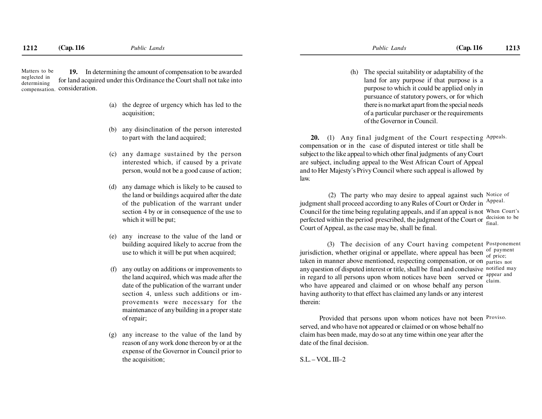**19.** In determining the amount of compensation to be awarded for land acquired under this Ordinance the Court shall not take intocompensation. consideration. Matters to beneglected indetermining

- (a) the degree of urgency which has led to theacquisition;
- (b) any disinclination of the person interestedto part with the land acquired;
- (c) any damage sustained by the person interested which, if caused by a privateperson, would not be a good cause of action;
- any damage which is likely to be caused to the land or buildings acquired after the date of the publication of the warrant undersection 4 by or in consequence of the use towhich it will be put;
- (e) any increase to the value of the land or building acquired likely to accrue from theuse to which it will be put when acquired;
- any outlay on additions or improvements to the land acquired, which was made after the date of the publication of the warrant under section 4, unless such additions or improvements were necessary for the maintenance of any building in a proper stateof repair;
- (g) any increase to the value of the land by reason of any work done thereon by or at the expense of the Governor in Council prior tothe acquisition;

(h) The special suitability or adaptability of the land for any purpose if that purpose is a purpose to which it could be applied only in pursuance of statutory powers, or for which there is no market apart from the special needs of a particular purchaser or the requirementsof the Governor in Council.

**20.** (1) Any final judgment of the Court respecting Appeals. compensation or in the case of disputed interest or title shall be subject to the like appeal to which other final judgments of any Courtare subject, including appeal to the West African Court of Appealand to Her Majesty's Privy Council where such appeal is allowed bylaw.

(2) The party who may desire to appeal against such Notice of judgment shall proceed according to any Rules of Court or Order in Appeal. Council for the time being regulating appeals, and if an appeal is not When Court's perfected within the period prescribed, the judgment of the Court or  $\frac{\text{decision to be}}{\text{final}}$ Court of Appeal, as the case may be, shall be final.final.

(3) The decision of any Court having competent Postponement jurisdiction, whether original or appellate, where appeal has been  $\frac{0}{\text{of price}}$ ; taken in manner above mentioned, respecting compensation, or on parties not any question of disputed interest or title, shall be final and conclusivenotified mayin regard to all persons upon whom notices have been served or  $\frac{\text{appear and}}{\text{claim.}}$ who have appeared and claimed or on whose behalf any person having authority to that effect has claimed any lands or any interesttherein:of payment

Provided that persons upon whom notices have not been Proviso. served, and who have not appeared or claimed or on whose behalf no claim has been made, may do so at any time within one year after thedate of the final decision.

S.L. – VOL. III–2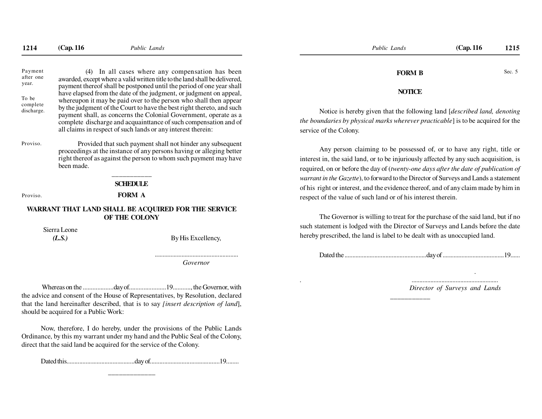(4) In all cases where any compensation has been awarded, except where a valid written title to the land shall be delivered, payment thereof shall be postponed until the period of one year shall have elapsed from the date of the judgment, or judgment on appeal, whereupon it may be paid over to the person who shall then appear by the judgment of the Court to have the best right thereto, and such payment shall, as concerns the Colonial Government, operate as a complete discharge and acquainttance of such compensation and ofall claims in respect of such lands or any interest therein:

Provided that such payment shall not hinder any subsequent proceedings at the instance of any persons having or alleging better right thereof as against the person to whom such payment may havebeen made.

that the land hereinafter described, that is to say *[insert description of land*], should be acquired for a Public Work:

Now, therefore, I do hereby, under the provisions of the Public Lands Ordinance, by this my warrant under my hand and the Public Seal of the Colony,direct that the said land be acquired for the service of the Colony.

\_\_\_\_\_\_\_\_\_\_\_

Dated this...........................................day of............................................19........

## **FORM B**

#### **NOTICE**

Notice is hereby given that the following land [*described land, denoting the boundaries by physical marks wherever practicable*] is to be acquired for the service of the Colony.

Any person claiming to be possessed of, or to have any right, title orinterest in, the said land, or to be injuriously affected by any such acquisition, isrequired, on or before the day of (*twenty-one days after the date of publication ofwarrant in the Gazette*), to forward to the Director of Surveys and Lands a statement of his right or interest, and the evidence thereof, and of any claim made by him inrespect of the value of such land or of his interest therein.1214 (Cap. 116 Pablic Lands)<br>
Fragment (Cap. 116 1215<br>
Fragment (Cap Court of the Unit Caps of the Caps of the Caps of the Caps of the Caps of the Caps of the Caps of the Caps of the Caps of the Caps of the Caps of the Ca Frame and the index where  $\frac{m_{\text{total}}}{m_{\text{total}}}$  and  $\frac{m_{\text{total}}}{m_{\text{total}}}$  and  $\frac{m_{\text{total}}}{m_{\text{total}}}$  and  $\frac{m_{\text{total}}}{m_{\text{total}}}$  and  $\frac{m_{\text{total}}}{m_{\text{total}}}$  and  $\frac{m_{\text{total}}}{m_{\text{total}}}$  and  $\frac{m_{\text{total}}}{m_{\text{total}}}$  and  $\frac{m_{\text{total}}}{m_{\text{total}}}$ 

The Governor is willing to treat for the purchase of the said land, but if no such statement is lodged with the Director of Surveys and Lands before the datehereby prescribed, the land is label to be dealt with as unoccupied land.

Dated the ....................................................day of .......................................19......

*. ....................................................... Director of Surveys and Lands*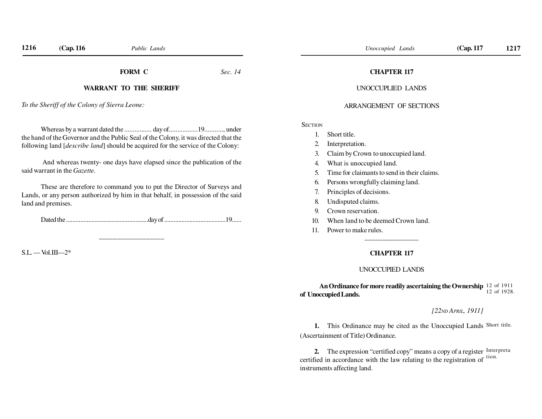#### **FORM C**

*Sec. 14*

#### **WARRANT TO THE SHERIFF**

*To the Sheriff of the Colony of Sierra Leone:*

Whereas by a warrant dated the .................. day of...................19............, under the hand of the Governor and the Public Seal of the Colony, it was directed that thefollowing land [*describe land*] should be acquired for the service of the Colony:

 And whereas twenty- one days have elapsed since the publication of thesaid warrant in the *Gazette.*

These are therefore to command you to put the Director of Surveys and Lands, or any person authorized by him in that behalf, in possession of the saidland and premises.

Dated the ....................................................day of .......................................19......

 $S.L.$  — Vol.III—2\*

#### **CHAPTER 117**

#### UNOCCUPLIED LANDS

#### ARRANGEMENT OF SECTIONS

**SECTION** 

- 1. Short title.
- 2. Interpretation.
- 3. Claim by Crown to unoccupied land.
- 4. What is unoccupied land.
- 5. Time for claimants to send in their claims.
- 6. Persons wrongfully claiming land.
- 7. Principles of decisions.
- 8. Undisputed claims.
- 9. Crown reservation.
- 10. When land to be deemed Crown land.
- 11. Power to make rules.

#### **CHAPTER 117**

#### UNOCCUPIED LANDS

**An Ordinance for more readily ascertaining the Ownership**12 of 1911**of Unoccupied Lands.**12 of 1928.

#### *[22ND APRIL, 1911]*

**1.** This Ordinance may be cited as the Unoccupied Lands Short title. (Ascertainment of Title) Ordinance.

**2.** The expression "certified copy" means a copy of a register Interpreta certified in accordance with the law relating to the registration of  $t$ <sup>tion.</sup> instruments affecting land.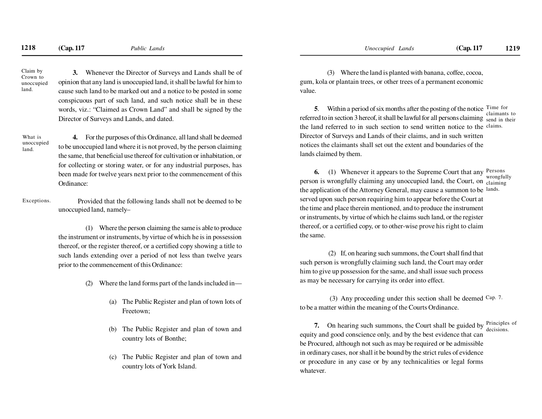Claim by Crown to unoccupiedland.

land.

**3.** Whenever the Director of Surveys and Lands shall be ofopinion that any land is unoccupied land, it shall be lawful for him to cause such land to be marked out and a notice to be posted in some conspicuous part of such land, and such notice shall be in these words, viz.: "Claimed as Crown Land" and shall be signed by theDirector of Surveys and Lands, and dated.

**4.** For the purposes of this Ordinance, all land shall be deemed to be unoccupied land where it is not proved, by the person claiming the same, that beneficial use thereof for cultivation or inhabitation, orfor collecting or storing water, or for any industrial purposes, hasbeen made for twelve years next prior to the commencement of thisOrdinance:What isunoccupied

Provided that the following lands shall not be deemed to beunoccupied land, namely–Exceptions.

> (1) Where the person claiming the same is able to produce the instrument or instruments, by virtue of which he is in possession thereof, or the register thereof, or a certified copy showing a title to such lands extending over a period of not less than twelve yearsprior to the commencement of this Ordinance:

- (2) Where the land forms part of the lands included in—
	- (a) The Public Register and plan of town lots ofFreetown;
	- (b) The Public Register and plan of town andcountry lots of Bonthe;
	- (c) The Public Register and plan of town andcountry lots of York Island.

(3) Where the land is planted with banana, coffee, cocoa, gum, kola or plantain trees, or other trees of a permanent economicvalue.

**5**. Within a period of six months after the posting of the notice Time for referred to in section 3 hereof, it shall be lawful for all persons claiming send in their the land referred to in such section to send written notice to the claims. Director of Surveys and Lands of their claims, and in such written notices the claimants shall set out the extent and boundaries of thelands claimed by them.claimants to

**6.** (1) Whenever it appears to the Supreme Court that any person is wrongfully claiming any unoccupied land, the Court, on claiming the application of the Attorney General, may cause a summon to be lands. served upon such person requiring him to appear before the Court atthe time and place therein mentioned, and to produce the instrumentor instruments, by virtue of which he claims such land, or the registerthereof, or a certified copy, or to other-wise prove his right to claimthe same.Persons wrongfully

 (2) If, on hearing such summons, the Court shall find thatsuch person is wrongfully claiming such land, the Court may orderhim to give up possession for the same, and shall issue such processas may be necessary for carrying its order into effect.

(3) Any proceeding under this section shall be deemed  $Cap. 7$ . to be a matter within the meaning of the Courts Ordinance.

**7.** On hearing such summons, the Court shall be guided by  $\frac{\text{Principles of}}{\text{decisions}}$  equity and good conscience only, and by the best evidence that can be Procured, although not such as may be required or be admissible in ordinary cases, nor shall it be bound by the strict rules of evidence or procedure in any case or by any technicalities or legal formswhatever.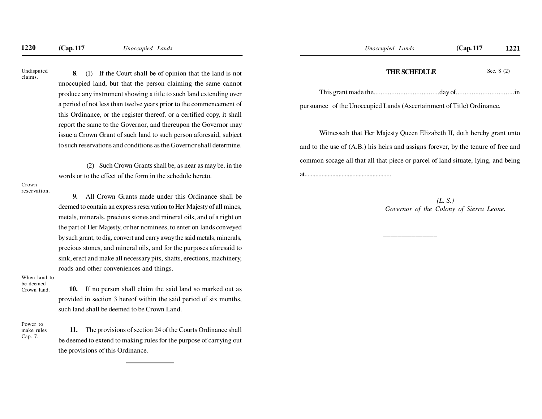**8**. (1) If the Court shall be of opinion that the land is notunoccupied land, but that the person claiming the same cannotproduce any instrument showing a title to such land extending overa period of not less than twelve years prior to the commencement ofthis Ordinance, or the register thereof, or a certified copy, it shallreport the same to the Governor, and thereupon the Governor mayissue a Crown Grant of such land to such person aforesaid, subjectto such reservations and conditions as the Governor shall determine.**1220 (Cap. 117** *Unoccupied Lands* **1221**<br>
Unoisspaced **8.** (1) If the Court shall be adjointent that the land is not<br> **1221 INCOLLE 1221**<br> **1221**<br> **1221**<br> **1221**<br> **1221**<br> **1221**<br> **1221**<br> **1221**<br> **1221**<br> **1221**<br> **12** 

 (2) Such Crown Grants shall be, as near as may be, in thewords or to the effect of the form in the schedule hereto.

**9.** All Crown Grants made under this Ordinance shall bedeemed to contain an express reservation to Her Majesty of all mines,metals, minerals, precious stones and mineral oils, and of a right onthe part of Her Majesty, or her nominees, to enter on lands conveyedby such grant, to dig, convert and carry away the said metals, minerals,precious stones, and mineral oils, and for the purposes aforesaid tosink, erect and make all necessary pits, shafts, erections, machinery,roads and other conveniences and things.

#### When land tobe deemed

Crown land.

**10.** If no person shall claim the said land so marked out asprovided in section 3 hereof within the said period of six months,such land shall be deemed to be Crown Land.

Power to make rulesCap. 7.

**11.** The provisions of section 24 of the Courts Ordinance shallbe deemed to extend to making rules for the purpose of carrying outthe provisions of this Ordinance.

#### **THE SCHEDULE**

Sec. 8 (2)

This grant made the.....................................day of.................................in

pursuance of the Unoccupied Lands (Ascertainment of Title) Ordinance.

Witnesseth that Her Majesty Queen Elizabeth II, doth hereby grant untoand to the use of (A.B.) his heirs and assigns forever, by the tenure of free andcommon socage all that all that piece or parcel of land situate, lying, and beingat........................................................

\_\_\_\_\_\_\_\_\_\_\_\_\_\_

*(L. S.)Governor of the Colony of Sierra Leone.*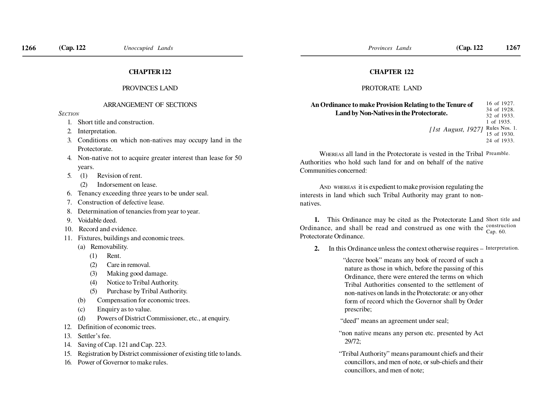#### **CHAPTER 122**

#### PROVINCES LAND

#### ARRANGEMENT OF SECTIONS

*SECTION*

- 1. Short title and construction.
- 2. Interpretation.
- 3. Conditions on which non-natives may occupy land in theProtectorate.
- 4. Non-native not to acquire greater interest than lease for 50years.
- 5. (1) Revision of rent.
	- (2) Indorsement on lease.
- 6. Tenancy exceeding three years to be under seal.
- 7. Construction of defective lease.
- 8. Determination of tenancies from year to year.
- 9. Voidable deed.
- 10. Record and evidence.
- 11. Fixtures, buildings and economic trees.
	- (a) Removability.
		- (1) Rent.
		- (2) Care in removal.
		- (3) Making good damage.
		- (4) Notice to Tribal Authority.
		- (5) Purchase by Tribal Authority.
	- (b) Compensation for economic trees.
	- (c) Enquiry as to value.
	- (d) Powers of District Commissioner, etc., at enquiry.
- 12. Definition of economic trees.
- 13. Settler's fee.
- 14. Saving of Cap. 121 and Cap. 223.
- 15. Registration by District commissioner of existing title to lands.
- 16. Power of Governor to make rules.

#### **CHAPTER 122**

#### PROTORATE LAND

| An Ordinance to make Provision Relating to the Tenure of | 16 of 1927. |
|----------------------------------------------------------|-------------|
|                                                          | 34 of 1928. |
| Land by Non-Natives in the Protectorate.                 | 32 of 1933. |
|                                                          | 1 of 1935.  |
| [1st August, 1927] Rules Nos. 1.                         |             |
|                                                          | 15 of 1930. |
|                                                          | 24 of 1933. |

WHEREAS all land in the Protectorate is vested in the Tribal Preamble. Authorities who hold such land for and on behalf of the nativeCommunities concerned:

AND WHEREAS it is expedient to make provision regulating the interests in land which such Tribal Authority may grant to nonnatives.

**1.** This Ordinance may be cited as the Protectorate Land Short title and Ordinance, and shall be read and construed as one with the Protectorate Ordinance.construction Cap. 60.

**2.** In this Ordinance unless the context otherwise requires – Interpretation.

 "decree book" means any book of record of such a nature as those in which, before the passing of this Ordinance, there were entered the terms on which Tribal Authorities consented to the settlement ofnon-natives on lands in the Protectorate: or any other form of record which the Governor shall by Orderprescribe;

- "deed" means an agreement under seal;
- "non native means any person etc. presented by Act29/72;
- "Tribal Authority" means paramount chiefs and their councillors, and men of note, or sub-chiefs and theircouncillors, and men of note;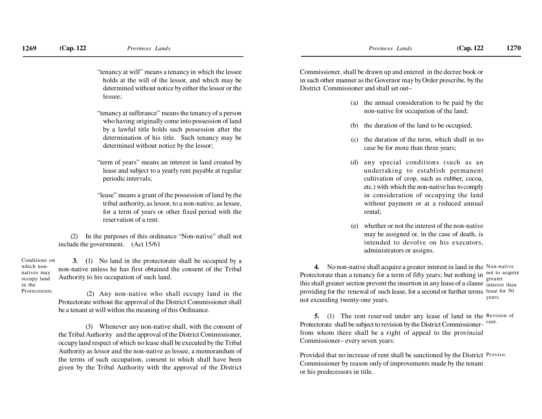which nonnatives may occupy landin theProtectorate.

- "tenancy at will" means a tenancy in which the lessee holds at the will of the lessor, and which may be determined without notice by either the lessor or thelessee;
- "tenancy at sufferance" means the tenancy of a person who having originally come into possession of land by a lawful title holds such possession after the determination of his title. Such tenancy may bedetermined without notice by the lessor;
- "term of years" means an interest in land created by lease and subject to a yearly rent payable at regularperiodic intervals;
- "lease" means a grant of the possession of land by the tribal authority, as lessor, to a non-native, as lessee,for a term of years or other fixed period with thereservation of a rent.

(2) In the purposes of this ordinance "Non-native" shall notinclude the government. (Act 15/61

**3. (**1) No land in the protectorate shall be occupied by a non-native unless he has first obtained the consent of the TribalAuthority to his occupation of such land.Conditions on

> (2) Any non-native who shall occupy land in the Protectorate without the approval of the District Commissioner shallbe a tenant at will within the meaning of this Ordinance.

> (3) Whenever any non-native shall, with the consent of the Tribal Authority and the approval of the District Commissioner,occupy land respect of which no lease shall be executed by the TribalAuthority as lessor and the non-native as lessee, a memorandum of the terms of such occupation, consent to which shall have beengiven by the Tribal Authority with the approval of the District

Commissioner, shall be drawn up and entered in the decree book or in such other manner as the Governor may by Order prescribe, by theDistrict Commissioner and shall set out–

- (a) the annual consideration to be paid by thenon-native for occupation of the land;
- (b) the duration of the land to be occupied;
- (c) the duration of the term, which shall in nocase be for more than three years;
- (d) any special conditions (such as an undertaking to establish permanentcultivation of crop, such as rubber, cocoa,etc.) with which the non-native has to comply in consideration of occupying the land without payment or at a reduced annualrental;
- (e) whether or not the interest of the non-native may be assigned or, in the case of death, is intended to devolve on his executors,administrators or assigns.

**4.** No non-native shall acquire a greater interest in land in the Non-native Protectorate than a tenancy for a term of fifty years; but nothing in  $\frac{1}{\alpha}$  acquire this shall greater section prevent the insertion in any lease of a clause interest than providing for the renewal of such lease, for a second or further terms lease for 50not exceeding twenty-one years.greateryears.

**5.** (1) The rent reserved under any lease of land in the Revision of Protectorate shall be subject to revision by the District Commissionerfrom whom there shall be a right of appeal to the provincialCommissioner– every seven years:

Provided that no increase of rent shall be sanctioned by the District Proviso. Commissioner by reason only of improvements made by the tenantor his predecessors in title.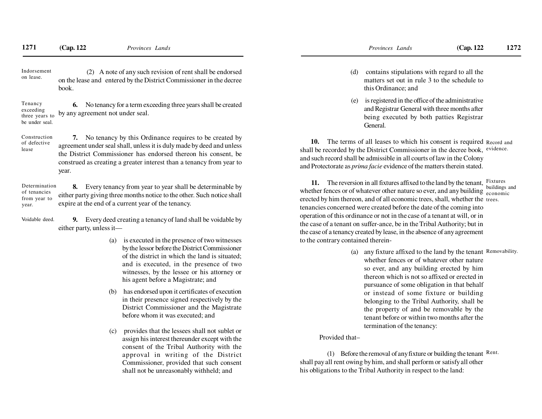(2) A note of any such revision of rent shall be endorsed on the lease and entered by the District Commissioner in the decreebook.Indorsementon lease.

**6.** No tenancy for a term exceeding three years shall be createdby any agreement not under seal.Tenancy exceeding three years tobe under seal.

**7.** No tenancy by this Ordinance requires to be created by agreement under seal shall, unless it is duly made by deed and unless the District Commissioner has endorsed thereon his consent, be construed as creating a greater interest than a tenancy from year toyear.Construction of defectivelease

**8.** Every tenancy from year to year shall be determinable by either party giving three months notice to the other. Such notice shallexpire at the end of a current year of the tenancy.Determinationof tenancies from year toyear.

**9.** Every deed creating a tenancy of land shall be voidable byeither party, unless it—Voidable deed.

- (a) is executed in the presence of two witnesses by the lessor before the District Commissioner of the district in which the land is situated;and is executed, in the presence of two witnesses, by the lessee or his attorney orhis agent before a Magistrate; and
- (b) has endorsed upon it certificates of execution in their presence signed respectively by the District Commissioner and the Magistratebefore whom it was executed; and
- (c) provides that the lessees shall not sublet or assign his interest thereunder except with the consent of the Tribal Authority with the approval in writing of the District Commissioner, provided that such consentshall not be unreasonably withheld; and
- (d) contains stipulations with regard to all the matters set out in rule 3 to the schedule tothis Ordinance; and
- (e) is registered in the office of the administrative and Registrar General with three months after being executed by both patties RegistrarGeneral.

**10.** The terms of all leases to which his consent is required Record and shall be recorded by the District Commissioner in the decree book, evidence. and such record shall be admissible in all courts of law in the Colonyand Protectorate as *prima facie* evidence of the matters therein stated.

**11.** The reversion in all fixtures affixed to the land by the tenant, Fixtures whether fences or of whatever other nature so ever, and any building  $\frac{\text{equating}}{\text{economic}}$ . erected by him thereon, and of all economic trees, shall, whether the trees. tenancies concerned were created before the date of the coming into operation of this ordinance or not in the case of a tenant at will, or in the case of a tenant on suffer-ance, be in the Tribal Authority; but in the case of a tenancy created by lease, in the absence of any agreementto the contrary contained thereinbuildings and

> (a) any fixture affixed to the land by the tenant Removability. whether fences or of whatever other nature so ever, and any building erected by him thereon which is not so affixed or erected in pursuance of some obligation in that behalf or instead of some fixture or building belonging to the Tribal Authority, shall be the property of and be removable by the tenant before or within two months after thetermination of the tenancy:

#### Provided that–

(1) Before the removal of any fixture or building the tenant  $\mathbb{R}^{\text{ent}}$ . shall pay all rent owing by him, and shall perform or satisfy all otherhis obligations to the Tribal Authority in respect to the land: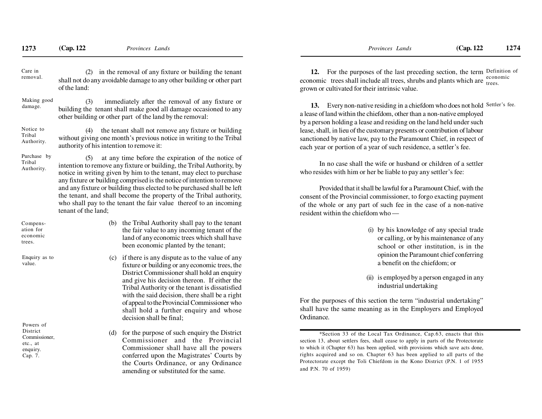| Care in<br>removal.                                                       | (2) in the removal of any fixture or building the tenant<br>shall not do any avoidable damage to any other building or other part<br>of the land:                                                                                                                                                                                                                                                                                                                                                                               |                                                                                                                                                                                                                                                                                                                                                                                                                               |  |  |
|---------------------------------------------------------------------------|---------------------------------------------------------------------------------------------------------------------------------------------------------------------------------------------------------------------------------------------------------------------------------------------------------------------------------------------------------------------------------------------------------------------------------------------------------------------------------------------------------------------------------|-------------------------------------------------------------------------------------------------------------------------------------------------------------------------------------------------------------------------------------------------------------------------------------------------------------------------------------------------------------------------------------------------------------------------------|--|--|
| Making good<br>damage.                                                    | (3)<br>immediately after the removal of any fixture or<br>building the tenant shall make good all damage occasioned to any<br>other building or other part of the land by the removal:                                                                                                                                                                                                                                                                                                                                          |                                                                                                                                                                                                                                                                                                                                                                                                                               |  |  |
| Notice to<br>Tribal<br>Authority.                                         | the tenant shall not remove any fixture or building<br>(4)<br>without giving one month's previous notice in writing to the Tribal<br>authority of his intention to remove it:                                                                                                                                                                                                                                                                                                                                                   |                                                                                                                                                                                                                                                                                                                                                                                                                               |  |  |
| Purchase by<br>Tribal<br>Authority.                                       | at any time before the expiration of the notice of<br>(5)<br>intention to remove any fixture or building, the Tribal Authority, by<br>notice in writing given by him to the tenant, may elect to purchase<br>any fixture or building comprised is the notice of intention to remove<br>and any fixture or building thus elected to be purchased shall be left<br>the tenant, and shall become the property of the Tribal authority,<br>who shall pay to the tenant the fair value thereof to an incoming<br>tenant of the land; |                                                                                                                                                                                                                                                                                                                                                                                                                               |  |  |
| Compens-<br>ation for<br>economic<br>trees.                               | (b)                                                                                                                                                                                                                                                                                                                                                                                                                                                                                                                             | the Tribal Authority shall pay to the tenant<br>the fair value to any incoming tenant of the<br>land of any economic trees which shall have<br>been economic planted by the tenant;                                                                                                                                                                                                                                           |  |  |
| Enquiry as to<br>value.                                                   |                                                                                                                                                                                                                                                                                                                                                                                                                                                                                                                                 | (c) if there is any dispute as to the value of any<br>fixture or building or any economic trees, the<br>District Commissioner shall hold an enquiry<br>and give his decision thereon. If either the<br>Tribal Authority or the tenant is dissatisfied<br>with the said decision, there shall be a right<br>of appeal to the Provincial Commissioner who<br>shall hold a further enquiry and whose<br>decision shall be final; |  |  |
| Powers of<br>District<br>Commissioner,<br>etc., at<br>enquiry.<br>Cap. 7. | (d)                                                                                                                                                                                                                                                                                                                                                                                                                                                                                                                             | for the purpose of such enquiry the District<br>Commissioner<br>and<br>the Provincial<br>Commissioner shall have all the powers<br>conferred upon the Magistrates' Courts by<br>the Courts Ordinance, or any Ordinance<br>amending or substituted for the same.                                                                                                                                                               |  |  |

**12.** For the purposes of the last preceding section, the term Definition of economic trees shall include all trees, shrubs and plants which are  $\frac{e_{\text{conomic}}}{\text{trees}}$ grown or cultivated for their intrinsic value.

**13.** Every non-native residing in a chiefdom who does not hold Settler's fee. a lease of land within the chiefdom, other than a non-native employed by a person holding a lease and residing on the land held under such lease, shall, in lieu of the customary presents or contribution of labour sanctioned by native law, pay to the Paramount Chief, in respect ofeach year or portion of a year of such residence, a settler's fee.

In no case shall the wife or husband or children of a settlerwho resides with him or her be liable to pay any settler's fee:

Provided that it shall be lawful for a Paramount Chief, with the consent of the Provincial commissioner, to forgo exacting paymentof the whole or any part of such fee in the case of a non-nativeresident within the chiefdom who —

- (i) by his knowledge of any special trade or calling, or by his maintenance of any school or other institution, is in the opinion the Paramount chief conferringa benefit on the chiefdom; or
- (ii) is employed by a person engaged in anyindustrial undertaking

For the purposes of this section the term "industrial undertaking" shall have the same meaning as in the Employers and EmployedOrdinance.

<sup>\*</sup>Section 33 of the Local Tax Ordinance, Cap.63, enacts that this section 13, about settlers fees, shall cease to apply in parts of the Protectorate to which it (Chapter 63) has been applied, with provisions which save acts done,rights acquired and so on. Chapter 63 has been applied to all parts of the Protectorate except the Toli Chiefdom in the Kono District (P.N. 1 of 1955and P.N. 70 of 1959)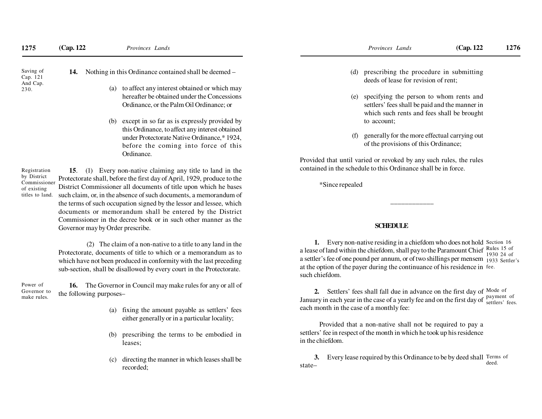| 1275                                                          | (Cap. 122)                                                                                                                                                                                                       | Provinces Lands                                                                                                                                | Provinces Lands                                                                        | (Cap. 122)                                                                                                                              | 1276 |  |
|---------------------------------------------------------------|------------------------------------------------------------------------------------------------------------------------------------------------------------------------------------------------------------------|------------------------------------------------------------------------------------------------------------------------------------------------|----------------------------------------------------------------------------------------|-----------------------------------------------------------------------------------------------------------------------------------------|------|--|
| Saving of<br>Cap. 121<br>And Cap.<br>230.                     | 14.                                                                                                                                                                                                              | Nothing in this Ordinance contained shall be deemed –                                                                                          | prescribing the procedure in submitting<br>(d)<br>deeds of lease for revision of rent; |                                                                                                                                         |      |  |
|                                                               |                                                                                                                                                                                                                  | to affect any interest obtained or which may<br>(a)<br>hereafter be obtained under the Concessions<br>Ordinance, or the Palm Oil Ordinance; or | (e)                                                                                    | specifying the person to whom rents and<br>settlers' fees shall be paid and the manner in<br>which such rents and fees shall be brought |      |  |
|                                                               |                                                                                                                                                                                                                  | except in so far as is expressly provided by<br>(b)                                                                                            | to account;                                                                            |                                                                                                                                         |      |  |
|                                                               |                                                                                                                                                                                                                  | this Ordinance, to affect any interest obtained<br>under Protectorate Native Ordinance,* 1924,<br>before the coming into force of this         | (f)<br>of the provisions of this Ordinance;                                            | generally for the more effectual carrying out                                                                                           |      |  |
|                                                               | Ordinance.                                                                                                                                                                                                       |                                                                                                                                                | Provided that until varied or revoked by any such rules, the rules                     |                                                                                                                                         |      |  |
| Registration                                                  | 15.<br>(1)                                                                                                                                                                                                       | Every non-native claiming any title to land in the                                                                                             | contained in the schedule to this Ordinance shall be in force.                         |                                                                                                                                         |      |  |
| by District<br>Commissioner<br>of existing<br>titles to land. | Protectorate shall, before the first day of April, 1929, produce to the<br>District Commissioner all documents of title upon which he bases<br>such claim, or, in the absence of such documents, a memorandum of |                                                                                                                                                | *Since repealed                                                                        |                                                                                                                                         |      |  |

## **SCHEDULE**

**1.** Every non-native residing in a chiefdom who does not hold Section 16 a lease of land within the chiefdom, shall pay to the Paramount Chief a settler's fee of one pound per annum, or of two shillings per mensem 1933 Settler's at the option of the payer during the continuance of his residence in fee. such chiefdom.Rules 15 of 1930 24 of

**2.** Settlers' fees shall fall due in advance on the first day of Mode of January in each year in the case of a yearly fee and on the first day of each month in the case of a monthly fee:payment of settlers' fees.

Provided that a non-native shall not be required to pay a settlers' fee in respect of the month in which he took up his residencein the chiefdom.

**3.** Every lease required by this Ordinance to be by deed shall Terms of state–deed.

 Protectorate, documents of title to which or a memorandum as to which have not been produced in conformity with the last precedingsub-section, shall be disallowed by every court in the Protectorate.

 the terms of such occupation signed by the lessor and lessee, which documents or memorandum shall be entered by the DistrictCommissioner in the decree book or in such other manner as the

(2) The claim of a non-native to a title to any land in the

**16.** The Governor in Council may make rules for any or all ofthe following purposes–Power of Governor tomake rules.

Governor may by Order prescribe.

- (a) fixing the amount payable as settlers' feeseither generally or in a particular locality;
- (b) prescribing the terms to be embodied inleases;
- (c) directing the manner in which leases shall berecorded;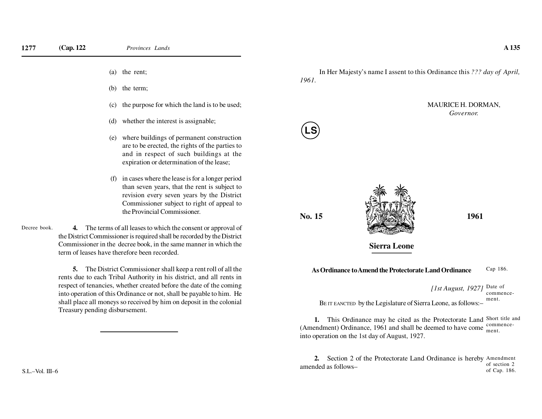(a) the rent;

(b) the term;

- (c) the purpose for which the land is to be used;
- (d) whether the interest is assignable;
- (e) where buildings of permanent construction are to be erected, the rights of the parties to and in respect of such buildings at theexpiration or determination of the lease;
- (f) in cases where the lease is for a longer period than seven years, that the rent is subject to revision every seven years by the District Commissioner subject to right of appeal tothe Provincial Commissioner.

**4.** The terms of all leases to which the consent or approval of the District Commissioner is required shall be recorded by the DistrictCommissioner in the decree book, in the same manner in which theterm of leases have therefore been recorded.Decree book.

> **5.** The District Commissioner shall keep a rent roll of all the rents due to each Tribal Authority in his district, and all rents in respect of tenancies, whether created before the date of the coming into operation of this Ordinance or not, shall be payable to him. He shall place all moneys so received by him on deposit in the colonialTreasury pending disbursement.

In Her Majesty's name I assent to this Ordinance this *??? day of April, 1961.*

### MAURICE H. DORMAN,*Governor.*

**No. 15**

**LS**



**Sierra Leone**

#### **As Ordinance to Amend the Protectorate Land Ordinance**Cap 186.

*[1st August, 1927]* Date of BE IT EANCTED by the Legislature of Sierra Leone, as follows:–commencement.

**1.** This Ordinance may he cited as the Protectorate Land Short title and (Amendment) Ordinance, 1961 and shall be deemed to have come  $\frac{\text{commence}}{\text{ment}}$ into operation on the 1st day of August, 1927.ment.

**2.** Section 2 of the Protectorate Land Ordinance is hereby Amendment amended as follows– of section 2of Cap. 186.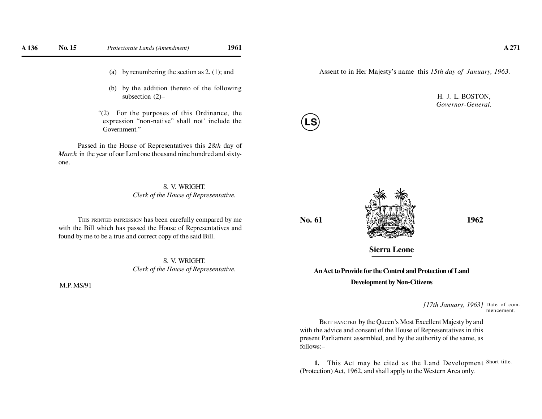- (a) by renumbering the section as 2. (1); and
- (b) by the addition thereto of the followingsubsection (2)–
- "(2) For the purposes of this Ordinance, the expression "non-native" shall not' include theGovernment."

Passed in the House of Representatives this *28th* day of *March* in the year of our Lord one thousand nine hundred and sixtyone.

#### S. V. WRIGHT.*Clerk of the House of Representative.*

THIS PRINTED IMPRESSION has been carefully compared by me with the Bill which has passed the House of Representatives andfound by me to be a true and correct copy of the said Bill.

> S. V. WRIGHT.*Clerk of the House of Representative.*

M.P. MS/91

Assent to in Her Majesty's name this *15th day of January, 1963.*

H. J. L. BOSTON,*Governor-General.*



**LS**



**Sierra Leone**

## **An Act to Provide for the Control and Protection of LandDevelopment by Non-Citizens**

*[17th January, 1963]*Date of commencement.

BE IT EANCTED by the Queen's Most Excellent Majesty by and with the advice and consent of the House of Representatives in this present Parliament assembled, and by the authority of the same, asfollows:–

**1.** This Act may be cited as the Land Development Short title. (Protection) Act, 1962, and shall apply to the Western Area only.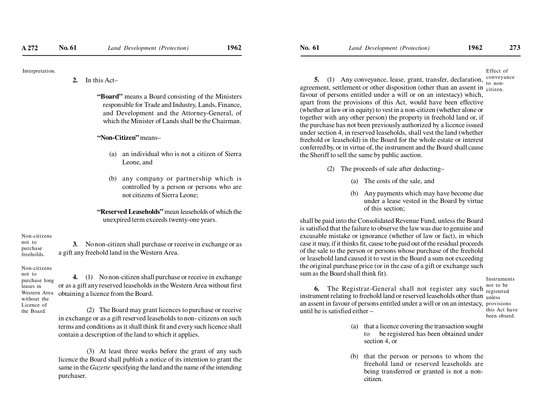**2.** In this Act–

**"Board"** means a Board consisting of the Ministers responsible for Trade and Industry, Lands, Finance, and Development and the Attorney-General, ofwhich the Minister of Lands shall be the Chairman.

#### **"Non-Citizen"** means–

- (a) an individual who is not a citizen of SierraLeone, and
- (b) any company or partnership which is controlled by a person or persons who arenot citizens of Sierra Leone;

**"Reserved Leaseholds"** mean leaseholds of which theunexpired term exceeds twenty-one years.

#### Non-citizensnot to

 purchasefreeholds.

Non-citizens

a gift any freehold land in the Western Area.

**3.** No non-citizen shall purchase or receive in exchange or as

not to purchase longleases in Western Areawithout the Licence ofthe Board.

**4.** (1) No non-citizen shall purchase or receive in exchange or as a gift any reserved leaseholds in the Western Area without firstobtaining a licence from the Board.

 (2) The Board may grant licences to purchase or receive in exchange or as a gift reserved leaseholds to non- citizens on such terms and conditions as it shall think fit and every such licence shallcontain a description of the land to which it applies.

 (3) At least three weeks before the grant of any such licence the Board shall publish a notice of its intention to grant the same in the *Gazette* specifying the land and the name of the intendingpurchaser.

Effect ofconveyance

**5.** (1) Any conveyance, lease, grant, transfer, declaration, agreement, settlement or other disposition (other than an assent in  $\frac{1}{\text{citizen}}$ ) favour of persons entitled under a will or on an intestacy) which, apart from the provisions of this Act, would have been effective (whether at law or in equity) to vest in a non-citizen (whether alone or together with any other person) the property in freehold land or, if the purchase has not been previously authorized by a licence issued under section 4, in reserved leaseholds, shall vest the land (whether freehold or leasehold) in the Board for the whole estate or interest conferred by, or in virtue of, the instrument and the Board shall causethe Sheriff to sell the same by public auction.to non-

- (2) The proceeds of sale after deducting–
	- (a) The costs of the sale, and
	- (b) Any payments which may have become due under a lease vested in the Board by virtueof this section;

shall be paid into the Consolidated Revenue Fund, unless the Board is satisfied that the failure to observe the law was due to genuine and excusable mistake or ignorance (whether of law or fact), in which case it may, if it thinks fit, cause to be paid out of the residual proceeds of the sale to the person or persons whose purchase of the freehold or leasehold land caused it to vest in the Board a sum not exceeding the original purchase price (or in the case of a gift or exchange suchsum as the Board shall think fit).

Instruments

**6.** The Registrar-General shall not register any suchinstrument relating to freehold land or reserved leaseholds other than  $\,$   $_{\rm unless}$  an assent in favour of persons entitled under a will or on an intestacy, provisionsuntil he is satisfied either –

not to be registered this Act havebeen obserd.

- (a) that a licence covering the transaction sought to be registered has been obtained undersection 4, or
- (b) that the person or persons to whom the freehold land or reserved leaseholds are being transferred or granted is not a noncitizen.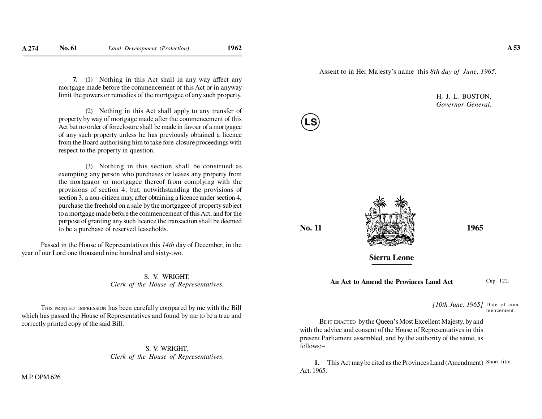**7.** (1) Nothing in this Act shall in any way affect any mortgage made before the commencement of this Act or in anywaylimit the powers or remedies of the mortgagee of any such property.

(2) Nothing in this Act shall apply to any transfer of property by way of mortgage made after the commencement of this Act but no order of foreclosure shall be made in favour of a mortgagee of any such property unless he has previously obtained a licence from the Board authorising him to take fore-closure proceedings withrespect to the property in question.

(3) Nothing in this section shall be construed as exempting any person who purchases or leases any property from the mortgagor or mortgagee thereof from complying with the provisions of section 4; but, notwithstanding the provisions of section 3, a non-citizen may, after obtaining a licence under section 4, purchase the freehold on a sale by the mortgagee of property subject to a mortgage made before the commencement of this Act, and for the purpose of granting any such licence the transaction shall be deemedto be a purchase of reserved leaseholds.

Passed in the House of Representatives this *14th* day of December, in theyear of our Lord one thousand nine hundred and sixty-two.

> S. V. WRIGHT,*Clerk of the House of Representatives.*

THIS PRINTED IMPRESSION has been carefully compared by me with the Bill which has passed the House of Representatives and found by me to be a true andcorrectly printed copy of the said Bill.

> S. V. WRIGHT,*Clerk of the House of Representatives*.

M.P. OPM 626

Assent to in Her Majesty's name this *8th day of June, 1965.*

H. J. L. BOSTON,*Governor-General.*

**No. 11**

**LS**



**Sierra Leone**

**An Act to Amend the Provinces Land Act**

Cap. 122.

*[10th June, 1965]* Date of commencement.

BE IT ENACTED by the Queen's Most Excellent Majesty, by and with the advice and consent of the House of Representatives in this present Parliament assembled, and by the authority of the same, asfollows:–

**1.** This Act may be cited as the Provinces Land (Amendment) Short title. Act, 1965.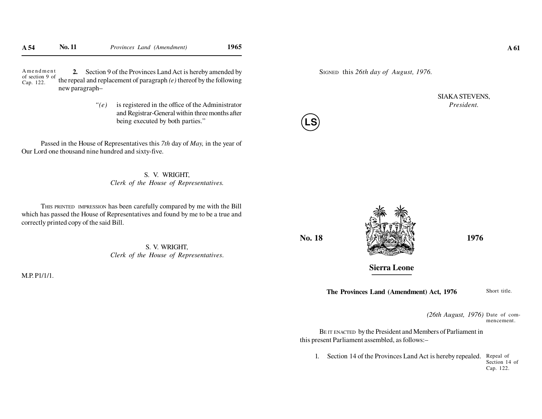**2.** Section 9 of the Provinces Land Act is hereby amended by the repeal and replacement of paragraph *(e)* thereof by the followingnew paragraph–A <sup>m</sup> <sup>e</sup> <sup>n</sup> d <sup>m</sup> <sup>e</sup> <sup>n</sup> <sup>t</sup> of section 9 ofCap. 122.

> *"(e)* is registered in the office of the Administrator and Registrar-General within three months afterbeing executed by both parties."

Passed in the House of Representatives this *7th* day of *May,* in the year ofOur Lord one thousand nine hundred and sixty-five.

> S. V. WRIGHT,*Clerk of the House of Representatives.*

THIS PRINTED IMPRESSION has been carefully compared by me with the Bill which has passed the House of Representatives and found by me to be a true andcorrectly printed copy of the said Bill.

> S. V. WRIGHT,*Clerk of the House of Representatives*.

M.P. P1/1/1.



SIAKA STEVENS,*President.*



**No. 18**

**LS**

**Sierra Leone**

**The Provinces Land (Amendment) Act, 1976**

Short title.

*(26th August, 1976)* Date of commencement.

BE IT ENACTED by the President and Members of Parliament inthis present Parliament assembled, as follows:–

1. Section 14 of the Provinces Land Act is hereby repealed. Repeal of Section 14 ofCap. 122.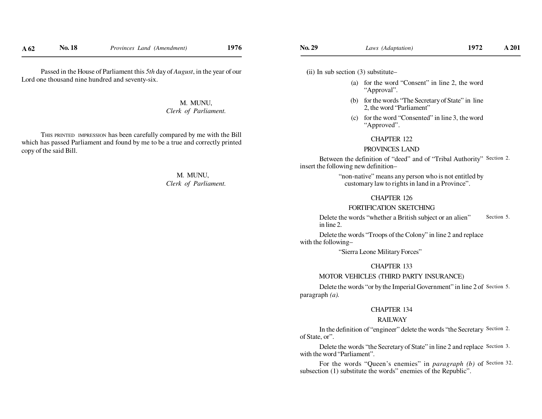M. MUNU,*Clerk of Parliament.*

THIS PRINTED IMPRESSION has been carefully compared by me with the Bill which has passed Parliament and found by me to be a true and correctly printedcopy of the said Bill.

> M. MUNU,*Clerk of Parliament.*

 **(**ii) In sub section (3) substitute–

**No. 29**

- (a) for the word "Consent" in line 2, the word"Approval".
- (b) for the words "The Secretary of State" in line2, the word "Parliament"
- (c) for the word "Consented" in line 3, the word"Approved".

#### CHAPTER 122

#### PROVINCES LAND

Between the definition of "deed" and of "Tribal Authority" Section 2. insert the following new definition–

> "non-native" means any person who is not entitled bycustomary law to rights in land in a Province".

#### CHAPTER 126

## FORTIFICATION SKETCHING

 Delete the words "whether a British subject or an alien"in line 2.Section 5.

Delete the words "Troops of the Colony" in line 2 and replacewith the following–

"Sierra Leone Military Forces"

#### CHAPTER 133

#### MOTOR VEHICLES (THIRD PARTY INSURANCE)

Delete the words "or by the Imperial Government" in line 2 of Section 5. paragraph *(a).*

#### CHAPTER 134

#### RAILWAY

In the definition of "engineer" delete the words "the Secretary Section 2. of State, or".

Delete the words "the Secretary of State" in line 2 and replace Section 3. with the word "Parliament".

For the words "Queen's enemies" in *paragraph* (b) of Section 32. subsection (1) substitute the words" enemies of the Republic".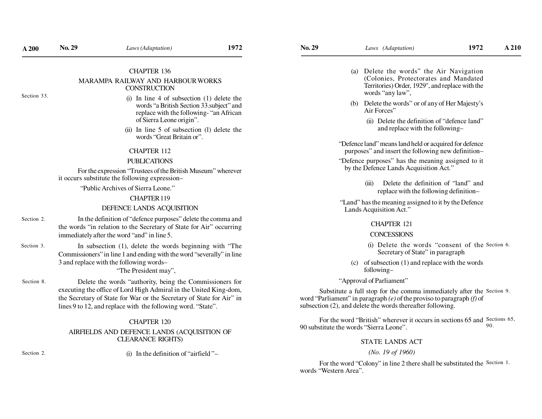#### CHAPTER 136

#### MARAMPA RAILWAY AND HARBOUR WORKS**CONSTRUCTION**

Section 33.

- (i) In line 4 of subsection (1) delete the words "a British Section 33.subject" and replace with the following- "an Africanof Sierra Leone origin".
- (ii) In line 5 of subsection (l) delete thewords "Great Britain or".

#### CHAPTER 112

#### PUBLICATIONS

 For the expression "Trustees of the British Museum" whereverit occurs substitute the following expression–

"Public Archives of Sierra Leone."

#### CHAPTER 119

#### DEFENCE LANDS ACQUISITION

- In the definition of "defence purposes" delete the comma and the words "in relation to the Secretary of State for Air" occurringimmediately after the word "and" in line 5.Section 2.
- In subsection (1), delete the words beginning with "The Commissioners" in line 1 and ending with the word "severally" in line3 and replace with the following words–Section 3.

"The President may",

Delete the words "authority, being the Commissioners for executing the office of Lord High Admiral in the United King-dom, the Secretary of State for War or the Secretary of State for Air" inlines 9 to 12, and replace with the following word. "State".Section 8.

#### CHAPTER 120

#### AIRFIELDS AND DEFENCE LANDS (ACQUISITION OFCLEARANCE RIGHTS)

Section 2.

(i) In the definition of "airfield "–

- (a) Delete the words" the Air Navigation (Colonies, Protectorates and Mandated Territories) Order, 1929", and replace with thewords "any law",
- (b) Delete the words" or of any of Her Majesty'sAir Forces"
	- (ii) Delete the definition of "defence land"and replace with the following–
- "Defence land" means land held or acquired for defencepurposes" and insert the following new definition–
- "Defence purposes" has the meaning assigned to itby the Defence Lands Acquisition Act."
	- (iii) Delete the definition of "land" andreplace with the following definition–

 "Land" has the meaning assigned to it by the DefenceLands Acquisition Act."

#### CHAPTER 121

#### **CONCESSIONS**

- (i) Delete the words "consent of the Section 6. Secretary of State" in paragraph
- (c) of subsection (1) and replace with the wordsfollowing–

#### "Approval of Parliament"

Substitute a full stop for the comma immediately after the Section 9. word "Parliament" in paragraph *(e)* of the proviso to paragraph *(f)* ofsubsection (2), and delete the words thereafter following.

For the word "British" wherever it occurs in sections 65 and Sections 65, 90 substitute the words "Sierra Leone".90.

#### STATE LANDS ACT

#### *(No. 19 of 1960)*

For the word "Colony" in line 2 there shall be substituted the Section 1. words "Western Area".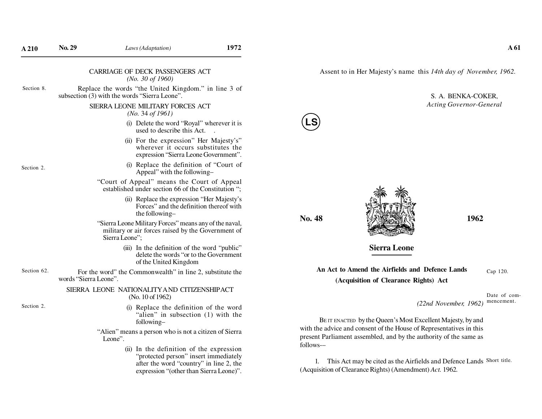Assent to in Her Majesty's name this *14th day of November, 1962.*

#### CARRIAGE OF DECK PASSENGERS ACT*(No. 30 of 1960)*

Replace the words "the United Kingdom." in line 3 ofsubsection (3) with the words "Sierra Leone".Section 8.

#### SIERRA LEONE MILITARY FORCES ACT*(No.* 34 *of 1961)*

- (i) Delete the word "Royal" wherever it isused to describe this Act...
- (ii) For the expression" Her Majesty's" wherever it occurs substitutes theexpression "Sierra Leone Government".

Section 2.

- (i) Replace the definition of "Court ofAppeal" with the following–
- "Court of Appeal" means the Court of Appeal established under section 66 of the Constitution ";
	- (ii) Replace the expression "Her Majesty's Forces" and the definition thereof withthe following–
- "Sierra Leone Military Forces" means any of the naval, military or air forces raised by the Government ofSierra Leone";
	- (iii) In the definition of the word "public" delete the words "or to the Governmentof the United Kingdom
- For the word" the Commonwealth" in line 2, substitute thewords "Sierra Leone".Section 62.

#### SIERRA LEONE NATIONALITY A ND CITIZENSHIP ACT(No. 10 of 1962)

Section 2.

(i) Replace the definition of the word "alien" in subsection (1) with thefollowing–

"Alien" means a person who is not a citizen of SierraLeone".

> (ii) In the definition of the expression "protected person" insert immediately after the word "country" in line 2, theexpression "(other than Sierra Leone)".



*Acting Governor-General*



**LS**



### **Sierra Leone**

**An Act to Amend the Airfields and Defence Lands(Acquisition of Clearance Rights) Act**Cap 120.

> Date of commencement.

*(22nd November, 1962)*

BE IT ENACTED by the Queen's Most Excellent Majesty, by and with the advice and consent of the House of Representatives in this present Parliament assembled, and by the authority of the same asfollows-–

1. This Act may be cited as the Airfields and Defence Lands Short title. (Acquisition of Clearance Rights) (Amendment) *Act.* 1962*.*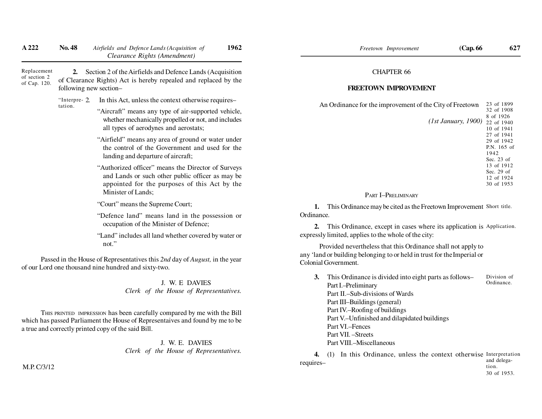| A 222                                       | <b>No. 48</b>                | 1962<br>Airfields and Defence Lands (Acquisition of<br>Clearance Rights (Amendment)                                                                                                                             |
|---------------------------------------------|------------------------------|-----------------------------------------------------------------------------------------------------------------------------------------------------------------------------------------------------------------|
| Replacement<br>of section 2<br>of Cap. 120. | 2.<br>following new section- | Section 2 of the Airfields and Defence Lands (Acquisition<br>of Clearance Rights) Act is hereby repealed and replaced by the                                                                                    |
|                                             | "Interpre-2                  | In this Act, unless the context otherwise requires-                                                                                                                                                             |
|                                             | tation.                      | "Aircraft" means any type of air-supported vehicle,<br>whether mechanically propelled or not, and includes<br>all types of aerodynes and aerostats;                                                             |
|                                             |                              | "Airfield" means any area of ground or water under<br>the control of the Government and used for the<br>landing and departure of aircraft;                                                                      |
|                                             |                              | "Authorized officer" means the Director of Surveys<br>and Lands or such other public officer as may be<br>appointed for the purposes of this Act by the<br>Minister of Lands;                                   |
|                                             |                              | "Court" means the Supreme Court;                                                                                                                                                                                |
|                                             |                              | "Defence land" means land in the possession or<br>occupation of the Minister of Defence;                                                                                                                        |
|                                             |                              | "Land" includes all land whether covered by water or<br>not."                                                                                                                                                   |
|                                             |                              | Passed in the House of Representatives this 2nd day of August, in the year<br>of our Lord one thousand nine hundred and sixty-two.                                                                              |
|                                             |                              | J. W. E DAVIES<br>Clerk of the House of Representatives.                                                                                                                                                        |
|                                             |                              | THIS PRINTED IMPRESSION has been carefully compared by me with the Bill<br>which has passed Parliament the House of Representaives and found by me to be<br>a true and correctly printed copy of the said Bill. |

J. W. E. DAVIES*Clerk of the House of Representatives.*

M.P. C/3/12

#### CHAPTER 66

#### **FREETOWN IMPROVEMENT**

| An Ordinance for the improvement of the City of Freetown | 23 of 1899   |
|----------------------------------------------------------|--------------|
|                                                          | 32 of 1908   |
|                                                          | 8 of 1926    |
| (1st January, 1900)                                      | 22 of 1940   |
|                                                          | 10 of 1941   |
|                                                          | 27 of 1941   |
|                                                          | 29 of 1942   |
|                                                          | P.N. 165 of  |
|                                                          | 1942         |
|                                                          | Sec. $23$ of |
|                                                          | 13 of 1912   |
|                                                          | Sec. $29$ of |
|                                                          | 12 of 1924   |
|                                                          | 30 of 1953   |
|                                                          |              |

#### PART I–PRELIMINARY

**1.** This Ordinance may be cited as the Freetown Improvement Short title. Ordinance.

**2.** This Ordinance, except in cases where its application is Application. expressly limited, applies to the whole of the city:

Provided nevertheless that this Ordinance shall not apply to any 'land or building belonging to or held in trust for theImperial orColonial Government.

**3.** This Ordinance is divided into eight parts as follows–Part I.–Preliminary Part II.–Sub-divisions of WardsPart III–Buildings (general) Part IV.–Roofing of buildings Part V.–Unfinished and dilapidated buildingsPart VI.–Fences Part VII. –Streets Part VIII.–MiscellaneousDivision ofOrdinance.

**4.** (1) In this Ordinance, unless the context otherwise Interpretation requires–and delegation.

30 of 1953.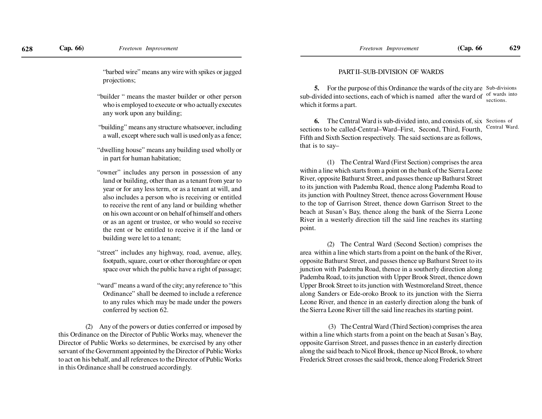"barbed wire" means any wire with spikes or jaggedprojections;

- "builder " means the master builder or other person who is employed to execute or who actually executesany work upon any building;
- "building" means any structure whatsoever, includinga wall, except where such wall is used only as a fence;
- "dwelling house" means any building used wholly orin part for human habitation;
- "owner" includes any person in possession of any land or building, other than as a tenant from year to year or for any less term, or as a tenant at will, and also includes a person who is receiving or entitled to receive the rent of any land or building whether on his own account or on behalf of himself and others or as an agent or trustee, or who would so receive the rent or be entitled to receive it if the land orbuilding were let to a tenant;
- "street" includes any highway, road, avenue, alley,footpath, square, court or other thoroughfare or openspace over which the public have a right of passage;
- "ward" means a ward of the city; any reference to "this Ordinance" shall be deemed to include a reference to any rules which may be made under the powersconferred by section 62.

(2) Any of the powers or duties conferred or imposed by this Ordinance on the Director of Public Works may, whenever the Director of Public Works so determines, be exercised by any other servant of the Government appointed by the Director of Public Works to act on his behalf, and all references to the Director of Public Worksin this Ordinance shall be construed accordingly.

#### PART II–SUB-DIVISION OF WARDS

**5.** For the purpose of this Ordinance the wards of the city are Sub-divisions sub-divided into sections, each of which is named after the ward ofwhich it forms a part. of wards intosections.

**6.** The Central Ward is sub-divided into, and consists of, six Sections of sections to be called-Central–Ward–First, Second, Third, Fourth,Fifth and Sixth Section respectively. The said sections are as follows,that is to say–Central Ward.

(1) The Central Ward (First Section) comprises the area within a line which starts from a point on the bank of the Sierra Leone River, opposite Bathurst Street, and passes thence up Bathurst Streetto its junction with Pademba Road, thence along Pademba Road to its junction with Poultney Street, thence across Government House to the top of Garrison Street, thence down Garrison Street to the beach at Susan's Bay, thence along the bank of the Sierra Leone River in a westerly direction till the said line reaches its startingpoint.

(2) The Central Ward (Second Section) comprises the area within a line which starts from a point on the bank of the River,opposite Bathurst Street, and passes thence up Bathurst Street to its junction with Pademba Road, thence in a southerly direction along Pademba Road, to its junction with Upper Brook Street, thence down Upper Brook Street to its junction with Westmoreland Street, thence along Sanders or Ede-oroko Brook to its junction with the Sierra Leone River, and thence in an easterly direction along the bank ofthe Sierra Leone River till the said line reaches its starting point.

 (3) The Central Ward (Third Section) comprises the area within a line which starts from a point on the beach at Susan's Bay,opposite Garrison Street, and passes thence in an easterly direction along the said beach to Nicol Brook, thence up Nicol Brook, to whereFrederick Street crosses the said brook, thence along Frederick Street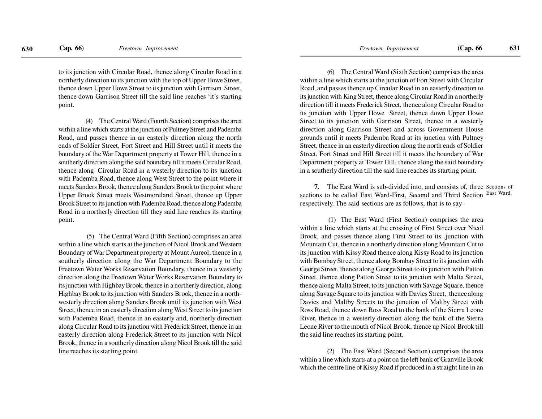to its junction with Circular Road, thence along Circular Road in a northerly direction to its junction with the top of Upper Howe Street,thence down Upper Howe Street to its junction with Garrison Street,thence down Garrison Street till the said line reaches 'it's startingpoint.

(4) The Central Ward (Fourth Section) comprises the area within a line which starts at the junction of Pultney Street and Pademba Road, and passes thence in an easterly direction along the north ends of Soldier Street, Fort Street and Hill Street until it meets the boundary of the War Department property at Tower Hill, thence in a southerly direction along the said boundary till it meets Circular Road,thence along Circular Road in a westerly direction to its junction with Pademba Road, thence along West Street to the point where itmeets Sanders Brook, thence along Sanders Brook to the point where Upper Brook Street meets Westmoreland Street, thence up Upper Brook Street to its junction with Pademba Road, thence along Pademba Road in a northerly direction till they said line reaches its startingpoint.

 (5) The Central Ward (Fifth Section) comprises an area within a line which starts at the junction of Nicol Brook and Western Boundary of War Department property at Mount Aureol; thence in a southerly direction along the War Department Boundary to the Freetown Water Works Reservation Boundary, thence in a westerly direction along the Freetown Water Works Reservation Boundary to its junction with Highbay Brook, thence in a northerly direction, along Highbay Brook to its junction with Sanders Brook, thence in a northwesterly direction along Sanders Brook until its junction with WestStreet, thence in an easterly direction along West Street to its junction with Pademba Road, thence in an easterly and, northerly direction along Circular Road to its junction with Frederick Street, thence in an easterly direction along Frederick Street to its junction with NicolBrook, thence in a southerly direction along Nicol Brook till the saidline reaches its starting point.

(6) The Central Ward (Sixth Section) comprises the area within a line which starts at the junction of Fort Street with Circular Road, and passes thence up Circular Road in an easterly direction to its junction with King Street, thence along Circular Road in a northerly direction till it meets Frederick Street, thence along Circular Road to its junction with Upper Howe Street, thence down Upper Howe Street to its junction with Garrison Street, thence in a westerly direction along Garrison Street and across Government House grounds until it meets Pademba Road at its junction with Pultney Street, thence in an easterly direction along the north ends of Soldier Street, Fort Street and Hill Street till it meets the boundary of War Department property at Tower Hill, thence along the said boundaryin a southerly direction till the said line reaches its starting point.

**7.** The East Ward is sub-divided into, and consists of, three Sections of sections to be called East Ward-First, Second and Third Section East Ward. respectively. The said sections are as follows, that is to say–

 (1) The East Ward (First Section) comprises the area within a line which starts at the crossing of First Street over NicolBrook, and passes thence along First Street to its .junction with Mountain Cut, thence in a northerly direction along Mountain Cut to its junction with Kissy Road thence along Kissy Road to its junction with Bombay Street, thence along Bombay Street to its junction with George Street, thence along George Street to its junction with Patton Street, thence along Patton Street to its junction with Malta Street,thence along Malta Street, to its junction with Savage Square, thence along Savage Square to its junction with Davies Street, thence along Davies and Maltby Streets to the junction of Maltby Street with Ross Road, thence down Ross Road to the bank of the Sierra Leone River, thence in a westerly direction along the bank of the Sierra Leone River to the mouth of Nicol Brook, thence up Nicol Brook tillthe said line reaches its starting point.

(2) The East Ward (Second Section) comprises the area within a line which starts at a point on the left bank of Granville Brookwhich the centre line of Kissy Road if produced in a straight line in an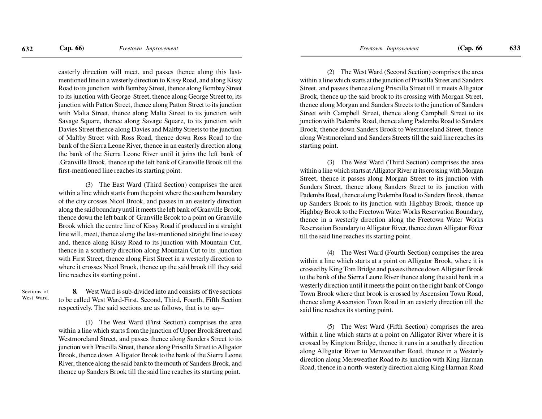easterly direction will meet, and passes thence along this lastmentioned line in a westerly direction to Kissy Road, and along Kissy Road to its junction with Bombay Street, thence along Bombay Streetto its junction with George Street, thence along George Street to, its junction with Patton Street, thence along Patton Street to its junction with Malta Street, thence along Malta Street to its junction with Savage Square, thence along Savage Square, to its junction with Davies Street thence along Davies and Maltby Streets to the junction of Maltby Street with Ross Road, thence down Ross Road to the bank of the Sierra Leone River, thence in an easterly direction along the bank of the Sierra Leone River until it joins the left bank of .Granville Brook, thence up the left bank of Granville Brook till thefirst-mentioned line reaches its starting point.

(3) The East Ward (Third Section) comprises the area within a line which starts from the point where the southern boundary of the city crosses Nicol Brook, and passes in an easterly direction along the said boundary until it meets the left bank of Granville Brook,thence down the left bank of Granville Brook to a point on Granville Brook which the centre line of Kissy Road if produced in a straightline will, meet, thence along the last-mentioned straight line to easy and, thence along Kissy Road to its junction with Mountain Cut,thence in a southerly direction along Mountain Cut to its .junction with First Street, thence along First Street in a westerly direction to where it crosses Nicol Brook, thence up the said brook till they saidline reaches its starting point .

#### Sections ofWest Ward.

**8.** West Ward is sub-divided into and consists of five sections to be called West Ward-First, Second, Third, Fourth, Fifth Sectionrespectively. The said sections are as follows, that is to say–

(1) The West Ward (First Section) comprises the area within a line which starts from the junction of Upper Brook Street and Westmoreland Street, and passes thence along Sanders Street to its junction with Priscilla Street, thence along Priscilla Street to Alligator Brook, thence down Alligator Brook to the bank of the Sierra Leone River, thence along the said bank to the mouth of Sanders Brook, andthence up Sanders Brook till the said line reaches its starting point.

(2) The West Ward (Second Section) comprises the area within a line which starts at the junction of Priscilla Street and Sanders Street, and passes thence along Priscilla Street till it meets Alligator Brook, thence up the said brook to its crossing with Morgan Street,thence along Morgan and Sanders Streets to the junction of Sanders Street with Campbell Street, thence along Campbell Street to itsjunction with Pademba Road, thence along Pademba Road to Sanders Brook, thence down Sanders Brook to Westmoreland Street, thence along Westmoreland and Sanders Streets till the said line reaches itsstarting point.

(3) The West Ward (Third Section) comprises the area within a line which starts at Alligator River at its crossing with Morgan Street, thence it passes along Morgan Street to its junction with Sanders Street, thence along Sanders Street to its junction with Pademba Road, thence along Pademba Road to Sanders Brook, thence up Sanders Brook to its junction with Highbay Brook, thence up Highbay Brook to the Freetown Water Works Reservation Boundary,thence in a westerly direction along the Freetown Water Works Reservation Boundary to Alligator River, thence down Alligator Rivertill the said line reaches its starting point.

(4) The West Ward (Fourth Section) comprises the area within a line which starts at a point on Alligator Brook, where it is crossed by King Tom Bridge and passes thence down Alligator Brook to the bank of the Sierra Leone River thence along the said bank in a westerly direction until it meets the point on the right bank of Congo Town Brook where that brook is crossed by Ascension Town Road,thence along Ascension Town Road in an easterly direction till thesaid line reaches its starting point.

(5) The West Ward (Fifth Section) comprises the area within a line which starts at a point on Alligator River where it is crossed by Kingtom Bridge, thence it runs in a southerly direction along Alligator River to Mereweather Road, thence in a Westerly direction along Mereweather Road to its junction with King HarmanRoad, thence in a north-westerly direction along King Harman Road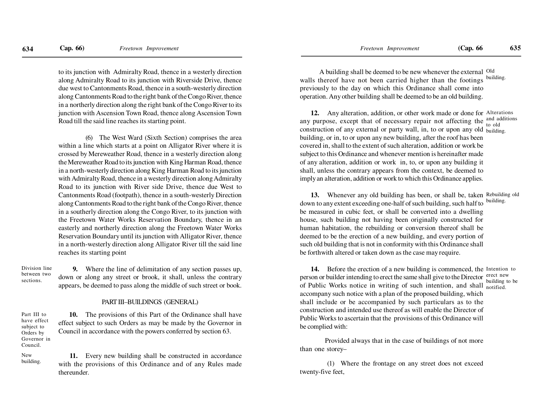to its junction with Admiralty Road, thence in a westerly direction along Admiralty Road to its junction with Riverside Drive, thence due west to Cantonments Road, thence in a south-westerly direction along Cantonments Road to the right bank of the Congo River, thence in a northerly direction along the right bank of the Congo River to its junction with Ascension Town Road, thence along Ascension TownRoad till the said line reaches its starting point.

(6) The West Ward (Sixth Section) comprises the area within a line which starts at a point on Alligator River where it is crossed by Mereweather Road, thence in a westerly direction along the Mereweather Road to its junction with King Harman Road, thence in a north-westerly direction along King Harman Road to its junction with Admiralty Road, thence in a westerly direction along Admiralty Road to its junction with River side Drive, thence due West to Cantonments Road (footpath), thence in a south-westerly Direction along Cantonments Road to the right bank of the Congo River, thence in a southerly direction along the Congo River, to its junction with the Freetown Water Works Reservation Boundary, thence in an easterly and northerly direction along the Freetown Water Works Reservation Boundary until its junction with Alligator River, thence in a north-westerly direction along Alligator River till the said linereaches its starting point

**9.** Where the line of delimitation of any section passes up, down or along any street or brook, it shall, unless the contrary appears, be deemed to pass along the middle of such street or book.Division line between twosections.

Part III to have effectsubject to Orders by Governor inCouncil.Newbuilding.

#### PART III–BUILDINGS (GENERAL)

**10.** The provisions of this Part of the Ordinance shall have effect subject to such Orders as may be made by the Governor inCouncil in accordance with the powers conferred by section 63.

**11.** Every new building shall be constructed in accordance with the provisions of this Ordinance and of any Rules madethereunder.

A building shall be deemed to be new whenever the external Old walls thereof have not been carried higher than the footings previously to the day on which this Ordinance shall come into operation. Any other building shall be deemed to be an old building.building.

**12.** Any alteration, addition, or other work made or done for Alterations any purpose, except that of necessary repair not affecting the construction of any external or party wall, in, to or upon any old <sub>building.</sub> building, or in, to or upon any new building, after the roof has been covered in, shall to the extent of such alteration, addition or work be subject to this Ordinance and whenever mention is hereinafter made of any alteration, addition or work in, to, or upon any building itshall, unless the contrary appears from the context, be deemed to imply an alteration, addition or work to which this Ordinance applies.and additions to old

**13.** Whenever any old building has been, or shall be, taken Rebuilding old down to any extent exceeding one-half of such building, such half to be measured in cubic feet, or shall be converted into a dwelling house, such building not having been originally constructed for human habitation, the rebuilding or conversion thereof shall be deemed to be the erection of a new building, and every portion of such old building that is not in conformity with this Ordinance shallbe forthwith altered or taken down as the case may require.building.

**14.** Before the erection of a new building is commenced, the Intention to person or builder intending to erect the same shall give to the Director erect new of Public Works notice in writing of such intention, and shall  $_{\text{notified}}$ accompany such notice with a plan of the proposed building, which shall include or be accompanied by such particulars as to the construction and intended use thereof as will enable the Director of Public Works to ascertain that the provisions of this Ordinance willbe complied with:building to be

Provided always that in the case of buildings of not morethan one storey–

(1) Where the frontage on any street does not exceedtwenty-five feet,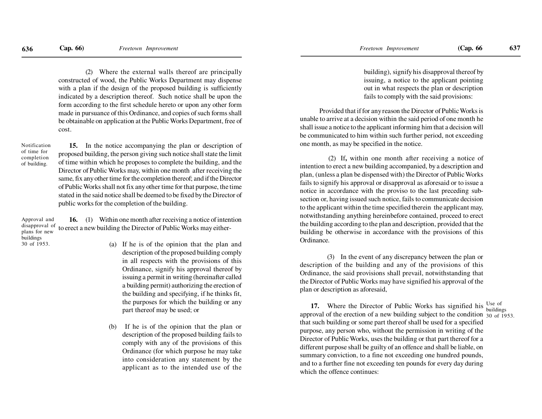(2) Where the external walls thereof are principally constructed of wood, the Public Works Department may dispense with a plan if the design of the proposed building is sufficiently indicated by a description thereof. Such notice shall be upon the form according to the first schedule hereto or upon any other form made in pursuance of this Ordinance, and copies of such forms shallbe obtainable on application at the Public Works Department, free ofcost.

Notification of time for completionof building.

**15.** In the notice accompanying the plan or description of proposed building, the person giving such notice shall state the limitof time within which he proposes to complete the building, and the Director of Public Works may, within one month after receiving the same, fix any other time for the completion thereof; and if the Director of Public Works shall not fix any other time for that purpose, the time stated in the said notice shall be deemed to be fixed by the Director ofpublic works for the completion of the building.

**16.** (1) Within one month after receiving a notice of intentiondisapproval of to erect a new building the Director of Public Works may either-Approval andplans for newbuildings30 of 1953.

- (a) If he is of the opinion that the plan and description of the proposed building comply in all respects with the provisions of this Ordinance, signify his approval thereof by issuing a permit in writing (hereinafter called a building permit) authorizing the erection of the building and specifying, if he thinks fit,the purposes for which the building or anypart thereof may be used; or
- (b) If he is of the opinion that the plan or description of the proposed building fails to comply with any of the provisions of this Ordinance (for which purpose he may take into consideration any statement by theapplicant as to the intended use of the

building), signify his disapproval thereof by issuing, a notice to the applicant pointing out in what respects the plan or descriptionfails to comply with the said provisions:

Provided that if for any reason the Director of Public Works is unable to arrive at a decision within the said period of one month he shall issue a notice to the applicant informing him that a decision will be communicated to him within such further period, not exceedingone month, as may be specified in the notice.

 (2) If**,** within one month after receiving a notice of intention to erect a new building accompanied, by a description and plan, (unless a plan be dispensed with) the Director of Public Works fails to signify his approval or disapproval as aforesaid or to issue a notice in accordance with the proviso to the last preceding subsection or, having issued such notice, fails to communicate decision to the applicant within the time specified therein the applicant may,notwithstanding anything hereinbefore contained, proceed to erectthe building according to the plan and description, provided that the building be otherwise in accordance with the provisions of thisOrdinance.

(3) In the event of any discrepancy between the plan or description of the building and any of the provisions of this Ordinance, the said provisions shall prevail, notwithstanding thatthe Director of Public Works may have signified his approval of theplan or description as aforesaid,

**17.** Where the Director of Public Works has signified his  $\frac{Use}{building}$ approval of the erection of a new building subject to the condition  $\frac{30}{30}$  of 1953. that such building or some part thereof shall be used for a specified purpose, any person who, without the permission in writing of the Director of Public Works, uses the building or that part thereof for a different purpose shall be guilty of an offence and shall be liable, on summary conviction, to a fine not exceeding one hundred pounds,and to a further fine not exceeding ten pounds for every day duringwhich the offence continues: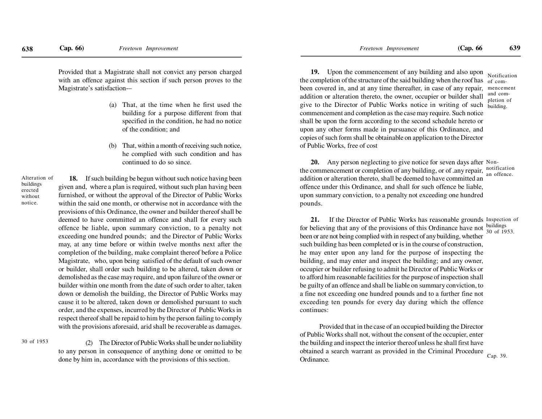Provided that a Magistrate shall not convict any person charged with an offence against this section if such person proves to theMagistrate's satisfaction-–

- (a) That, at the time when he first used the building for a purpose different from that specified in the condition, he had no noticeof the condition; and
- (b) That, within a month of receiving such notice, he complied with such condition and hascontinued to do so since.

Alteration ofbuildingserected withoutnotice.

**18.** If such building be begun without such notice having been given and, where a plan is required, without such plan having been furnished, or without the approval of the Director of Public Works within the said one month, or otherwise not in accordance with the provisions of this Ordinance, the owner and builder thereof shall be deemed to have committed an offence and shall for every such offence be liable, upon summary conviction, to a penalty notexceeding one hundred pounds; and the Director of Public Works may, at any time before or within twelve months next after the completion of the building, make complaint thereof before a Police Magistrate, who, upon being satisfied of the default of such owner or builder, shall order such building to be altered, taken down or demolished as the case may require, and upon failure of the owner or builder within one month from the date of such order to alter, taken down or demolish the building, the Director of Public Works may cause it to be altered, taken down or demolished pursuant to such order, and the expenses, incurred by the Director of Public Works in respect thereof shall be repaid to him by the person failing to complywith the provisions aforesaid, arid shall be recoverable as damages.

30 of 1953

(2) The Director of Public Works shall be under no liability to any person in consequence of anything done or omitted to bedone by him in, accordance with the provisions of this section.

**19.** Upon the commencement of any building and also uponthe completion of the structure of the said building when the roof has  $_{\text{of com}}$ . been covered in, and at any time thereafter, in case of any repair, mencement addition or alteration thereto, the owner, occupier or builder shallgive to the Director of Public Works notice in writing of such commencement and completion as the case may require. Such notice shall be upon the form according to the second schedule hereto or upon any other forms made in pursuance of this Ordinance, and copies of such form shall be obtainable on application to the Directorof Public Works, free of costNotificationand completion ofbuilding.

**20.** Any person neglecting to give notice for seven days after Nonthe commencement or completion of any building, or of .any repair,  $\frac{\text{notification}}{\text{an officer}}$ addition or alteration thereto, shall be deemed to have committed an offence under this Ordinance, and shall for such offence be liable,upon summary conviction, to a penalty not exceeding one hundredpounds.

**21.** If the Director of Public Works has reasonable grounds Inspection of for believing that any of the provisions of this Ordinance have not  $\frac{\text{building}}{30 \text{ of } 19}$ been or are not being complied with in respect of any building, whether such building has been completed or is in the course of construction,he may enter upon any land for the purpose of inspecting the building, and may enter and inspect the building; and any owner,occupier or builder refusing to admit he Director of Public Works or to afford him reasonable facilities for the purpose of inspection shallbe guilty of an offence and shall be liable on summary conviction, to a fine not exceeding one hundred pounds and to a further fine notexceeding ten pounds for every day during which the offencecontinues:30 of 1953.

Provided that in the case of an occupied building the Director of Public Works shall not, without the consent of the occupier, enter the building and inspect the interior thereof unless he shall first have obtained a search warrant as provided in the Criminal ProcedureOrdinance.Cap. 39.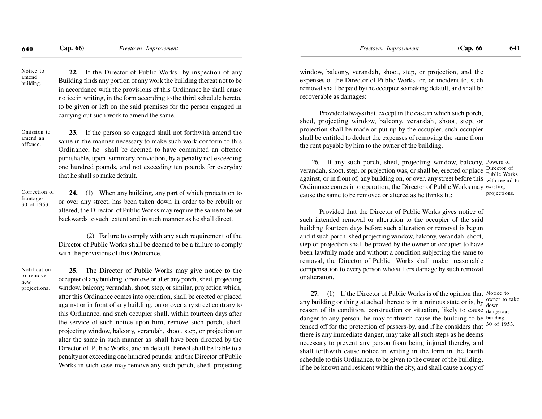Notice toamendbuilding.

**22.** If the Director of Public Works by inspection of any Building finds any portion of any work the building thereat not to be in accordance with the provisions of this Ordinance he shall cause notice in writing, in the form according to the third schedule hereto,to be given or left on the said premises for the person engaged incarrying out such work to amend the same.

Omission toamend anoffence.

**23.** If the person so engaged shall not forthwith amend the same in the manner necessary to make such work conform to this Ordinance, he shall be deemed to have committed an offence punishable, upon summary conviction, by a penalty not exceeding one hundred pounds, and not exceeding ten pounds for everydaythat he shall so make default.

Correction offrontages30 of 1953.

**24.** (1) When any building, any part of which projects on to or over any street, has been taken down in order to be rebuilt oraltered, the Director of Public Works may require the same to be setbackwards to such extent and in such manner as he shall direct.

 (2) Failure to comply with any such requirement of the Director of Public Works shall be deemed to be a failure to complywith the provisions of this Ordinance.

Notificationto removenewprojections.

**25.** The Director of Public Works may give notice to the occupier of any building to remove or alter any porch, shed, projecting window, balcony, verandah, shoot, step, or similar, projection which,after this Ordinance comes into operation, shall be erected or placed against or in front of any building, on or over any street contrary to this Ordinance, and such occupier shall, within fourteen days after the service of such notice upon him, remove such porch, shed,projecting window, balcony, verandah, shoot, step, or projection or alter the same in such manner as shall have been directed by the Director of Public Works, and in default thereof shall be liable to a penalty not exceeding one hundred pounds; and the Director of PublicWorks in such case may remove any such porch, shed, projecting

window, balcony, verandah, shoot, step, or projection, and the expenses of the Director of Public Works for, or incident to, such removal shall be paid by the occupier so making default, and shall berecoverable as damages:

Provided always that, except in the case in which such porch,shed, projecting window, balcony, verandah, shoot, step, or projection shall be made or put up by the occupier, such occupier shall be entitled to deduct the expenses of removing the same fromthe rent payable by him to the owner of the building.

26. If any such porch, shed, projecting window, balcony, Powers ofverandah, shoot, step, or projection was, or shall be, erected or placeagainst, or in front of, any building on, or over, any street before this with regard to Ordinance comes into operation, the Director of Public Works may existing cause the same to be removed or altered as he thinks fit: Director of Public Worksprojections.

Provided that the Director of Public Works gives notice of such intended removal or alteration to the occupier of the said building fourteen days before such alteration or removal is begun and if such porch, shed projecting window, balcony, verandah, shoot,step or projection shall be proved by the owner or occupier to have been lawfully made and without a condition subjecting the same to removal, the Director of Public Works shall make reasonable compensation to every person who suffers damage by such removalor alteration.

**27.** (1) If the Director of Public Works is of the opinion that Notice to any building or thing attached thereto is in a ruinous state or is, by  $\frac{\text{owner to take}}{\text{down}}$ reason of its condition, construction or situation, likely to cause <sub>dangerous</sub> danger to any person, he may forthwith cause the building to be building fenced off for the protection of passers-by, and if he considers thatthere is any immediate danger, may take all such steps as he deems necessary to prevent any person from being injured thereby, and shall forthwith cause notice in writing in the form in the fourth schedule to this Ordinance, to be given to the owner of the building,if he be known and resident within the city, and shall cause a copy of30 of 1953.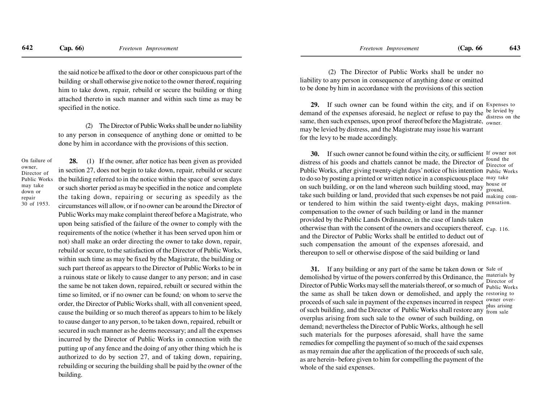the said notice be affixed to the door or other conspicuous part of the building or shall otherwise give notice to the owner thereof, requiring him to take down, repair, rebuild or secure the building or thing attached thereto in such manner and within such time as may bespecified in the notice.

(2) The Director of Public Works shall be under no liability to any person in consequence of anything done or omitted to bedone by him in accordance with the provisions of this section.

On failure ofowner, Director of Public Worksmay takedown orrepair30 of 1953.

**28.** (1) If the owner, after notice has been given as provided in section 27, does not begin to take down, repair, rebuild or secure the building referred to in the notice within the space of seven days or such shorter period as may be specified in the notice and complete the taking down, repairing or securing as speedily as the circumstances will allow, or if no owner can be around the Director ofPublic Works may make complaint thereof before a Magistrate, who upon being satisfied of the failure of the owner to comply with therequirements of the notice (whether it has been served upon him ornot) shall make an order directing the owner to take down, repair,rebuild or secure, to the satisfaction of the Director of Public Works,within such time as may be fixed by the Magistrate, the building orsuch part thereof as appears to the Director of Public Works to be in a ruinous state or likely to cause danger to any person; and in case the same be not taken down, repaired, rebuilt or secured within the time so limited, or if no owner can be found*;* on whom to serve the order, the Director of Public Works shall, with all convenient speed,cause the building or so much thereof as appears to him to be likely to cause danger to any person, to be taken down, repaired, rebuilt orsecured in such manner as he deems necessary; and all the expensesincurred by the Director of Public Works in connection with the putting up of any fence and the doing of any other thing which he is authorized to do by section 27, and of taking down, repairing,rebuilding or securing the building shall be paid by the owner of thebuilding.

 (2) The Director of Public Works shall be under no liability to any person in consequence of anything done or omittedto be done by him in accordance with the provisions of this section

**29.** If such owner can be found within the city, and if on Expenses to demand of the expenses aforesaid, he neglect or refuse to pay the same, then such expenses, upon proof thereof before the Magistrate,  $\frac{1}{\text{owner}}$ may be levied by distress, and the Magistrate may issue his warrantfor the levy to be made accordingly.be levied by distress on the

**30.** If such owner cannot be found within the city, or sufficient If owner not distress of his goods and chattels cannot be made, the Director of Public Works, after giving twenty-eight days' notice of his intention Public Worksto do so by posting a printed or written notice in a conspicuous place may take on such building, or on the land whereon such building stood, may  $\frac{1}{\text{ground}}$  take such building or land, provided that such expenses be not paid making comor tendered to him within the said twenty-eight days, making pensation. compensation to the owner of such building or land in the manner provided by the Public Lands Ordinance, in the case of lands takenotherwise than with the consent of the owners and occupiers thereof,  $C_{ap.}$  116. and the Director of Public Works shall be entitled to deduct out of such compensation the amount of the expenses aforesaid, and thereupon to sell or otherwise dispose of the said building or landfound the Director ofhouse or

**31.** If any building or any part of the same be taken down or Sale of demolished by virtue of the powers conferred by this Ordinance, the Director of Public Works may sell the materials thereof, or so much of Public Works the same as shall be taken down or demolished, and apply the restoring to proceeds of such sale in payment of the expenses incurred in respect owner overof such building, and the Director of Public Works shall restore any from sale overplus arising from such sale to the owner of such building, on demand; nevertheless the Director of Public Works, although he sellsuch materials for the purposes aforesaid, shall have the same remedies for compelling the payment of so much of the said expenses as may remain due after the application of the proceeds of such sale,as are herein- before given to him for compelling the payment of thewhole of the said expenses. materials by Director ofplus arising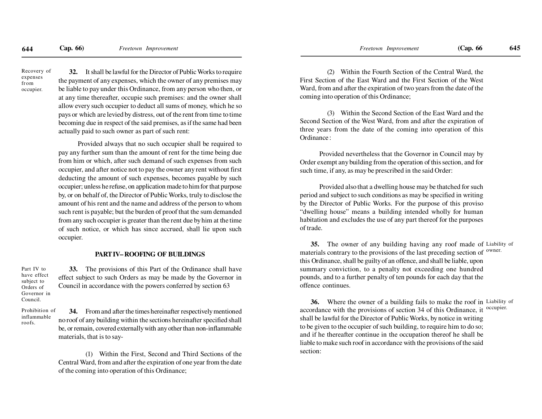Recovery ofexpensesfromoccupier.

**32.** It shall be lawful for the Director of Public Works to require the payment of any expenses, which the owner of any premises may be liable to pay under this Ordinance, from any person who then, or at any time thereafter, occupie such premises: and the owner shallallow every such occupier to deduct all sums of money, which he so pays or which are levied by distress, out of the rent from time to time becoming due in respect of the said premises, as if the same had beenactually paid to such owner as part of such rent:

Provided always that no such occupier shall be required to pay any further sum than the amount of rent for the time being due from him or which, after such demand of such expenses from such occupier, and after notice not to pay the owner any rent without firstdeducting the amount of such expenses, becomes payable by such occupier; unless he refuse, on application made to him for that purpose by, or on behalf of, the Director of Public Works, truly to disclose the amount of his rent and the name and address of the person to whom such rent is payable; but the burden of proof that the sum demanded from any such occupier is greater than the rent due by him at the time of such notice, or which has since accrued, shall lie upon suchoccupier.

#### **PART IV– ROOFING OF BUILDINGS**

**33.** The provisions of this Part of the Ordinance shall have effect subject to such Orders as may be made by the Governor inCouncil in accordance with the powers conferred by section 63Part IV to have effectsubject to Orders of Governor inCouncil.

Prohibition ofinflammableroofs.

**34.** From and after the times hereinafter respectively mentioned no roof of any building within the sections hereinafter specified shallbe, or remain, covered externally with any other than non-inflammablematerials, that is to say-

(1) Within the First, Second and Third Sections of the Central Ward, from and after the expiration of one year from the dateof the coming into operation of this Ordinance;

(2) Within the Fourth Section of the Central Ward, the First Section of the East Ward and the First Section of the WestWard, from and after the expiration of two years from the date of thecoming into operation of this Ordinance;

(3) Within the Second Section of the East Ward and the Second Section of the West Ward, from and after the expiration of three years from the date of the coming into operation of thisOrdinance :

Provided nevertheless that the Governor in Council may by Order exempt any building from the operation of this section, and forsuch time, if any, as may be prescribed in the said Order:

Provided also that a dwelling house may be thatched for such period and subject to such conditions as may be specified in writing by the Director of Public Works. For the purpose of this proviso "dwelling house" means a building intended wholly for human habitation and excludes the use of any part thereof for the purposesof trade.

**35.** The owner of any building having any roof made of Liability of materials contrary to the provisions of the last preceding section of <sup>owner.</sup> this Ordinance, shall be guilty of an offence, and shall be liable, upon summary conviction, to a penalty not exceeding one hundred pounds, and to a further penalty of ten pounds for each day that theoffence continues.

**36.** Where the owner of a building fails to make the roof in Liability of accordance with the provisions of section 34 of this Ordinance, itshall be lawful for the Director of Public Works, by notice in writing to be given to the occupier of such building, to require him to do so;and if he thereafter continue in the occupation thereof he shall be liable to make such roof in accordance with the provisions of the saidsection:occupier.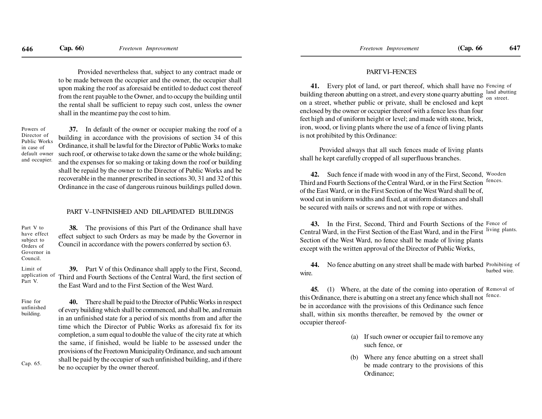Provided nevertheless that, subject to any contract made or to be made between the occupier and the owner, the occupier shallupon making the roof as aforesaid be entitled to deduct cost thereof from the rent payable to the Owner, and to occupy the building untilthe rental shall be sufficient to repay such cost, unless the ownershall in the meantime pay the cost to him.

Powers of Director of Public Worksin case of default ownerand occupier.

Part V.

**37.** In default of the owner or occupier making the roof of a building in accordance with the provisions of section 34 of this Ordinance, it shall be lawful for the Director of Public Works to make such roof, or otherwise to take down the same or the whole building;and the expenses for so making or taking down the roof or building shall be repaid by the owner to the Director of Public Works and be recoverable in the manner prescribed in sections 30, 31 and 32 of thisOrdinance in the case of dangerous ruinous buildings pulled down.

#### PART V–UNFINISHED AND DILAPIDATED BUILDINGS

**38.** The provisions of this Part of the Ordinance shall have effect subject to such Orders as may be made by the Governor inCouncil in accordance with the powers conferred by section 63.Part V to have effectsubject to Orders of Governor inCouncil.

**39.** Part V of this Ordinance shall apply to the First, Second, application of Third and Fourth Sections of the Central Ward, the first section of the East Ward and to the First Section of the West Ward.Limit of

**40.** There shall be paid to the Director of Public Works in respectof every building which shall be commenced, and shall be, and remain in an unfinished state for a period of six months from and after the time which the Director of Public Works as aforesaid fix for its completion, a sum equal to double the value of the city rate at which the same, if finished, would be liable to be assessed under the provisions of the Freetown Municipality Ordinance, and such amountshall be paid by the occupier of such unfinished building, and if therebe no occupier by the owner thereof.Fine for unfinishedbuilding.Cap. 65.

#### PART VI–FENCES

**41.** Every plot of land, or part thereof, which shall have no Fencing of building thereon abutting on a street, and every stone quarry abutting land abutting on a street, whether public or private, shall be enclosed and kept enclosed by the owner or occupier thereof with a fence less than four feet high and of uniform height or level; and made with stone, brick, iron, wood, or living plants where the use of a fence of living plantsis not prohibited by this Ordinance:on street.

Provided always that all such fences made of living plantsshall he kept carefully cropped of all superfluous branches.

**42.** Such fence if made with wood in any of the First, Second, WoodenThird and Fourth Sections of the Central Ward, or in the First Section of the East Ward, or in the First Section of the West Ward shall be of,wood cut in uniform widths and fixed, at uniform distances and shallbe secured with nails or screws and not with rope or withes.fences.

**43.** In the First, Second, Third and Fourth Sections of the Fence of Central Ward, in the First Section of the East Ward, and in the FirstSection of the West Ward, no fence shall be made of living plantsexcept with the written approval of the Director of Public Works,living plants.

**44.** No fence abutting on any street shall be made with barbed Prohibiting of wire.barbed wire.

**45.** (1) Where, at the date of the coming into operation of Removal of this Ordinance, there is abutting on a street any fence which shall not be in accordance with the provisions of this Ordinance such fence shall, within six months thereafter, be removed by the owner oroccupier thereoffence.

- (a) If such owner or occupier fail to remove anysuch fence, or
- (b) Where any fence abutting on a street shallbe made contrary to the provisions of thisOrdinance;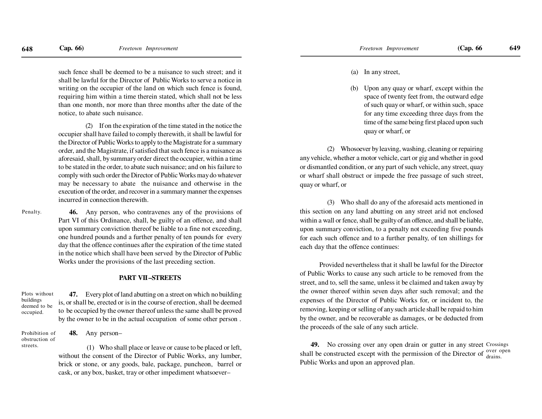such fence shall be deemed to be a nuisance to such street; and it shall be lawful for the Director of Public Works to serve a notice in writing on the occupier of the land on which such fence is found,requiring him within a time therein stated, which shall not be less than one month, nor more than three months after the date of thenotice, to abate such nuisance.

(2) If on the expiration of the time stated in the notice the occupier shall have failed to comply therewith, it shall be lawful for the Director of Public Works to apply to the Magistrate for a summary order, and the Magistrate, if satisfied that such fence is a nuisance as aforesaid, shall, by summary order direct the occupier, within a time to be stated in the order, to abate such nuisance; and on his failure to comply with such order the Director of Public Works may do whatever may be necessary to abate the nuisance and otherwise in the execution of the order, and recover in a summary manner the expensesincurred in connection therewith.

Penalty.

**46.** Any person, who contravenes any of the provisions of Part VI of this Ordinance, shall, be guilty of an offence, and shall upon summary conviction thereof be liable to a fine not exceeding,one hundred pounds and a further penalty of ten pounds for every day that the offence continues after the expiration of the time stated in the notice which shall have been served by the Director of PublicWorks under the provisions of the last preceding section.

#### **PART VII –STREETS**

Plots withoutbuildings deemed to beoccupied.

**47.** Every plot of land abutting on a street on which no building is, or shall be, erected or is in the course of erection, shall be deemed to be occupied by the owner thereof unless the same shall be provedby the owner to be in the actual occupation of some other person .

Prohibition of obstruction ofstreets.

**48.** Any person–

 (1) Who shall place or leave or cause to be placed or left, without the consent of the Director of Public Works, any lumber,brick or stone, or any goods, bale, package, puncheon, barrel orcask, or any box, basket, tray or other impediment whatsoever–

(b) Upon any quay or wharf, except within the space of twenty feet from, the outward edge of such quay or wharf, or within such, space for any time exceeding three days from the time of the same being first placed upon suchquay or wharf, or

(2) Whosoever by leaving, washing, cleaning or repairing any vehicle, whether a motor vehicle, cart or gig and whether in good or dismantled condition, or any part of such vehicle, any street, quay or wharf shall obstruct or impede the free passage of such street,quay or wharf, or

(3) Who shall do any of the aforesaid acts mentioned in this section on any land abutting on any street arid not enclosed within a wall or fence, shall be guilty of an offence, and shall be liable,upon summary conviction, to a penalty not exceeding five pounds for each such offence and to a further penalty, of ten shillings foreach day that the offence continues:

Provided nevertheless that it shall be lawful for the Directorof Public Works to cause any such article to be removed from the street, and to, sell the same, unless it be claimed and taken away by the owner thereof within seven days after such removal; and the expenses of the Director of Public Works for, or incident to, the removing, keeping or selling of any such article shall be repaid to him by the owner, and be recoverable as damages, or be deducted fromthe proceeds of the sale of any such article.

<sup>49</sup>. No crossing over any open drain or gutter in any street Crossings (1). Who shall place or leave or cause to be placed or left any street Crossings over any open drain or gutter in any street Crossings shall be constructed except with the permission of the Director of  $\frac{over\ }{drains}$ . Public Works and upon an approved plan.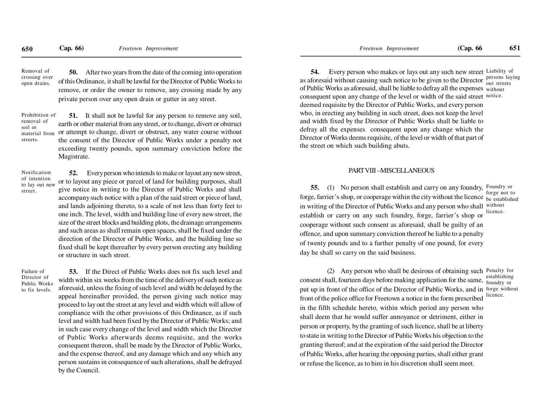**50.** After two years from the date of the coming into operation of this Ordinance, it shall be lawful for the Director of Public Works to remove, or order the owner to remove, any crossing made by anyprivate person over any open drain or gutter in any street.Removal of crossing overopen drains.

Prohibition ofremoval ofsoil or material fromstreets.

**51.** It shall not be lawful for any person to remove any soil, earth or other material from any street, or to change, divert or obstructor attempt to change, divert or obstruct, any water course withoutthe consent of the Director of Public Works under a penalty notexceeding twenty pounds, upon summary conviction before theMagistrate.

Notification of intention to lay out newstreet.

**52.** Every person who intends to make or layout any new street, or to layout any piece or parcel of land for building purposes, shallgive notice in writing to the Director of Public Works and shallaccompany such notice with a plan of the said street or piece of land,and lands adjoining thereto, to a scale of not less than forty feet to one inch. The level, width and building line of every new street, the size of the street blocks and building plots, the drainage arrangements and such areas as shall remain open spaces, shall be fixed under the direction of the Director of Public Works, and the building line so fixed shall be kept thereafter by every person erecting any buildingor structure in such street.

Failure of Director of Public Worksto fix levels.

**53.** If the Direct of Public Works does not fix such level and width within six weeks from the time of the delivery of such notice as aforesaid, unless the fixing of such level and width be delayed by the appeal hereinafter provided, the person giving such notice may proceed to lay out the street at any level and width which will allow of compliance with the other provisions of this Ordinance, as if such level and width had been fixed by the Director of Public Works; and in such case every change of the level and width which the Director of Public Works afterwards deems requisite, and the works consequent thereon, shall be made by the Director of Public Works,and the expense thereof, and any damage which and any which any person sustains in consequence of such alterations, shall be defrayedby the Council.

**54.** Every person who makes or lays out any such new street Liability of as aforesaid without causing such notice to be given to the Director persons laying of Public Works as aforesaid, shall be liable to defray all the expenses  $_{\rm without}$  consequent upon any change of the level or width of the said street notice. deemed requisite by the Director of Public Works, and every person who, in erecting any building in such street, does not keep the leveland width fixed by the Director of Public Works shall be liable to defray all the expenses consequent upon any change which the Director of Works deems requisite, of the level or width of that part ofthe street on which such building abuts.

#### PART VIII –MISCELLANEOUS

**55.** (1) No person shall establish and carry on any foundry, Foundry or forge, farrier's shop, or cooperage within the city without the licence be established in writing of the Director of Public Works and any person who shall without establish or carry on any such foundry, forge, farrier's shop orcooperage without such consent as aforesaid, shall be guilty of an offence, and upon summary conviction thereof be liable to a penalty of twenty pounds and to a further penalty of one pound, for everyday he shall so carry on the said business. forge not tolicence.

(2) Any person who shall be desirous of obtaining such Penalty for consent shall, fourteen days before making application for the same, establishing put up in front of the office of the Director of Public Works, and in forge without front of the police office for Freetown a notice in the form prescribed in the fifth schedule hereto, within which period any person who shall deem that he would suffer annoyance or detriment, either in person or property, by the granting of such licence, shall be at liberty to state in writing to the Director of Public Works his objection to thegranting thereof; and at the expiration of the said period the Directorof Public Works, after hearing the opposing parties, shall either grantor refuse the licence, as to him in his discretion shaII seem meet.establishing licence.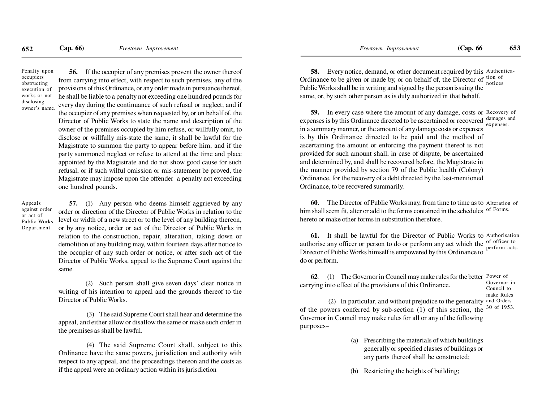Penalty uponoccupiers obstructing execution of works or notdisclosingowner's name.

**56.** If the occupier of any premises prevent the owner thereof from carrying into effect, with respect to such premises, any of the provisions of this Ordinance, or any order made in pursuance thereof,he shall be liable to a penalty not exceeding one hundred pounds for every day during the continuance of such refusal or neglect; and if the occupier of any premises when requested by, or on behalf of, the Director of Public Works to state the name and description of the owner of the premises occupied by him refuse, or willfully omit, to disclose or willfully mis-state the same, it shall be lawful for the Magistrate to summon the party to appear before him, and if the party summoned neglect or refuse to attend at the time and place appointed by the Magistrate and do not show good cause for such refusal, or if such wilful omission or mis-statement be proved, the Magistrate may impose upon the offender a penalty not exceedingone hundred pounds.

Appeals against orderor act of Public WorksDepartment.

**57.** (1) Any person who deems himself aggrieved by any order or direction of the Director of Public Works in relation to the level or width of a new street or to the level of any building thereon, or by any notice, order or act of the Director of Public Works in relation to the construction, repair, alteration, taking down or demolition of any building may, within fourteen days after notice to the occupier of any such order or notice, or after such act of the Director of Public Works, appeal to the Supreme Court against thesame.

(2) Such person shall give seven days' clear notice in writing of his intention to appeal and the grounds thereof to theDirector of Public Works.

 (3) The said Supreme Court shall hear and determine the appeal, and either allow or disallow the same or make such order inthe premises as shall be lawful.

 (4) The said Supreme Court shall, subject to this Ordinance have the same powers, jurisdiction and authority with respect to any appeal, and the proceedings thereon and the costs asif the appeal were an ordinary action within its jurisdiction

**58.** Every notice, demand, or other document required by this Authentica-Ordinance to be given or made by, or on behalf of, the Director of  $\frac{\text{tion of}}{\text{notes}}$ Public Works shall be in writing and signed by the person issuing the same, or, by such other person as is duly authorized in that behalf.

**59.** In every case where the amount of any damage, costs or Recovery of expenses is by this Ordinance directed to be ascertained or recovered damages and in a summary manner, or the amount of any damage costs or expenses is by this Ordinance directed to be paid and the method of ascertaining the amount or enforcing the payment thereof is notprovided for such amount shall, in case of dispute, be ascertained and determined by, and shall be recovered before, the Magistrate in the manner provided by section 79 of the Public health (Colony) Ordinance, for the recovery of a debt directed by the last-mentionedOrdinance, to be recovered summarily.

**60.** The Director of Public Works may, from time to time as to Alteration of him shall seem fit, alter or add to the forms contained in the schedules <sup>of Forms.</sup> hereto or make other forms in substitution therefore.

**61.** It shall be lawful for the Director of Public Works to Authorisation authorise any officer or person to do or perform any act which the  $\frac{1}{2}$  of officer to Director of Public Works himself is empowered by this Ordinance todo or perform.perform acts.

**62**. (1) The Governor in Council may make rules for the better Power of carrying into effect of the provisions of this Ordinance.Governor in

Council tomake Rules

 (2) In particular, and without prejudice to the generality and Orders of the powers conferred by sub-section (1) of this section, the Governor in Council may make rules for all or any of the followingpurposes–30 of 1953.

- (a) Prescribing the materials of which buildings generally or specified classes of buildings orany parts thereof shall be constructed;
- (b) Restricting the heights of building;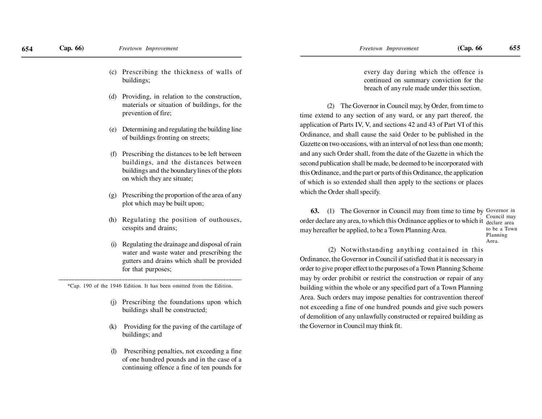- (c) Prescribing the thickness of walls ofbuildings;
- (d) Providing, in relation to the construction, materials or situation of buildings, for theprevention of fire;
- (e) Determining and regulating the building lineof buildings fronting on streets;
- (f) Prescribing the distances to be left between buildings, and the distances between buildings and the boundary lines of the plotson which they are situate;
- (g) Prescribing the proportion of the area of anyplot which may be built upon;
- (h) Regulating the position of outhouses, cesspits and drains;
- (i) Regulating the drainage and disposal of rain water and waste water and prescribing the gutters and drains which shall be providedfor that purposes;

\_\_\_\_\_\_\_\_\_\_\_\_\_\_\_\_\_\_\_\_\_\_\_\_\_\_\_\_\_\_\_\_\_\_\_\_\_\_\_\_\_\_\_\_\_\_\_\_\_\_\_\_\_\_\_\_\_\_\_\_\_\_\_\_\_\*Cap. 190 of the 1946 Edition. It has been omitted from the Edition.

- (j) Prescribing the foundations upon whichbuildings shall be constructed;
- (k) Providing for the paving of the cartilage ofbuildings; and
- Prescribing penalties, not exceeding a fine. of one hundred pounds and in the case of acontinuing offence a fine of ten pounds for

every day during which the offence is continued on summary conviction for thebreach of any rule made under this section.

(2) The Governor in Council may, by Order, from time to time extend to any section of any ward, or any part thereof, theapplication of Parts IV, V, and sections 42 and 43 of Part VI of thisOrdinance, and shall cause the said Order to be published in theGazette on two occasions, with an interval of not less than one month;and any such Order shall, from the date of the Gazette in which thesecond publication shall be made, be deemed to be incorporated with this Ordinance, and the part or parts of this Ordinance, the application of which is so extended shall then apply to the sections or placeswhich the Order shall specify.

**63.** (1) The Governor in Council may from time to time by Governor in order declare any area, to which this Ordinance applies or to which it  $\frac{1}{\text{delay}}$ may hereafter be applied, to be a Town Planning Area.

 Council may to be a TownPlanningArea.

 (2) Notwithstanding anything contained in thisOrdinance, the Governor in Council if satisfied that it is necessary in order to give proper effect to the purposes of a Town Planning Schememay by order prohibit or restrict the construction or repair of any building within the whole or any specified part of a Town PlanningArea. Such orders may impose penalties for contravention thereofnot exceeding a fine of one hundred pounds and give such powersof demolition of any unlawfully constructed or repaired building asthe Governor in Council may think fit.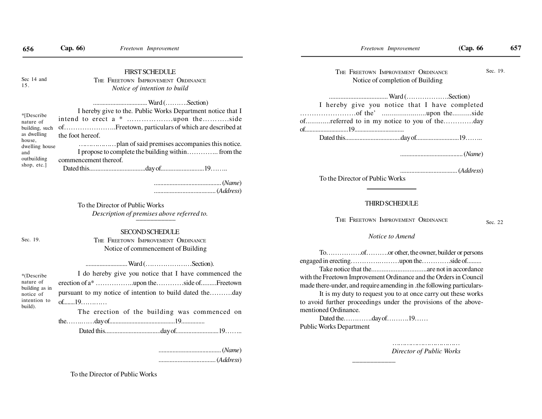| 656                                                                                                                       | Cap. 66)                                                                                                                                                                                                                                                                                                                                                                                                | Freetown Improvement                                                                               | (Cap. 66)<br>Freetown Improvement                                                                                                                                                                                                                                                                                                                             |          | 657 |  |
|---------------------------------------------------------------------------------------------------------------------------|---------------------------------------------------------------------------------------------------------------------------------------------------------------------------------------------------------------------------------------------------------------------------------------------------------------------------------------------------------------------------------------------------------|----------------------------------------------------------------------------------------------------|---------------------------------------------------------------------------------------------------------------------------------------------------------------------------------------------------------------------------------------------------------------------------------------------------------------------------------------------------------------|----------|-----|--|
| Sec 14 and<br>15.                                                                                                         |                                                                                                                                                                                                                                                                                                                                                                                                         | <b>FIRST SCHEDULE</b><br>THE FREETOWN IMPROVEMENT ORDINANCE<br>Notice of intention to build        | THE FREETOWN IMPROVEMENT ORDINANCE<br>Notice of completion of Building                                                                                                                                                                                                                                                                                        | Sec. 19. |     |  |
| *[Describe<br>nature of<br>building, such<br>as dwelling<br>house,<br>dwelling house<br>and<br>outbuilding<br>shop, etc.] | I hereby give to the. Public Works Department notice that I<br>ofFreetown, particulars of which are described at<br>the foot hereof.<br>I propose to complete the building within from the<br>commencement thereof.<br>$\ldots \ldots \ldots \ldots \ldots \ldots \ldots \ldots \ldots \ldots \ldots \ldots (Address)$<br>To the Director of Public Works<br>Description of premises above referred to. |                                                                                                    | I hereby give you notice that I have completed<br>ofreferred to in my notice to you of theday<br>$\dots\dots\dots\dots\dots\dots\dots\dots\dots\dots\dots(Address)$<br>To the Director of Public Works                                                                                                                                                        |          |     |  |
|                                                                                                                           |                                                                                                                                                                                                                                                                                                                                                                                                         |                                                                                                    | <b>THIRD SCHEDULE</b>                                                                                                                                                                                                                                                                                                                                         |          |     |  |
|                                                                                                                           |                                                                                                                                                                                                                                                                                                                                                                                                         |                                                                                                    | THE FREETOWN IMPROVEMENT ORDINANCE<br>Sec. 22                                                                                                                                                                                                                                                                                                                 |          |     |  |
| Sec. 19.                                                                                                                  |                                                                                                                                                                                                                                                                                                                                                                                                         | <b>SECOND SCHEDULE</b><br>THE FREETOWN IMPROVEMENT ORDINANCE<br>Notice of commencement of Building | Notice to Amend<br>Toofor other, the owner, builder or persons                                                                                                                                                                                                                                                                                                |          |     |  |
| *(Describe<br>nature of<br>building as in<br>notice of<br>intention to<br>build).                                         | I do hereby give you notice that I have commenced the<br>pursuant to my notice of intention to build dated theday<br>$of$ 19<br>The erection of the building was commenced on                                                                                                                                                                                                                           |                                                                                                    | with the Freetown Improvement Ordinance and the Orders in Council<br>made there-under, and require amending in .the following particulars-<br>It is my duty to request you to at once carry out these works<br>to avoid further proceedings under the provisions of the above-<br>mentioned Ordinance.<br>Dated theday of19<br><b>Public Works Department</b> |          |     |  |
|                                                                                                                           |                                                                                                                                                                                                                                                                                                                                                                                                         |                                                                                                    | <b>Director of Public Works</b>                                                                                                                                                                                                                                                                                                                               |          |     |  |

To the Director of Public Works

## THIRD SCHEDULE

## *Notice to Amend*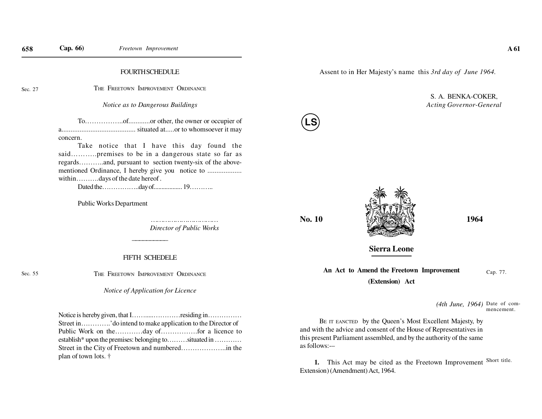#### **FOURTH SCHEDULE**

Sec. 27

Sec. 55

THE FREETOWN IMPROVEMENT ORDINANCE

*Notice as to Dangerous Buildings*

To……………..of............or other, the owner or occupier of a......................................... situated at.....or to whomsoever it mayconcern.

Take notice that I have this day found the said………..premises to be in a dangerous state so far as regards………..and, pursuant to section twenty-six of the abovementioned Ordinance, I hereby give you notice to ...................within……….days of the date hereof .

Dated the……………..day of.................. 19………..

Public Works Department

…………………………………… *Director of Public Works*

#### FIFTH SCHEDELE

\_\_\_\_\_\_\_\_\_

THE FREETOWN IMPROVEMENT ORDINANCE

#### *Notice of Application for Licence*

Notice is hereby given, that I…….....…………residing in…………… Street in………….'do intend to make application to the Director of Public Work on the…………day of…………….for a licence to establish\* upon the premises: belonging to………situated in ………… Street in the City of Freetown and numbered………………..in theplan of town lots. †

Assent to in Her Majesty's name this *3rd day of June 1964.*

## S. A. BENKA-COKER,*Acting Governor-General*





**Sierra Leone**

**An Act to Amend the Freetown Improvement(Extension) Act**

Cap. 77.

*(4th June, 1964)* Date of commencement.

BE IT EANCTED by the Queen's Most Excellent Majesty, by and with the advice and consent of the House of Representatives in this present Parliament assembled, and by the authority of the sameas follows:-–

**1.** This Act may be cited as the Freetown Improvement Short title. Extension) (Amendment) Act, 1964.

**LS**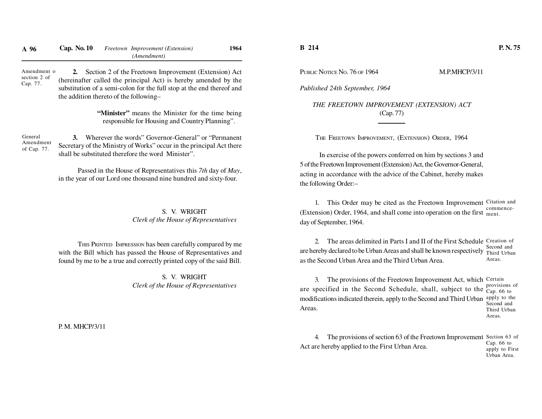| A 96                                    | Cap. No. 10                                                                                        |  | Freetown Improvement (Extension)<br>(Amendment)                                                                                                                                                   | 1964 |  |  |
|-----------------------------------------|----------------------------------------------------------------------------------------------------|--|---------------------------------------------------------------------------------------------------------------------------------------------------------------------------------------------------|------|--|--|
| Amendment o<br>section 2 of<br>Cap. 77. | 2.<br>the addition thereto of the following-                                                       |  | Section 2 of the Freetown Improvement (Extension) Act<br>(hereinafter called the principal Act) is hereby amended by the<br>substitution of a semi-colon for the full stop at the end thereof and |      |  |  |
|                                         | "Minister" means the Minister for the time being<br>responsible for Housing and Country Planning". |  |                                                                                                                                                                                                   |      |  |  |
| General<br>Amendment<br>of Cap. 77.     | 3.                                                                                                 |  | Wherever the words" Governor-General" or "Permanent<br>Secretary of the Ministry of Works" occur in the principal Act there<br>shall be substituted therefore the word Minister".                 |      |  |  |
|                                         |                                                                                                    |  | Passed in the House of Representatives this 7th day of May,<br>in the year of our Lord one thousand nine hundred and sixty-four.                                                                  |      |  |  |
|                                         |                                                                                                    |  | S. V. WRIGHT<br>Clerk of the House of Representatives                                                                                                                                             |      |  |  |

THIS PRINTED IMPRESSION has been carefully compared by me with the Bill which has passed the House of Representatives andfound by me to be a true and correctly printed copy of the said Bill.

> S. V. WRIGHT*Clerk of the House of Representatives*

P. M. MHCP/3/11

## **B 214**

PUBLIC NOTICE NO. 76 OF 1964 M.P.MHCP/3/11

*Published 24th September, 1964*

*THE FREETOWN IMPROVEMENT (EXTENSION) ACT*(Cap. 77)

THE FREETOWN IMPROVEMENT, (EXTENSION) ORDER, 1964

In exercise of the powers conferred on him by sections 3 and 5 of the Freetown Improvement (Extension) Act, the Governor-General,acting in accordance with the advice of the Cabinet, hereby makesthe following Order:–

1. This Order may be cited as the Freetown Improvement Citation and (Extension) Order, 1964, and shall come into operation on the first  $_{\text{ment}}$ . day of September, 1964.commence-

2. The areas delimited in Parts I and II of the First Schedule Creation of are hereby declared to be Urban Areas and shall be known respectively Third Urban as the Second Urban Area and the Third Urban Area. Second andAreas.

3. The provisions of the Freetown Improvement Act, which Certain are specified in the Second Schedule, shall, subject to the  $_{Cap. 66 \text{ to}}^{\text{provisions}}$  modifications indicated therein, apply to the Second and Third Urban apply to the Areas. provisions ofSecond and Third UrbanAreas.

4. The provisions of section 63 of the Freetown Improvement Section 63 of Act are hereby applied to the First Urban Area.Cap. 66 to apply to FirstUrban Area.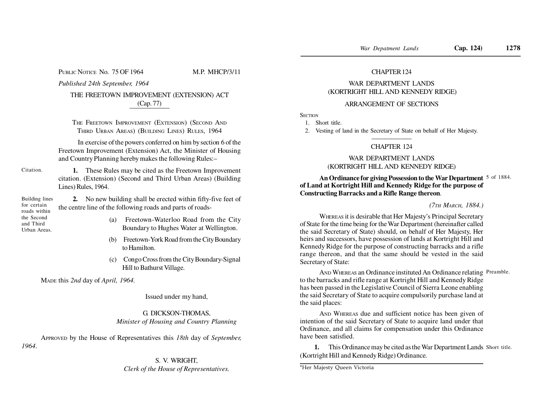PUBLIC NOTICE No. 75 OF 1964 M.P. MHCP/3/11

*Published 24th September, 1964*

#### THE FREETOWN IMPROVEMENT (EXTENSION) ACT(Cap. 77)——————

THE FREETOWN IMPROVEMENT (EXTENSION) (SECOND ANDTHIRD URBAN AREAS) (BUILDING LINES) RULES, 1964

In exercise of the powers conferred on him by section 6 of the Freetown Improvement (Extension) Act, the Minister of Housingand Country Planning hereby makes the following Rules:–

Citation.

**1.** These Rules may be cited as the Freetown Improvementcitation. (Extension) (Second and Third Urban Areas) (BuildingLines) Rules, 1964.

Building linesfor certain roads within the Second and ThirdUrban Areas.

- **2.** No new building shall be erected within fifty-five feet ofthe centre line of the following roads and parts of roads-
	- (a) Freetown-Waterloo Road from the CityBoundary to Hughes Water at Wellington.
	- (b) Freetown-York Road from the City Boundaryto Hamilton.
	- (c) Congo Cross from the City Boundary-SignalHill to Bathurst Village.

MADE this *2nd* day of *April, 1964.*

Issued under my hand,

## G. DICKSON-THOMAS,*Minister of Housing and Country Planning*

APPROVED by the House of Representatives this *18th* day of *September,1964.*

## S. V. WRIGHT,*Clerk of the House of Representatives.*

## CHAPTER 124

# WAR DEPARTMENT LANDS(KORTRIGHT HILL AND KENNEDY RIDGE)

## ARRANGEMENT OF SECTIONS

**SECTION** 

1. Short title.

2. Vesting of land in the Secretary of State on behalf of Her Majesty.

#### ——————CHAPTER 124

## WAR DEPARTMENT LANDS(KORTRIGHT HILL AND KENNEDY RIDGE)

## **An Ordinance for giving Possession to the War Department**5 of 1884. **of Land at Kortright Hill and Kennedy Ridge for the purpose ofConstructing Barracks and a Rifle Range thereon**.

#### *(7TH MARCH, 1884.)*

WHEREAS it is desirable that Her Majesty's Principal Secretary of State for the time being for the War Department (hereinafter called the said Secretary of State) should, on behalf of Her Majesty, Her heirs and successors, have possession of lands at Kortright Hill and Kennedy Ridge for the purpose of constructing barracks and a rifle range thereon, and that the same should be vested in the saidSecretary of State:

AND WHEREAS an Ordinance instituted An Ordinance relating Preamble. to the barracks and rifle range at Kortright Hill and Kennedy Ridge has been passed in the Legislative Council of Sierra Leone enabling the said Secretary of State to acquire compulsorily purchase land atthe said places:

AND WHEREAS due and sufficient notice has been given of intention of the said Secretary of State to acquire land under that Ordinance, and all claims for compensation under this Ordinancehave been satisfied.

**1.** This Ordinance may be cited as the War Department Lands Short title. (Kortright Hill and Kennedy Ridge) Ordinance.

\*Her Majesty Queen Victoria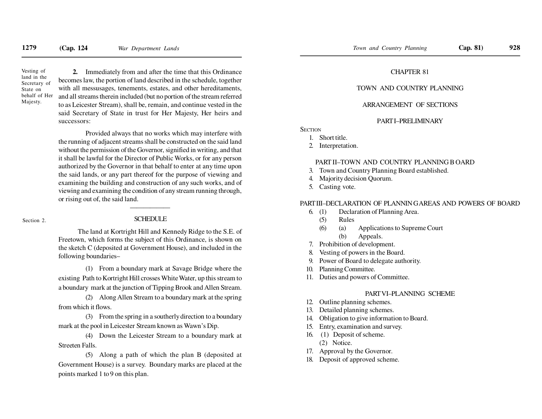Vesting of land in the Secretary ofState on behalf of HerMajesty.

**2.** Immediately from and after the time that this Ordinance becomes law, the portion of land described in the schedule, together with all messusages, tenements, estates, and other hereditaments,and all streams therein included (but no portion of the stream referred to as Leicester Stream), shall be, remain, and continue vested in the said Secretary of State in trust for Her Majesty, Her heirs andsuccessors:

Provided always that no works which may interfere with the running of adjacent streams shall be constructed on the said land without the permission of the Governor, signified in writing, and thatit shall be lawful for the Director of Public Works, or for any person authorized by the Governor in that behalf to enter at any time upon the said lands, or any part thereof for the purpose of viewing and examining the building and construction of any such works, and of viewing and examining the condition of any stream running through,or rising out of, the said land.

Section 2.

#### **SCHEDULE**

The land at Kortright Hill and Kennedy Ridge to the S.E. of Freetown, which forms the subject of this Ordinance, is shown on the sketch C (deposited at Government House), and included in the following boundaries–

(1) From a boundary mark at Savage Bridge where theexisting Path to Kortright Hill crosses White Water, up this stream toa boundary mark at the junction of Tipping Brook and Allen Stream.

(2) Along Allen Stream to a boundary mark at the springfrom which it flows.

(3) From the spring in a southerly direction to a boundarymark at the pool in Leicester Stream known as Wawn's Dip.

(4) Down the Leicester Stream to a boundary mark atStreeten Falls.

(5) Along a path of which the plan B (deposited atGovernment House) is a survey. Boundary marks are placed at thepoints marked 1 to 9 on this plan.

## CHAPTER 81

## TOWN AND COUNTRY PLANNING

#### ARRANGEMENT OF SECTIONS

## PART I–PRELIMINARY

**SECTION** 

- 1. Short title.
- 2. Interpretation.

#### PART II–TOWN AND COUNTRY PLANNING B OARD

- 3. Town and Country Planning Board established.
- 4. Majority decision Quorum.
- 5. Casting vote.

#### PART III–DECLARATION OF PLANNIN G AREAS AND POWERS OF BOARD

- 6. (1) Declaration of Planning Area.
	- (5) Rules
	- (6) (a) Applications to Supreme Court(b) Appeals.
- 7. Prohibition of development.
- 8. Vesting of powers in the Board.
- 9. Power of Board to delegate authority.
- 10. Planning Committee.
- 11. Duties and powers of Committee.

#### PART VI–PLANNING SCHEME

- 12. Outline planning schemes.
- 13. Detailed planning schemes.
- 14. Obligation to give information to Board.
- 15. Entry, examination and survey.
- 16. (1) Deposit of scheme.
	- (2) Notice.
- 17. Approval by the Governor.
- 18. Deposit of approved scheme.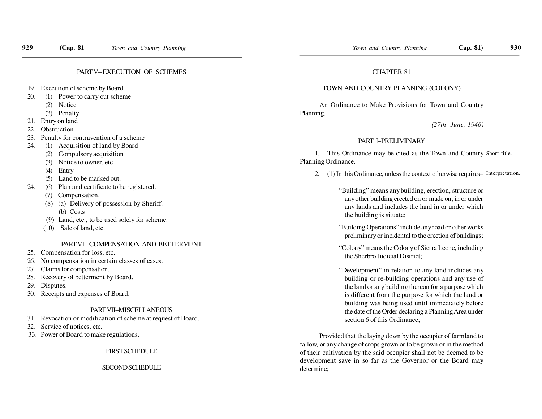## PART V– EXECUTION OF SCHEMES

- 19. Execution of scheme by Board.
- 20. (1) Power to carry out scheme
	- (2) Notice
	- (3) Penalty
- 21. Entry on land
- 22. Obstruction
- 23. Penalty for contravention of a scheme
- 24. (1) Acquisition of land by Board
	- (2) Compulsory acquisition
	- (3) Notice to owner, etc
	- (4) Entry
	- (5) Land to be marked out.
- 24. (6) Plan and certificate to be registered.
	- (7) Compensation.
	- (8) (a) Delivery of possession by Sheriff. (b) Costs
	- (9) Land, etc., to be used solely for scheme.
	- (10) Sale of land, etc.

## PART VI.–COMPENSATION AND BETTERMENT

- 25. Compensation for loss, etc.
- 26. No compensation in certain classes of cases.
- 27. Claims for compensation.
- 28. Recovery of betterment by Board.
- 29. Disputes.
- 30. Receipts and expenses of Board.

#### PART VII–MISCELLANEOUS

- 31. Revocation or modification of scheme at request of Board.
- 32. Service of notices, etc.
- 33. Power of Board to make regulations.

FIRST SCHEDULE

#### **SECOND SCHEDULE**

## CHAPTER 81

#### TOWN AND COUNTRY PLANNING (COLONY)

An Ordinance to Make Provisions for Town and CountryPlanning.

*(27th June, 1946)*

## PART I–PRELIMINARY

1. This Ordinance may be cited as the Town and Country Short title. Planning Ordinance.

2. (1) In this Ordinance, unless the context otherwise requires–Interpretation.

"Building" means any building, erection, structure or any other building erected on or made on, in or under any lands and includes the land in or under whichthe building is situate;

"Building Operations" include any road or other workspreliminary or incidental to the erection of buildings;

"Colony" means the Colony of Sierra Leone, includingthe Sherbro Judicial District;

"Development" in relation to any land includes any building or re-building operations and any use of the land or any building thereon for a purpose which is different from the purpose for which the land or building was being used until immediately before the date of the Order declaring a Planning Area undersection 6 of this Ordinance:

Provided that the laying down by the occupier of farmland to fallow, or any change of crops grown or to be grown or in the method of their cultivation by the said occupier shall not be deemed to be development save in so far as the Governor or the Board maydetermine;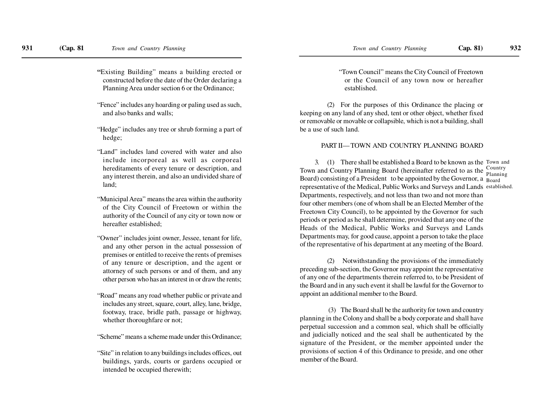**"**Existing Building" means a building erected or constructed before the date of the Order declaring aPlanning Area under section 6 or the Ordinance;

"Fence" includes any hoarding or paling used as such,and also banks and walls;

- "Hedge" includes any tree or shrub forming a part ofhedge;
- "Land" includes land covered with water and also include incorporeal as well as corporeal hereditaments of every tenure or description, and any interest therein, and also an undivided share ofland;
- "Municipal Area" means the area within the authority of the City Council of Freetown or within the authority of the Council of any city or town now orhereafter established;
- "Owner" includes joint owner, Jessee, tenant for life,and any other person in the actual possession of premises or entitled to receive the rents of premises of any tenure or description, and the agent or attorney of such persons or and of them, and anyother person who has an interest in or draw the rents;
- "Road" means any road whether public or private and includes any street, square, court, alley, lane, bridge,footway, trace, bridle path, passage or highway,whether thoroughfare or not;

"Scheme" means a scheme made under this Ordinance;

"Site" in relation to any buildings includes offices, outbuildings, yards, courts or gardens occupied orintended be occupied therewith;

"Town Council" means the City Council of Freetown or the Council of any town now or hereafterestablished.

(2) For the purposes of this Ordinance the placing or keeping on any land of any shed, tent or other object, whether fixed or removable or movable or collapsible, which is not a building, shallbe a use of such land.

#### PART II— TOWN AND COUNTRY PLANNING BOARD

3. (1) There shall be established a Board to be known as the Town and Town and Country Planning Board (hereinafter referred to as the Board) consisting of a President to be appointed by the Governor, a  $_{\rm Board}$  representative of the Medical, Public Works and Surveys and Lands established. Departments, respectively, and not less than two and not more than four other members (one of whom shall be an Elected Member of the Freetown City Council), to be appointed by the Governor for such periods or period as he shall determine, provided that any one of the Heads of the Medical, Public Works and Surveys and Lands Departments may, for good cause, appoint a person to take the place of the representative of his department at any meeting of the Board.Country Planning

(2) Notwithstanding the provisions of the immediately preceding sub-section, the Governor may appoint the representative of any one of the departments therein referred to, to be President of the Board and in any such event it shall be lawful for the Governor toappoint an additional member to the Board.

 (3) The Board shall be the authority for town and country planning in the Colony and shall be a body corporate and shall have perpetual succession and a common seal, which shall be officially and judicially noticed and the seal shall be authenticated by the signature of the President, or the member appointed under the provisions of section 4 of this Ordinance to preside, and one othermember of the Board.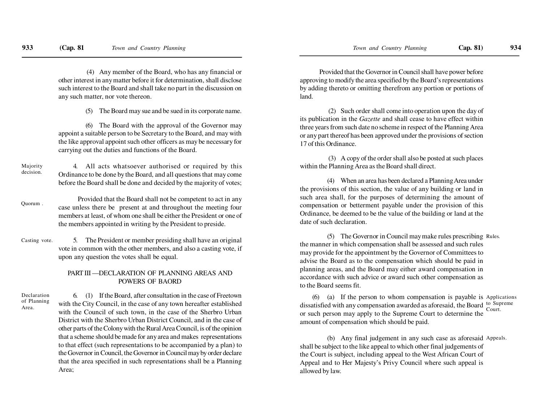(4) Any member of the Board, who has any financial or other interest in any matter before it for determination, shall disclose such interest to the Board and shall take no part in the discussion onany such matter, nor vote thereon.

(5) The Board may sue and be sued in its corporate name.

(6) The Board with the approval of the Governor may appoint a suitable person to be Secretary to the Board, and may with the like approval appoint such other officers as may be necessary forcarrying out the duties and functions of the Board.

4. All acts whatsoever authorised or required by this Ordinance to be done by the Board, and all questions that may come before the Board shall be done and decided by the majority of votes;Majoritydecision.

Provided that the Board shall not be competent to act in any case unless there be present at and throughout the meeting four members at least, of whom one shall be either the President or one ofthe members appointed in writing by the President to preside.Quorum .

5. The President or member presiding shall have an original vote in common with the other members, and also a casting vote, ifupon any question the votes shall be equal.Casting vote.

# PART III —DECLARATION OF PLANNING AREAS ANDPOWERS OF BAORD

Declaration of PlanningArea.

6. (1) If the Board, after consultation in the case of Freetown with the City Council, in the case of any town hereafter established with the Council of such town, in the case of the Sherbro Urban District with the Sherbro Urban District Council, and in the case of other parts of the Colony with the Rural Area Council, is of the opinion that a scheme should be made for any area and makes representations to that effect (such representations to be accompanied by a plan) to the Governor in Council, the Governor in Council may by order declare that the area specified in such representations shall be a PlanningArea;

Provided that the Governor in Council shall have power before approving to modify the area specified by the Board's representations by adding thereto or omitting therefrom any portion or portions ofland.

 (2) Such order shall come into operation upon the day of its publication in the *Gazette* and shall cease to have effect within three years from such date no scheme in respect of the Planning Area or any part thereof has been approved under the provisions of section17 of this Ordinance.

 (3) A copy of the order shall also be posted at such placeswithin the Planning Area as the Board shall direct.

(4) When an area has been declared a Planning Area under the provisions of this section, the value of any building or land in such area shall, for the purposes of determining the amount of compensation or betterment payable under the provision of this Ordinance, be deemed to be the value of the building or land at thedate of such declaration.

(5) The Governor in Council may make rules prescribing Rules. the manner in which compensation shall be assessed and such rules may provide for the appointment by the Governor of Committees to advise the Board as to the compensation which should be paid in planning areas, and the Board may either award compensation in accordance with such advice or award such other compensation asto the Board seems fit.

 $(6)$  (a) If the person to whom compensation is payable is Applications dissatisfied with any compensation awarded as aforesaid, the Board <sup>to Supreme</sup> or such person may apply to the Supreme Court to determine theamount of compensation which should be paid.Court.

(b) Any final judgement in any such case as aforesaid Appeals. shall be subject to the like appeal to which other final judgements of the Court is subject, including appeal to the West African Court of Appeal and to Her Majesty's Privy Council where such appeal isallowed by law.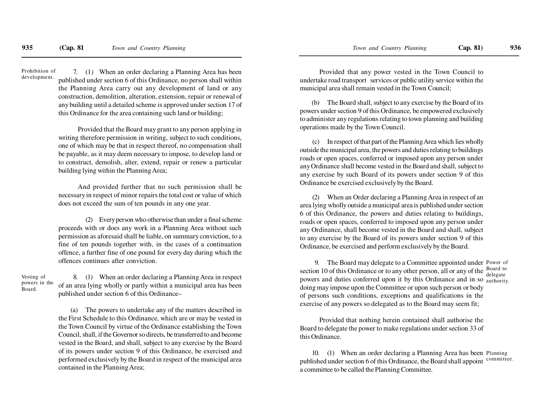7. (1*)* When an order declaring a Planning Area has been published under section 6 of this Ordinance, no person shall within the Planning Area carry out any development of land or any construction, demolition, alteration, extension, repair or renewal of any building until a detailed scheme is approved under section 17 ofthis Ordinance for the area containing such land or building;Prohibition ofdevelopment.

> Provided that the Board may grant to any person applying in writing therefore permission in writing, subject to such conditions, one of which may be that in respect thereof, no compensation shallbe payable, as it may deem necessary to impose, to develop land or to construct, demolish, alter, extend, repair or renew a particularbuilding lying within the Planning Area;

> And provided further that no such permission shall be necessary in respect of minor repairs the total cost or value of whichdoes not exceed the sum of ten pounds in any one year.

> (2) Every person who otherwise than under a final scheme proceeds with or does any work in a Planning Area without such permission as aforesaid shall be liable, on summary conviction, to a fine of ten pounds together with, in the cases of a continuation offence, a further fine of one pound for every day during which theoffences continues after conviction.

Vesting of powers in theBoard.

8. (1) When an order declaring a Planning Area in respectof an area lying wholly or partly within a municipal area has beenpublished under section 6 of this Ordinance–

(a) The powers to undertake any of the matters described in the First Schedule to this Ordinance, which are or may be vested in the Town Council by virtue of the Ordinance establishing the Town Council, shall, if the Governor so directs, be transferred to and become vested in the Board, and shall, subject to any exercise by the Board of its powers under section 9 of this Ordinance, be exercised and performed exclusively by the Board in respect of the municipal areacontained in the Planning Area;

Provided that any power vested in the Town Council to undertake road transport services or public utility service within themunicipal area shall remain vested in the Town Council;

(b) The Board shall, subject to any exercise by the Board of its powers under section 9 of this Ordinance, be empowered exclusively to administer any regulations relating to town planning and buildingoperations made by the Town Council.

(c) In respect of that part of the Planning Area which lies wholly outside the municipal area, the powers and duties relating to buildings roads or open spaces, conferred or imposed upon any person under any Ordinance shall become vested in the Board and shall, subject to any exercise by such Board of its powers under section 9 of thisOrdinance be exercised exclusively by the Board.

(2) When an Order declaring a Planning Area in respect of an area lying wholly outside a municipal area is published under section 6 of this Ordinance, the powers and duties relating to buildings,roads or open spaces, conferred to imposed upon any person under any Ordinance, shall become vested in the Board and shall, subject to any exercise by the Board of its powers under section 9 of thisOrdinance, be exercised and perform exclusively by the Board.

9. The Board may delegate to a Committee appointed under Power of section 10 of this Ordinance or to any other person, all or any of the powers and duties conferred upon it by this Ordinance and in so <sub>authority</sub> doing may impose upon the Committee or upon such person or body of persons such conditions, exceptions and qualifications in the exercise of any powers so delegated as to the Board may seem fit;Board to delegate

Provided that nothing herein contained shall authorise the Board to delegate the power to make regulations under section 33 ofthis Ordinance.

10. (1) When an order declaring a Planning Area has been Planning published under section 6 of this Ordinance, the Board shall appoint a committee to be called the Planning Committee.committee.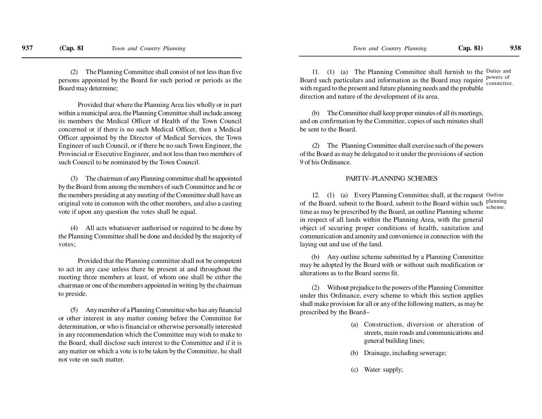(2) The Planning Committee shall consist of not less than five persons appointed by the Board for such period or periods as theBoard may determine;

Provided that where the Planning Area lies wholly or in partwithin a municipal area, the Planning Committee shall include among its members the Medical Officer of Health of the Town Councilconcerned or if there is no such Medical Officer, then a MedicalOfficer appointed by the Director of Medical Services, the Town Engineer of such Council, or if there be no such Town Engineer, the Provincial or Executive Engineer, and not less than two members ofsuch Council to be nominated by the Town Council.

(3) The chairman of any Planning committee shall be appointed by the Board from among the members of such Committee and he or the members presiding at any meeting of the Committee shall have an original vote in common with the other members, and also a castingvote if upon any question the votes shall be equal.

(4) All acts whatsoever authorised or required to be done by the Planning Committee shall be done and decided by the majority ofvotes;

Provided that the Planning committee shall not be competentto act in any case unless there be present at and throughout the meeting three members at least, of whom one shall be either the chairman or one of the members appointed in writing by the chairmanto preside.

(5) Any member of a Planning Committee who has any financialor other interest in any matter coming before the Committee for determination, or who is financial or otherwise personally interested in any recommendation which the Committee may wish to make to the Board, shall disclose such interest to the Committee and if it is any matter on which a vote is to be taken by the Committee, he shallnot vote on such matter.

11. (1) (a) The Planning Committee shall furnish to the Duties and Board such particulars and information as the Board may require with regard to the present and future planning needs and the probabledirection and nature of the development of its area.powers of committee.

(b) The Committee shall keep proper minutes of all its meetings, and on confirmation by the Committee, copies of such minutes shallbe sent to the Board.

(2) The Planning Committee shall exercise such of the powers of the Board as may be delegated to it under the provisions of section9 of his Ordinance.

#### PART IV–PLANNING SCHEMES

12. (1) (a) Every Planning Committee shall, at the request Outline of the Board, submit to the Board, submit to the Board within such planning time as may be prescribed by the Board, an outline Planning scheme in respect of all lands within the Planning Area, with the generalobject of securing proper conditions of health, sanitation and communication and amenity and convenience in connection with thelaying out and use of the land.scheme.

 (b) Any outline scheme submitted by a Planning Committee may be adopted by the Board with or without such modification oralterations as to the Board seems fit.

 (2) Without prejudice to the powers of the Planning Committee under this Ordinance, every scheme to which this section applies shall make provision for all or any of the following matters, as may beprescribed by the Board–

- (a) Construction, diversion or alteration of streets, main roads and communications andgeneral building lines;
- (b) Drainage, including sewerage;
- (c) Water supply;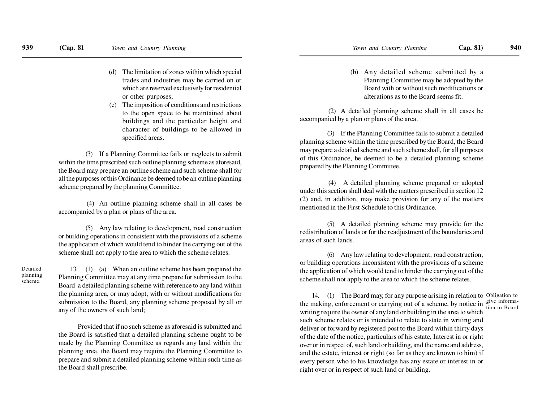- (d) The limitation of zones within which special trades and industries may be carried on or which are reserved exclusively for residentialor other purposes;
- (e) The imposition of conditions and restrictions to the open space to be maintained aboutbuildings and the particular height and character of buildings to be allowed inspecified areas.

(3) If a Planning Committee fails or neglects to submit within the time prescribed such outline planning scheme as aforesaid,the Board may prepare an outline scheme and such scheme shall for all the purposes of this Ordinance be deemed to be an outline planningscheme prepared by the planning Committee.

 (4) An outline planning scheme shall in all cases beaccompanied by a plan or plans of the area.

(5) Any law relating to development, road construction or building operations in consistent with the provisions of a scheme the application of which would tend to hinder the carrying out of thescheme shall not apply to the area to which the scheme relates.

Detailed planningscheme.

13. (1) (a) When an outline scheme has been prepared the Planning Committee may at any time prepare for submission to the Board a detailed planning scheme with reference to any land within the planning area, or may adopt, with or without modifications for submission to the Board, any planning scheme proposed by all orany of the owners of such land;

Provided that if no such scheme as aforesaid is submitted and the Board is satisfied that a detailed planning scheme ought to be made by the Planning Committee as regards any land within the planning area, the Board may require the Planning Committee to prepare and submit a detailed planning scheme within such time asthe Board shall prescribe.

 (b) Any detailed scheme submitted by a Planning Committee may be adopted by the Board with or without such modifications oralterations as to the Board seems fit.

 (2) A detailed planning scheme shall in all cases beaccompanied by a plan or plans of the area.

(3) If the Planning Committee fails to submit a detailed planning scheme within the time prescribed by the Board, the Board may prepare a detailed scheme and such scheme shall, for all purposes of this Ordinance, be deemed to be a detailed planning schemeprepared by the Planning Committee.

 (4) A detailed planning scheme prepared or adopted under this section shall deal with the matters prescribed in section 12 (2) and, in addition, may make provision for any of the mattersmentioned in the First Schedule to this Ordinance.

(5) A detailed planning scheme may provide for the redistribution of lands or for the readjustment of the boundaries andareas of such lands.

(6) Any law relating to development, road construction, or building operations inconsistent with the provisions of a scheme the application of which would tend to hinder the carrying out of thescheme shall not apply to the area to which the scheme relates.

14. (1) The Board may, for any purpose arising in relation to Obligation to the making, enforcement or carrying out of a scheme, by notice in  $\frac{\text{give inform}}{\text{tion to Bond}}$  writing require the owner of any land or building in the area to which such scheme relates or is intended to relate to state in writing and deliver or forward by registered post to the Board within thirty days of the date of the notice, particulars of his estate, Interest in or rightover or in respect of, such land or building, and the name and address,and the estate, interest or right (so far as they are known to him) if every person who to his knowledge has any estate or interest in orright over or in respect of such land or building.tion to Board.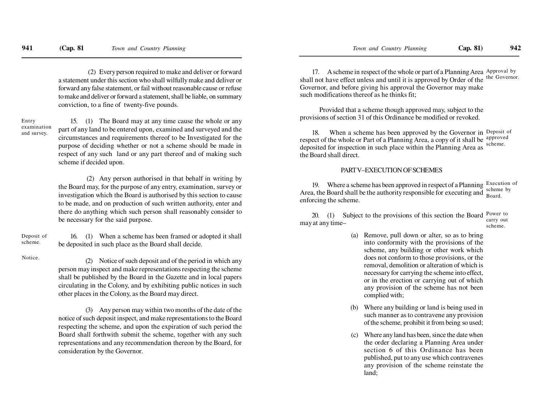(2) Every person required to make and deliver or forward a statement under this section who shall wilfully make and deliver or forward any false statement, or fail without reasonable cause or refuse to make and deliver or forward a statement, shall be liable, on summaryconviction, to a fine of twenty-five pounds.

Entry examinationand survey.

15. (1) The Board may at any time cause the whole or any part of any land to be entered upon, examined and surveyed and the circumstances and requirements thereof to be Investigated for the purpose of deciding whether or not a scheme should be made in respect of any such land or any part thereof and of making suchscheme if decided upon.

 (2) Any person authorised in that behalf in writing by the Board may, for the purpose of any entry, examination, survey or investigation which the Board is authorised by this section to cause to be made, and on production of such written authority, enter and there do anything which such person shall reasonably consider tobe necessary for the said purpose.

Deposit ofscheme.

16. (1) When a scheme has been framed or adopted it shallbe deposited in such place as the Board shall decide.

Notice.

(2) Notice of such deposit and of the period in which any person may inspect and make representations respecting the scheme shall be published by the Board in the Gazette and in local papers circulating in the Colony, and by exhibiting public notices in suchother places in the Colony, as the Board may direct.

(3) Any person may within two months of the date of the notice of such deposit inspect, and make representations to the Board respecting the scheme, and upon the expiration of such period the Board shall forthwith submit the scheme, together with any such representations and any recommendation thereon by the Board, forconsideration by the Governor.

17. A scheme in respect of the whole or part of a Planning Area Approval by shall not have effect unless and until it is approved by Order of the <sup>the Governor.</sup> Governor, and before giving his approval the Governor may makesuch modifications thereof as he thinks fit;

Provided that a scheme though approved may, subject to theprovisions of section 31 of this Ordinance be modified or revoked.

18. When a scheme has been approved by the Governor in Deposit of respect of the whole or Part of a Planning Area, a copy of it shall be approved deposited for inspection in such place within the Planning Area asthe Board shall direct.scheme.

#### PART V–EXECUTION OF SCHEMES

19. Where a scheme has been approved in respect of a Planning Execution of Area, the Board shall be the authority responsible for executing andenforcing the scheme.scheme byBoard.

20. (1) Subject to the provisions of this section the Board  $\frac{Power\ to}{Power\ to}$ may at any time–carry outscheme.

- (a) Remove, pull down or alter, so as to bring into conformity with the provisions of the scheme, any building or other work which does not conform to those provisions, or the removal, demolition or alteration of which is necessary for carrying the scheme into effect, or in the erection or carrying out of which any provision of the scheme has not beencomplied with;
- (b) Where any building or land is being used in such manner as to contravene any provisionof the scheme, prohibit it from being so used;
- (c) Where any land has been, since the date when the order declaring a Planning Area under section 6 of this Ordinance has been published, put to any use which contravenes any provision of the scheme reinstate theland;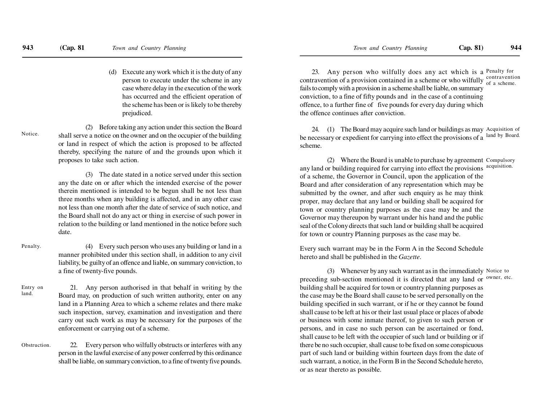(d) Execute any work which it is the duty of any person to execute under the scheme in any case where delay in the execution of the work has occurred and the efficient operation of the scheme has been or is likely to be therebyprejudiced.

(2) Before taking any action under this section the Board shall serve a notice on the owner and on the occupier of the building or land in respect of which the action is proposed to be affected thereby, specifying the nature of and the grounds upon which itproposes to take such action.Notice.

> (3) The date stated in a notice served under this section any the date on or after which the intended exercise of the power therein mentioned is intended to be begun shall be not less than three months when any building is affected, and in any other case not less than one month after the date of service of such notice, and the Board shall not do any act or thing in exercise of such power in relation to the building or land mentioned in the notice before suchdate.

(4) Every such person who uses any building or land in a manner prohibited under this section shall, in addition to any civilliability, be guilty of an offence and liable, on summary conviction, toa fine of twenty-five pounds.Penalty.

21. Any person authorised in that behalf in writing by the Board may, on production of such written authority, enter on any land in a Planning Area to which a scheme relates and there make such inspection, survey, examination and investigation and there carry out such work as may be necessary for the purposes of theenforcement or carrying out of a scheme.Entry onland.

22. Every person who wilfully obstructs or interferes with any person in the lawful exercise of any power conferred by this ordinance shall be liable, on summary conviction, to a fine of twenty five pounds.**Obstruction** 

23. Any person who wilfully does any act which is a Penalty for contravention of a provision contained in a scheme or who wilfully  $\frac{\text{contravention}}{\text{of a scheme}}$  fails to comply with a provision in a scheme shall be liable, on summary conviction, to a fine of fifty pounds and in the case of a continuing offence, to a further fine of five pounds for every day during whichthe offence continues after conviction.

24. (1) The Board may acquire such land or buildings as may Acquisition of be necessary or expedient for carrying into effect the provisions of ascheme.land by Board.

(2) Where the Board is unable to purchase by agreement Compulsory any land or building required for carrying into effect the provisions acquisition. of a scheme, the Governor in Council, upon the application of the Board and after consideration of any representation which may be submitted by the owner, and after such enquiry as he may think proper, may declare that any land or building shall be acquired for town or country planning purposes as the case may be and the Governor may thereupon by warrant under his hand and the public seal of the Colony directs that such land or building shall be acquiredfor town or country Planning purposes as the case may be.

Every such warrant may be in the Form A in the Second Schedulehereto and shall be published in the *Gazette.*

(3) Whenever by any such warrant as in the immediately Notice to preceding sub-section mentioned it is directed that any land or <sup>owner, etc.</sup> building shall be acquired for town or country planning purposes as the case may be the Board shall cause to be served personally on the building specified in such warrant, or if he or they cannot be found shall cause to be left at his or their last usual place or places of abode or business with some inmate thereof, to given to such person or persons, and in case no such person can be ascertained or fond,shall cause to be left with the occupier of such land or building or if there be no such occupier, shall cause to be fixed on some conspicuous part of such land or building within fourteen days from the date of such warrant, a notice, in the Form B in the Second Schedule hereto,or as near thereto as possible.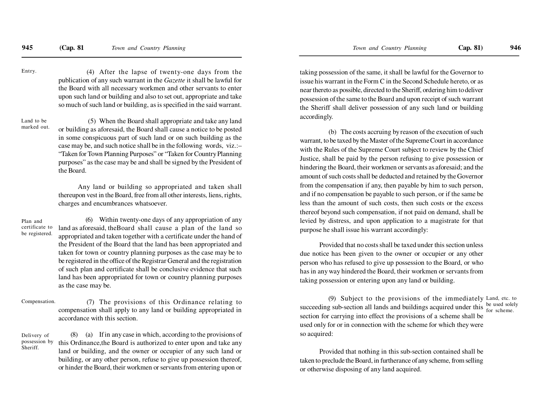(4) After the lapse of twenty-one days from the publication of any such warrant in the *Gazette* it shall be lawful for the Board with all necessary workmen and other servants to enter upon such land or building and also to set out, appropriate and take so much of such land or building, as is specified in the said warrant.Entry.

 (5) When the Board shall appropriate and take any land or building as aforesaid, the Board shall cause a notice to be posted in some conspicuous part of such land or on such building as the case may be, and such notice shall be in the following words, viz.:– "Taken for Town Planning Purposes" or "Taken for Country Planning purposes" as the case may be and shall be signed by the President ofthe Board.Land to bemarked out.

> Any land or building so appropriated and taken shall thereupon vest in the Board, free from all other interests, liens, rights,charges and encumbrances whatsoever.

(6) Within twenty-one days of any appropriation of any land as aforesaid, theBoard shall cause a plan of the land so appropriated and taken together with a certificate under the hand of the President of the Board that the land has been appropriated and taken for town or country planning purposes as the case may be to be registered in the office of the Registrar General and the registration of such plan and certificate shall be conclusive evidence that such land has been appropriated for town or country planning purposesas the case may be.Plan and certificate tobe registered.

 (7) The provisions of this Ordinance relating to compensation shall apply to any land or building appropriated inaccordance with this section.Compensation.

(8) (a) If in any case in which, according to the provisions of this Ordinance,the Board is authorized to enter upon and take any land or building, and the owner or occupier of any such land or building, or any other person, refuse to give up possession thereof,or hinder the Board, their workmen or servants from entering upon orDelivery of possession bySheriff.

taking possession of the same, it shall be lawful for the Governor to issue his warrant in the Form C in the Second Schedule hereto, or as near thereto as possible, directed to the Sheriff, ordering him to deliverpossession of the same to the Board and upon receipt of such warrantthe Sheriff shall deliver possession of any such land or buildingaccordingly.

 (b) The costs accruing by reason of the execution of such warrant, to be taxed by the Master of the Supreme Court in accordance with the Rules of the Supreme Court subject to review by the Chief Justice, shall be paid by the person refusing to give possession or hindering the Board, their workmen or servants as aforesaid; and the amount of such costs shall be deducted and retained by the Governorfrom the compensation if any, then payable by him to such person,and if no compensation be payable to such person, or if the same be less than the amount of such costs, then such costs or the excessthereof beyond such compensation, if not paid on demand, shall be levied by distress, and upon application to a magistrate for thatpurpose he shall issue his warrant accordingly:

Provided that no costs shall be taxed under this section unless due notice has been given to the owner or occupier or any otherperson who has refused to give up possession to the Board, or who has in any way hindered the Board, their workmen or servants fromtaking possession or entering upon any land or building.

(9) Subject to the provisions of the immediately Land, etc. to succeeding sub-section all lands and buildings acquired under this section for carrying into effect the provisions of a scheme shall be used only for or in connection with the scheme for which they wereso acquired:be used solely for scheme.

Provided that nothing in this sub-section contained shall be taken to preclude the Board, in furtherance of any scheme, from sellingor otherwise disposing of any land acquired.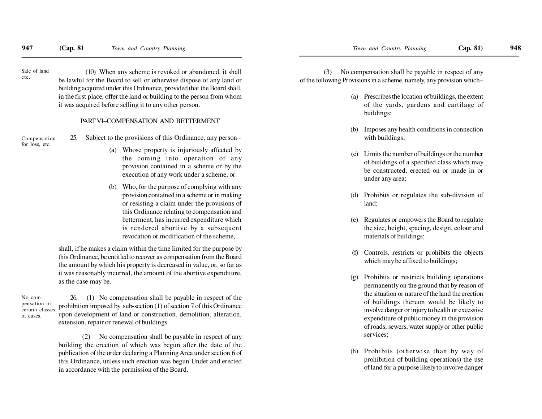Sale of landetc.

(10) When any scheme is revoked or abandoned, it shall be lawful for the Board to sell or otherwise dispose of any land or building acquired under this Ordinance, provided that the Board shall, in the first place, offer the land or building to the person from whomit was acquired before selling it to any other person.

#### PART VI–COMPENSATION AND BETTERMENT

Compensationfor loss, etc.

25. Subject to the provisions of this Ordinance, any person–

- (a) Whose property is injuriously affected by the coming into operation of any provision contained in a scheme or by theexecution of any work under a scheme, or
- (b) Who, for the purpose of complying with any provision contained in a scheme or in making or resisting a claim under the provisions of this Ordinance relating to compensation and betterment, has incurred expenditure which is rendered abortive by a subsequentrevocation or modification of the scheme,

shall, if he makes a claim within the time limited for the purpose by this Ordinance, be entitled to recover as compensation from the Board the amount by which his property is decreased in value, or, so far as it was reasonably incurred, the amount of the abortive expenditure,as the case may be.

No compensation in certain classesof cases.

26. (1) No compensation shall be payable in respect of the prohibition imposed by sub-section (1) of section 7 of this Ordinance upon development of land or construction, demolition, alteration,extension, repair or renewal of buildings

 (2) No compensation shall be payable in respect of any building the erection of which was begun after the date of the publication of the order declaring a Planning Area under section 6 of this Ordinance, unless such erection was begun Under and erectedin accordance with the permission of the Board.

 (3) No compensation shall be payable in respect of anyof the following Provisions in a scheme, namely, any provision which–

- (a) Prescribes the location of buildings, the extentof the yards, gardens and cartilage ofbuildings;
- (b) Imposes any health conditions in connectionwith buildings;
- (c) Limits the number of buildings or the number of buildings of a specified class which may be constructed, erected on or made in orunder any area;
- (d) Prohibits or regulates the sub-division ofland;
- (e) Regulates or empowers the Board to regulate the size, height, spacing, design, colour andmaterials of buildings;
- (f) Controls, restricts or prohibits the objectswhich may be affixed to buildings;
- (g) Prohibits or restricts building operations permanently on the ground that by reason of the situation or nature of the land the erection of buildings thereon would be likely to involve danger or injury to health or excessive expenditure of public money in the provision of roads, sewers, water supply or other publicservices;
- (h) Prohibits (otherwise than by way of prohibition of building operations) the useof land for a purpose likely to involve danger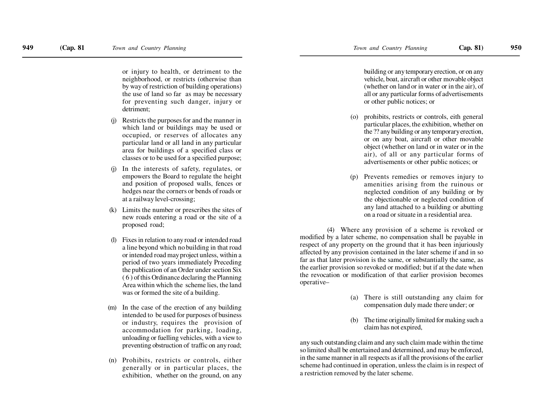or injury to health, or detriment to the neighborhood, or restricts (otherwise than by way of restriction of building operations) the use of land so far as may be necessary for preventing such danger, injury ordetriment;

- (j) Restricts the purposes for and the manner in which land or buildings may be used or occupied, or reserves of allocates any particular land or all land in any particular area for buildings of a specified class orclasses or to be used for a specified purpose;
- In the interests of safety, regulates, or empowers the Board to regulate the height and position of proposed walls, fences or hedges near the corners or bends of roads orat a railway level-crossing;
- (k) Limits the number or prescribes the sites of new roads entering a road or the site of aproposed road;
- Fixes in relation to any road or intended road a line beyond which no building in that road or intended road may project unless, within a period of two years immediately Preceding the publication of an Order under section Six ( 6 ) of this Ordinance declaring the Planning Area within which the scheme lies, the landwas or formed the site of a building.
- (m) In the case of the erection of any building intended to be used for purposes of business or industry, requires the provision of accommodation for parking, loading, unloading or fuelling vehicles, with a view topreventing obstruction of traffic on any road;
- (n) Prohibits, restricts or controls, either generally or in particular places, theexhibition, whether on the ground, on any

building or any temporary erection, or on any vehicle, boat, aircraft or other movable object (whether on land or in water or in the air), of all or any particular forms of advertisementsor other public notices; or

- (o) prohibits, restricts or controls, eith general particular places, the exhibition, whether on the ?? any building or any temporary erection, or on any boat, aircraft or other movable object (whether on land or in water or in the air), of all or any particular forms ofadvertisements or other public notices; or
- (p) Prevents remedies or removes injury to amenities arising from the ruinous or neglected condition of any building or by the objectionable or neglected condition of any land attached to a building or abuttingon a road or situate in a residential area.

(4) Where any provision of a scheme is revoked or modified by a later scheme, no compensation shall be payable in respect of any property on the ground that it has been injuriously affected by any provision contained in the later scheme if and in so far as that later provision is the same, or substantially the same, as the earlier provision so revoked or modified; but if at the date when the revocation or modification of that earlier provision becomesoperative–

- (a) There is still outstanding any claim forcompensation duly made there under; or
- (b) The time originally limited for making such aclaim has not expired,

any such outstanding claim and any such claim made within the time so limited shall be entertained and determined, and may be enforced, in the same manner in all respects as if all the provisions of the earlier scheme had continued in operation, unless the claim is in respect ofa restriction removed by the later scheme.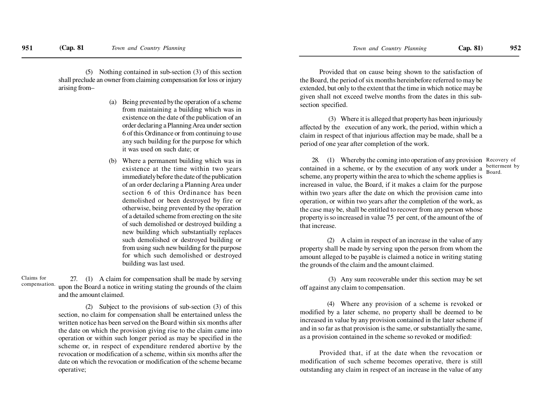(5) Nothing contained in sub-section (3) of this section shall preclude an owner from claiming compensation for loss or injuryarising from–

- (a) Being prevented by the operation of a scheme from maintaining a building which was in existence on the date of the publication of an order declaring a Planning Area under section 6 of this Ordinance or from continuing to use any such building for the purpose for whichit was used on such date; or
- (b) Where a permanent building which was in existence at the time within two years immediately before the date of the publication of an order declaring a Planning Area under section 6 of this Ordinance has been demolished or been destroyed by fire or otherwise, being prevented by the operation of a detailed scheme from erecting on the site of such demolished or destroyed building a new building which substantially replaces such demolished or destroyed building or from using such new building for the purpose for which such demolished or destroyedbuilding was last used.

27. (1) A claim for compensation shall be made by serving upon the Board a notice in writing stating the grounds of the claimand the amount claimed.Claims forcompensation.

> (2) Subject to the provisions of sub-section (3) of this section, no claim for compensation shall be entertained unless the written notice has been served on the Board within six months after the date on which the provision giving rise to the claim came into operation or within such longer period as may be specified in the scheme or, in respect of expenditure rendered abortive by the revocation or modification of a scheme, within six months after the date on which the revocation or modification of the scheme becameoperative;

Provided that on cause being shown to the satisfaction of the Board, the period of six months hereinbefore referred to may be extended, but only to the extent that the time in which notice may be given shall not exceed twelve months from the dates in this subsection specified.

 (3) Where it is alleged that property has been injuriously affected by the execution of any work, the period, within which a claim in respect of that injurious affection may be made, shall be aperiod of one year after completion of the work.

28. (1) Whereby the coming into operation of any provision Recovery of contained in a scheme, or by the execution of any work under a  $\frac{\text{between}}{\text{Beord}}$  scheme, any property within the area to which the scheme applies is increased in value, the Board, if it makes a claim for the purpose within two years after the date on which the provision came into operation, or within two years after the completion of the work, as the case may be, shall be entitled to recover from any person whose property is so increased in value 75 per cent, of the amount of the ofthat increase.Board.

(2) A claim in respect of an increase in the value of any property shall be made by serving upon the person from whom the amount alleged to be payable is claimed a notice in writing statingthe grounds of the claim and the amount claimed.

 (3) Any sum recoverable under this section may be setoff against any claim to compensation.

(4) Where any provision of a scheme is revoked or modified by a later scheme, no property shall be deemed to be increased in value by any provision contained in the later scheme if and in so far as that provision is the same, or substantially the same,as a provision contained in the scheme so revoked or modified:

Provided that, if at the date when the revocation or modification of such scheme becomes operative, there is stilloutstanding any claim in respect of an increase in the value of any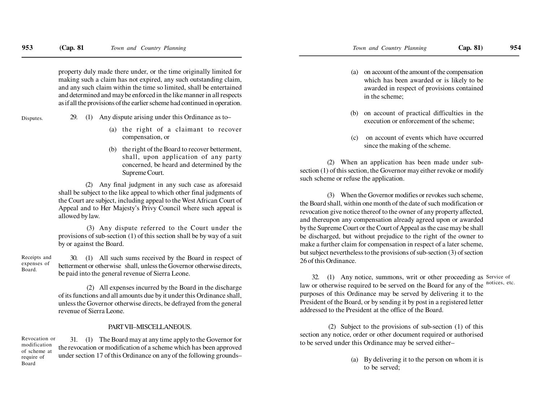property duly made there under, or the time originally limited for making such a claim has not expired, any such outstanding claim, and any such claim within the time so limited, shall be entertained and determined and may be enforced in the like manner in all respectsas if all the provisions of the earlier scheme had continued in operation.

Disputes.

Board.

- 29. (1) Any dispute arising under this Ordinance as to–
	- (a) the right of a claimant to recovercompensation, or
	- (b) the right of the Board to recover betterment, shall, upon application of any party concerned, be heard and determined by theSupreme Court.

(2) Any final judgment in any such case as aforesaid shall be subject to the like appeal to which other final judgments of the Court are subject, including appeal to the West African Court of Appeal and to Her Majesty's Privy Council where such appeal isallowed by law.

 (3) Any dispute referred to the Court under the provisions of sub-section (1) of this section shall be by way of a suitby or against the Board.

30. (1) All such sums received by the Board in respect of betterment or otherwise shall, unless the Governor otherwise directs,be paid into the general revenue of Sierra Leone.Receipts andexpenses of

> (2) All expenses incurred by the Board in the discharge of its functions and all amounts due by it under this Ordinance shall,unless the Governor otherwise directs, be defrayed from the generalrevenue of Sierra Leone.

#### PART VII–MISCELLANEOUS.

31. (1) The Board may at any time apply to the Governor for the revocation or modification of a scheme which has been approved under section 17 of this Ordinance on any of the following grounds–Revocation ormodification of scheme atrequire ofBoard

- (a) on account of the amount of the compensation which has been awarded or is likely to be awarded in respect of provisions containedin the scheme;
- (b) on account of practical difficulties in theexecution or enforcement of the scheme;
- (c) on account of events which have occurredsince the making of the scheme.

(2) When an application has been made under subsection (1) of this section, the Governor may either revoke or modifysuch scheme or refuse the application.

(3) When the Governor modifies or revokes such scheme, the Board shall, within one month of the date of such modification or revocation give notice thereof to the owner of any property affected, and thereupon any compensation already agreed upon or awarded by the Supreme Court or the Court of Appeal as the case may be shall be discharged, but without prejudice to the right of the owner to make a further claim for compensation in respect of a later scheme, but subject nevertheless to the provisions of sub-section (3) of section26 of this Ordinance.

32. (1) Any notice, summons, writ or other proceeding as Service of law or otherwise required to be served on the Board for any of the notices, etc. purposes of this Ordinance may be served by delivering it to the President of the Board, or by sending it by post in a registered letteraddressed to the President at the office of the Board.

(2) Subject to the provisions of sub-section (1) of this section any notice, order or other document required or authorisedto be served under this Ordinance may be served either–

> (a) By delivering it to the person on whom it isto be served;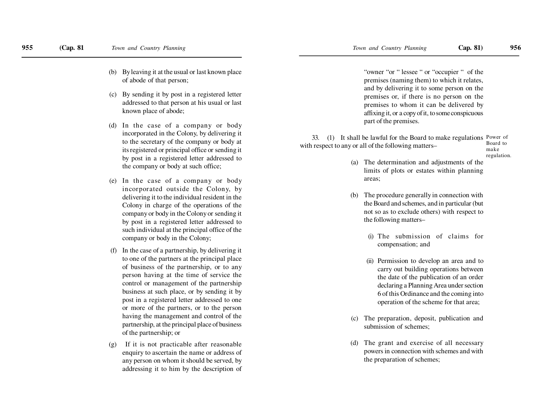- (b) By leaving it at the usual or last known placeof abode of that person;
- (c) By sending it by post in a registered letter addressed to that person at his usual or lastknown place of abode;
- (d) In the case of a company or body incorporated in the Colony, by delivering itto the secretary of the company or body atits registered or principal office or sending itby post in a registered letter addressed tothe company or body at such office;
- (e) In the case of a company or body incorporated outside the Colony, by delivering it to the individual resident in the Colony in charge of the operations of the company or body in the Colony or sending itby post in a registered letter addressed to such individual at the principal office of thecompany or body in the Colony;
- In the case of a partnership, by delivering it to one of the partners at the principal place of business of the partnership, or to any person having at the time of service the control or management of the partnership business at such place, or by sending it by post in a registered letter addressed to one or more of the partners, or to the person having the management and control of the partnership, at the principal place of businessof the partnership; or
- If it is not practicable after reasonable enquiry to ascertain the name or address of any person on whom it should be served, byaddressing it to him by the description of

"owner "or " lessee " or "occupier " of the premises (naming them) to which it relates,and by delivering it to some person on the premises or, if there is no person on the premises to whom it can be delivered by affixing it, or a copy of it, to some conspicuouspart of the premises.

33. (1) It shall be lawful for the Board to make regulations Power of with respect to any or all of the following matters–Board to

makeregulation.

- (a) The determination and adjustments of the limits of plots or estates within planningareas;
- (b) The procedure generally in connection with the Board and schemes, and in particular (butnot so as to exclude others) with respect tothe following matters–
	- (i) The submission of claims forcompensation; and
	- (ii) Permission to develop an area and to carry out building operations between the date of the publication of an order declaring a Planning Area under section 6 of this Ordinance and the coming intooperation of the scheme for that area;
- (c) The preparation, deposit, publication andsubmission of schemes;
- (d) The grant and exercise of all necessary powers in connection with schemes and withthe preparation of schemes;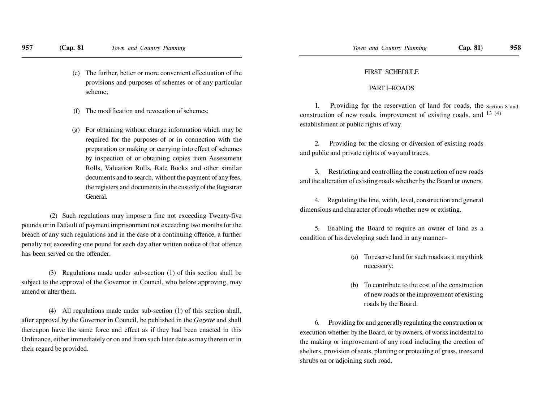- (e) The further, better or more convenient effectuation of theprovisions and purposes of schemes or of any particularscheme;
- (f) The modification and revocation of schemes;
- (g) For obtaining without charge information which may be required for the purposes of or in connection with the preparation or making or carrying into effect of schemesby inspection of or obtaining copies from AssessmentRolls, Valuation Rolls, Rate Books and other similardocuments and to search, without the payment of any fees,the registers and documents in the custody of the RegistrarGeneral.

 (2) Such regulations may impose a fine not exceeding Twenty-five pounds or in Default of payment imprisonment not exceeding two months for thebreach of any such regulations and in the case of a continuing offence, a furtherpenalty not exceeding one pound for each day after written notice of that offencehas been served on the offender.

(3) Regulations made under sub-section (1) of this section shall be subject to the approval of the Governor in Council, who before approving, mayamend or alter them.

(4) All regulations made under sub-section (1) of this section shall, after approval by the Governor in Council, be published in the *Gazette* and shallthereupon have the same force and effect as if they had been enacted in thisOrdinance, either immediately or on and from such later date as may therein or intheir regard be provided.

#### FIRST SCHEDULE

## PART I–ROADS

1. Providing for the reservation of land for roads, the <sub>Section 8 and</sub> construction of new roads, improvement of existing roads, and  $^{13}$  (4) establishment of public rights of way.

2. Providing for the closing or diversion of existing roadsand public and private rights of way and traces.

3. Restricting and controlling the construction of new roadsand the alteration of existing roads whether by the Board or owners.

4. Regulating the line, width, level, construction and generaldimensions and character of roads whether new or existing.

5. Enabling the Board to require an owner of land as acondition of his developing such land in any manner–

- (a) To reserve land for such roads as it may thinknecessary;
- (b) To contribute to the cost of the construction of new roads or the improvement of existingroads by the Board.

6. Providing for and generally regulating the construction orexecution whether by the Board, or by owners, of works incidental to the making or improvement of any road including the erection ofshelters, provision of seats, planting or protecting of grass, trees andshrubs on or adjoining such road.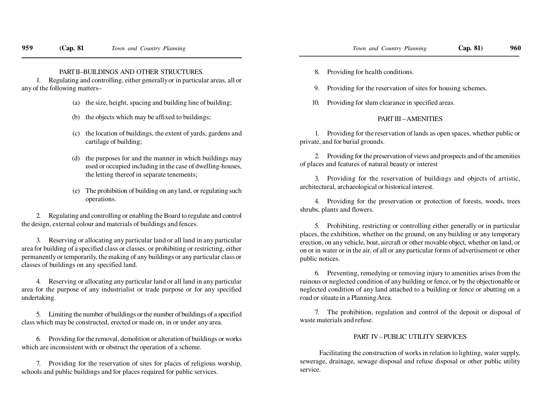#### PART II–BUILDINGS AND OTHER STRUCTURES.

 1. Regulating and controlling, either generally or in particular areas, all orany of the following matters–

- (a) the size, height, spacing and building line of building;
- (b) the objects which may be affixed to buildings;
- (c) the location of buildings, the extent of yards, gardens andcartilage of building;
- (d) the purposes for and the manner in which buildings may used or occupied including in the case of dwelling-houses,the letting thereof in separate tenements;
- (e) The prohibition of building on any land, or regulating suchoperations.

2. Regulating and controlling or enabling the Board to regulate and controlthe design, external colour and materials of buildings and fences.

3. Reserving or allocating any particular land or all land in any particular area for building of a specified class or classes, or prohibiting or restricting, either permanently or temporarily, the making of any buildings or any particular class orclasses of buildings on any specified land.

4. Reserving or allocating any particular land or all land in any particular area for the purpose of any industrialist or trade purpose or for any specifiedundertaking.

5. Limiting the number of buildings or the number of buildings of a specifiedclass which may be constructed, erected or made on, in or under any area.

6. Providing for the removal, demolition or alteration of buildings or workswhich are inconsistent with or obstruct the operation of a scheme.

7. Providing for the reservation of sites for places of religious worship, schools and public buildings and for places required for public services.

- **(Cap. 81** *Town and Country Planning Town and Country Planning* **Cap. 81) <sup>960</sup>**
	- 8. Providing for health conditions.
	- 9. Providing for the reservation of sites for housing schemes.
	- 10. Providing for slum clearance in specified areas.

## PART III – AMENITIES

1. Providing for the reservation of lands as open spaces, whether public orprivate, and for burial grounds.

2. Providing for the preservation of views and prospects and of the amenitiesof places and features of natural beauty or interest

3. Providing for the reservation of buildings and objects of artistic, architectural, archaeological or historical interest.

4. Providing for the preservation or protection of forests, woods, treesshrubs, plants and flowers.

5. Prohibiting, restricting or controlling either generally or in particular places, the exhibition, whether on the ground, on any building or any temporary erection, on any vehicle, boat, aircraft or other movable object, whether on land, or on or in water or in the air, of all or any particular forms of advertisement or otherpublic notices.

6. Preventing, remedying or removing injury to amenities arises from the ruinous or neglected condition of any building or fence, or by the objectionable or neglected condition of any land attached to a building or fence or abutting on aroad or situate in a Planning Area.

7. The prohibition, regulation and control of the deposit or disposal ofwaste materials and refuse.

## PART IV – PUBLIC UTILITY SERVICES

Facilitating the construction of works in relation to lighting, water supply,sewerage, drainage, sewage disposal and refuse disposal or other public utilityservice.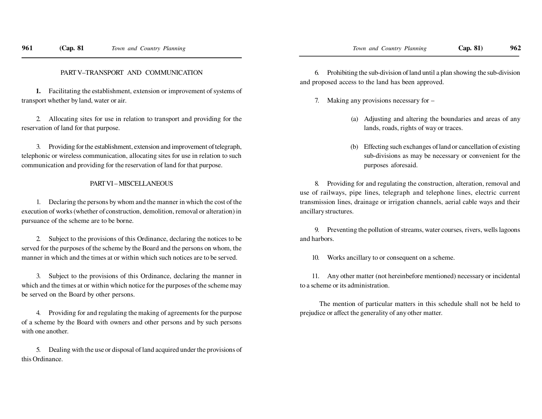**1.** Facilitating the establishment, extension or improvement of systems oftransport whether by land, water or air.

2. Allocating sites for use in relation to transport and providing for thereservation of land for that purpose.

3. Providing for the establishment, extension and improvement of telegraph, telephonic or wireless communication, allocating sites for use in relation to suchcommunication and providing for the reservation of land for that purpose.

#### PART VI – MISCELLANEOUS

1. Declaring the persons by whom and the manner in which the cost of the execution of works (whether of construction, demolition, removal or alteration) inpursuance of the scheme are to be borne.

2. Subject to the provisions of this Ordinance, declaring the notices to be served for the purposes of the scheme by the Board and the persons on whom, themanner in which and the times at or within which such notices are to be served.

3. Subject to the provisions of this Ordinance, declaring the manner in which and the times at or within which notice for the purposes of the scheme maybe served on the Board by other persons.

4. Providing for and regulating the making of agreements for the purpose of a scheme by the Board with owners and other persons and by such personswith one another.

5. Dealing with the use or disposal of land acquired under the provisions ofthis Ordinance.

6. Prohibiting the sub-division of land until a plan showing the sub-divisionand proposed access to the land has been approved.

- 7. Making any provisions necessary for –
	- (a) Adjusting and altering the boundaries and areas of anylands, roads, rights of way or traces.
	- (b) Effecting such exchanges of land or cancellation of existing sub-divisions as may be necessary or convenient for thepurposes aforesaid.

8. Providing for and regulating the construction, alteration, removal and use of railways, pipe lines, telegraph and telephone lines, electric current transmission lines, drainage or irrigation channels, aerial cable ways and theirancillary structures.

9. Preventing the pollution of streams, water courses, rivers, wells lagoonsand harbors.

10. Works ancillary to or consequent on a scheme.

11. Any other matter (not hereinbefore mentioned) necessary or incidentalto a scheme or its administration.

The mention of particular matters in this schedule shall not be held toprejudice or affect the generality of any other matter.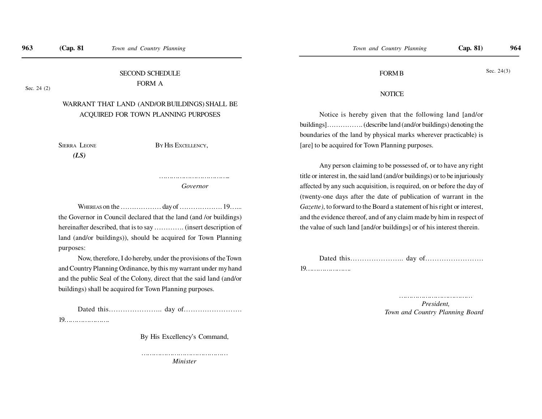# SECOND SCHEDULEFORM A

Sec. 24 (2)

# WARRANT THAT LAND (AND/OR BUILDINGS) SHALL BEACQUIRED FOR TOWN PLANNING PURPOSES

SIERRA LEONE

<sup>B</sup>Y HIS EXCELLENCY,

 *(LS)*

……………………………………  *Governor*

WHEREAS on the ……………… day of ………………. 19…...the Governor in Council declared that the land (and /or buildings)hereinafter described, that is to say …………. (insert description ofland (and/or buildings)), should be acquired for Town Planningpurposes:

Now, therefore, I do hereby, under the provisions of the Townand Country Planning Ordinance, by this my warrant under my handand the public Seal of the Colony, direct that the said land (and/orbuildings) shall be acquired for Town Planning purposes.

Dated this………………….. day of…………………….

19………………….

By His Excellency's Command,

 ……………………………………*Minister*

## FORM B

#### Sec. 24(3)

#### NOTICE

Notice is hereby given that the following land [and/orbuildings]……………. (describe land (and/or buildings) denoting theboundaries of the land by physical marks wherever practicable) is[are] to be acquired for Town Planning purposes.

Any person claiming to be possessed of, or to have any righttitle or interest in, the said land (and/or buildings) or to be injuriouslyaffected by any such acquisition, is required, on or before the day of(twenty-one days after the date of publication of warrant in the*Gazette)*, to forward to the Board a statement of his right or interest,and the evidence thereof, and of any claim made by him in respect ofthe value of such land [and/or buildings] or of his interest therein.

Dated this………………….. day of…………………….19………………….

> …………………………………… *President,Town and Country Planning Board*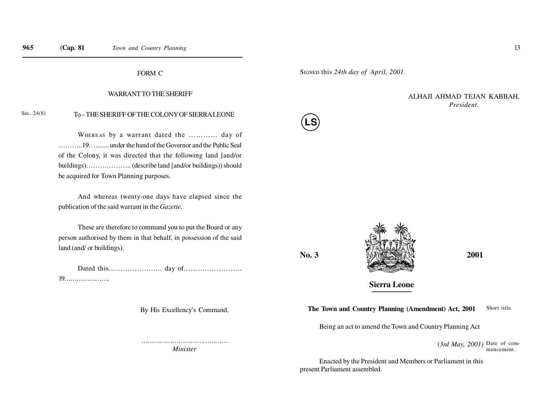#### WARRANT TO THE SHERIFF

FORM C

#### To – THE SHERIFF OF THE COLONY OF SIERRA LEONESec. 24(8)

WHEREAS by a warrant dated the ………… day of………..19…........ under the hand of the Governor and the Public Sealof the Colony, it was directed that the following land [and/orbuildings)……………….. (describe land [and/or buildings)) shouldbe acquired for Town Planning purposes.

And whereas twenty-one days have elapsed since thepublication of the said warrant in the *Gazette.*

These are therefore to command you to put the Board or anyperson authorised by them in that behalf, in possession of the saidland (and/ or buildings).

Dated this………………….. day of…………………….19………………….

By His Excellency's Command,

 ……………………………………*Minister*

SIGNED this *24th day of April, 2001.*

## ALHAJI AHMAD TEJAN KABBAH,*President.*



**No. 3**



**Sierra Leone**

#### **The Town and Country Planning (Amendment) Act, 2001**Short title.

Being an act to amend the Town and Country Planning Act

*(3rd May, 2001)* Date of commencement.

Enacted by the President and Members or Parliament in thispresent Parliament assembled.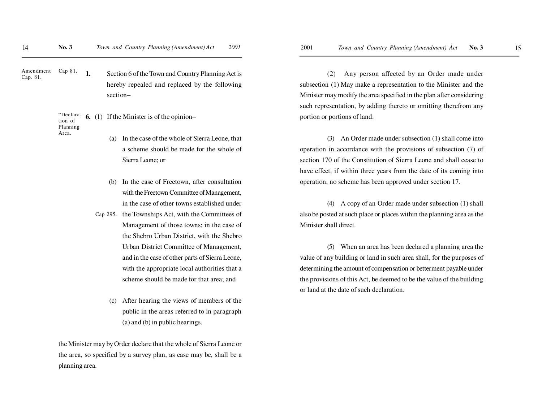**1.**Amendment Cap 81. Cap. 81.

 Section 6 of the Town and Country Planning Act ishereby repealed and replaced by the followingsection–

#### **6.** (1) If the Minister is of the opinion–"Declaration of PlanningArea.

- (a) In the case of the whole of Sierra Leone, thata scheme should be made for the whole ofSierra Leone; or
- (b) In the case of Freetown, after consultationwith the Freetown Committee of Management,in the case of other towns established under
- the Townships Act, with the Committees ofManagement of those towns; in the case ofthe Shebro Urban District, with the ShebroUrban District Committee of Management,and in the case of other parts of Sierra Leone,with the appropriate local authorities that ascheme should be made for that area; andCap 295.
	- After hearing the views of members of the public in the areas referred to in paragraph(a) and (b) in public hearings.

the Minister may by Order declare that the whole of Sierra Leone orthe area, so specified by a survey plan, as case may be, shall be aplanning area.

(2) Any person affected by an Order made undersubsection (1) May make a representation to the Minister and theMinister may modify the area specified in the plan after consideringsuch representation, by adding thereto or omitting therefrom anyportion or portions of land.

(3) An Order made under subsection (1) shall come intooperation in accordance with the provisions of subsection (7) ofsection 170 of the Constitution of Sierra Leone and shall cease tohave effect, if within three years from the date of its coming intooperation, no scheme has been approved under section 17.

(4) A copy of an Order made under subsection (1) shallalso be posted at such place or places within the planning area as theMinister shall direct.

(5) When an area has been declared a planning area thevalue of any building or land in such area shall, for the purposes ofdetermining the amount of compensation or betterment payable underthe provisions of this Act, be deemed to be the value of the buildingor land at the date of such declaration.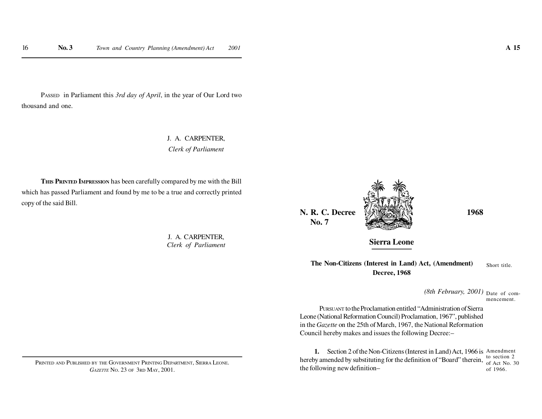PASSED in Parliament this *3rd day of April*, in the year of Our Lord twothousand and one.

> J. A. CARPENTER,*Clerk of Parliament*

**THIS PRINTED IMPRESSION** has been carefully compared by me with the Bill which has passed Parliament and found by me to be a true and correctly printedcopy of the said Bill.

> J. A. CARPENTER,*Clerk of Parliament*

PRINTED AND PUBLISHED BY THE GOVERNMENT PRINTING DEPARTMENT, SIERRA LEONE. *GAZETTE* <sup>N</sup>O. 23 OF 3RD MAY, 2001.

**N. R. C. Decree 1968 No. 7**





**Sierra Leone**

**The Non-Citizens (Interest in Land) Act, (Amendment)Decree, 1968**Short title.

> *(8th February, 2001)* Date of commencement.

PURSUANT to the Proclamation entitled "Administration of Sierra Leone (National Reformation Council) Proclamation, 1967", published in the *Gazette* on the 25th of March, 1967, the National ReformationCouncil hereby makes and issues the following Decree:–

**1.** Section 2 of the Non-Citizens (Interest in Land) Act, 1966 is Amendment hereby amended by substituting for the definition of "Board" therein, the following new definition–to section 2 of Act No. 30of 1966.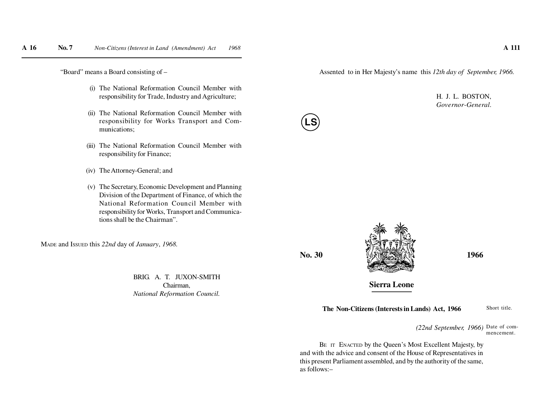"Board" means a Board consisting of –

- (i) The National Reformation Council Member withresponsibility for Trade, Industry and Agriculture;
- (ii) The National Reformation Council Member with responsibility for Works Transport and Communications;
- (iii) The National Reformation Council Member withresponsibility for Finance;
- (iv) The Attorney-General; and
- (v) The Secretary, Economic Development and Planning Division of the Department of Finance, of which the National Reformation Council Member with responsibility for Works, Transport and Communications shall be the Chairman".

MADE and <sup>I</sup>SSUED this *22nd* day of *January*, *1968.*

BRIG. A. T. JUXON-SMITHChairman,*National Reformation Council.*

Assented to in Her Majesty's name this *12th day of September, 1966.*

H. J. L. BOSTON,*Governor-General.*



**No. 30**

**LS**

**Sierra Leone**

**The Non-Citizens (Interests in Lands) Act, 1966**

Short title.

*(22nd September, 1966)* Date of commencement.

BE IT ENACTED by the Queen's Most Excellent Majesty, by and with the advice and consent of the House of Representatives in this present Parliament assembled, and by the authority of the same,as follows:–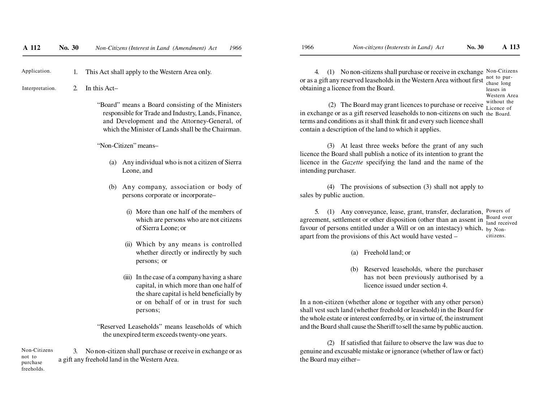1. This Act shall apply to the Western Area only. Application.

2. In this Act–Interpretation.

> "Board" means a Board consisting of the Ministers responsible for Trade and Industry, Lands, Finance,and Development and the Attorney-General, ofwhich the Minister of Lands shall be the Chairman.

"Non-Citizen" means–

- (a) Any individual who is not a citizen of SierraLeone, and
- (b) Any company, association or body ofpersons corporate or incorporate-
	- (i) More than one half of the members of which are persons who are not citizensof Sierra Leone; or
	- (ii) Which by any means is controlled whether directly or indirectly by suchpersons; or
	- (iii) In the case of a company having a share capital, in which more than one half of the share capital is held beneficially by or on behalf of or in trust for suchpersons;

"Reserved Leaseholds" means leaseholds of whichthe unexpired term exceeds twenty-one years.

3. No non-citizen shall purchase or receive in exchange or asa gift any freehold land in the Western Area.Non-Citizensnot to purchasefreeholds.

4. (1) No non-citizens shall purchase or receive in exchange Non-Citizens or as a gift any reserved leaseholds in the Western Area without firstobtaining a licence from the Board.not to purchase longleases in

Western Area

(2) The Board may grant licences to purchase or receive  $\frac{\text{without the}}{\text{Licence of}}$  in exchange or as a gift reserved leaseholds to non-citizens on such the Board. terms and conditions as it shall think fit and every such licence shallcontain a description of the land to which it applies.

(3) At least three weeks before the grant of any such licence the Board shall publish a notice of its intention to grant the licence in the *Gazette* specifying the land and the name of theintending purchaser.

(4) The provisions of subsection (3) shall not apply tosales by public auction.

5. (1) Any conveyance, lease, grant, transfer, declaration, Powers ofagreement, settlement or other disposition (other than an assent infavour of persons entitled under a Will or on an intestacy) which, by Nonapart from the provisions of this Act would have vested – Board over land receivedcitizens.

- (a) Freehold land; or
- (b) Reserved leaseholds, where the purchaser has not been previously authorised by alicence issued under section 4.

In a non-citizen (whether alone or together with any other person) shall vest such land (whether freehold or leasehold) in the Board for the whole estate or interest conferred by, or in virtue of, the instrumentand the Board shall cause the Sheriff to sell the same by public auction.

(2) If satisfied that failure to observe the law was due to genuine and excusable mistake or ignorance (whether of law or fact)the Board may either–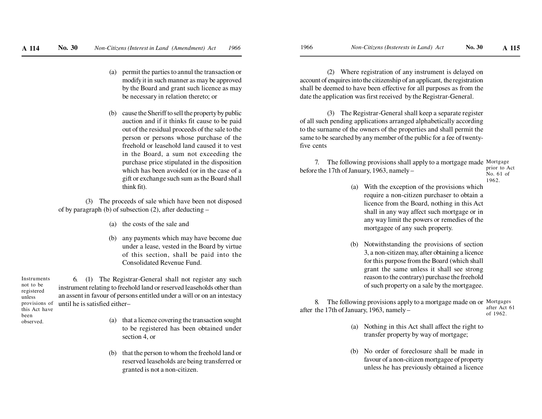- (a) permit the parties to annul the transaction or modify it in such manner as may be approved by the Board and grant such licence as maybe necessary in relation thereto; or
- (b) cause the Sheriff to sell the property by public auction and if it thinks fit cause to be paid out of the residual proceeds of the sale to the person or persons whose purchase of the freehold or leasehold land caused it to vestin the Board, a sum not exceeding the purchase price stipulated in the disposition which has been avoided (or in the case of a gift or exchange such sum as the Board shallthink fit).

(3) The proceeds of sale which have been not disposedof by paragraph (b) of subsection (2), after deducting –

- (a) the costs of the sale and
- (b) any payments which may have become due under a lease, vested in the Board by virtue of this section, shall be paid into theConsolidated Revenue Fund.

6. (1) The Registrar-General shall not register any such instrument relating to freehold land or reserved leaseholds other than an assent in favour of persons entitled under a will or on an intestacyuntil he is satisfied either–Instrumentsnot to be registeredunless provisions ofthis Act have

beenobserved.

- (a) that a licence covering the transaction soughtto be registered has been obtained undersection 4, or
- (b) that the person to whom the freehold land or reserved leaseholds are being transferred orgranted is not a non-citizen.

(2) Where registration of any instrument is delayed on account of enquires into the citizenship of an applicant, the registration shall be deemed to have been effective for all purposes as from thedate the application was first received by the Registrar-General.

(3) The Registrar-General shall keep a separate register of all such pending applications arranged alphabetically according to the surname of the owners of the properties and shall permit the same to be searched by any member of the public for a fee of twentyfive cents

7. The following provisions shall apply to a mortgage made Mortgage before the 17th of January, 1963, namely – prior to ActNo. 61 of

- 1962.
- (a) With the exception of the provisions which require a non-citizen purchaser to obtain a licence from the Board, nothing in this Actshall in any way affect such mortgage or in any way limit the powers or remedies of themortgagee of any such property.
- (b) Notwithstanding the provisions of section 3, a non-citizen may, after obtaining a licence for this purpose from the Board (which shallgrant the same unless it shall see strong reason to the contrary) purchase the freeholdof such property on a sale by the mortgagee.

8. The following provisions apply to a mortgage made on or Mortgages after the 17th of January, 1963, namely – after Act 61of 1962.

- (a) Nothing in this Act shall affect the right totransfer property by way of mortgage;
- (b) No order of foreclosure shall be made in favour of a non-citizen mortgagee of propertyunless he has previously obtained a licence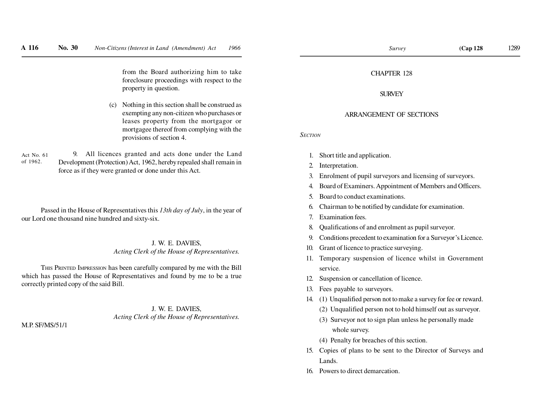from the Board authorizing him to take foreclosure proceedings with respect to theproperty in question.

(c) Nothing in this section shall be construed as exempting any non-citizen who purchases or leases property from the mortgagor or mortgagee thereof from complying with theprovisions of section 4.

9. All licences granted and acts done under the Land Development (Protection) Act, 1962, hereby repealed shall remain inforce as if they were granted or done under this Act.Act No. 61of 1962.

Passed in the House of Representatives this *13th day of July*, in the year ofour Lord one thousand nine hundred and sixty-six.

## J. W. E. DAVIES,*Acting Clerk of the House of Representatives.*

THIS PRINTED IMPRESSION has been carefully compared by me with the Bill which has passed the House of Representatives and found by me to be a truecorrectly printed copy of the said Bill.

## J. W. E. DAVIES,*Acting Clerk of the House of Representatives.*

M.P. SF/MS/51/1

<sup>1289</sup>

#### SURVEY

#### ARRANGEMENT OF SECTIONS

*SECTION*

- 1. Short title and application.
- 2. Interpretation.
- 3. Enrolment of pupil surveyors and licensing of surveyors.
- 4. Board of Examiners. Appointment of Members and Officers.
- 5. Board to conduct examinations.
- 6. Chairman to be notified by candidate for examination.
- 7. Examination fees.
- 8. Qualifications of and enrolment as pupil surveyor.
- 9. Conditions precedent to examination for a Surveyor's Licence.
- 10. Grant of licence to practice surveying.
- 11. Temporary suspension of licence whilst in Governmentservice.
- 12. Suspension or cancellation of licence.
- 13. Fees payable to surveyors.
- 14. (1) Unqualified person not to make a survey for fee or reward.
	- (2) Unqualified person not to hold himself out as surveyor.
	- (3) Surveyor not to sign plan unless he personally madewhole survey.
	- (4) Penalty for breaches of this section.
- 15. Copies of plans to be sent to the Director of Surveys andLands.
- 16. Powers to direct demarcation.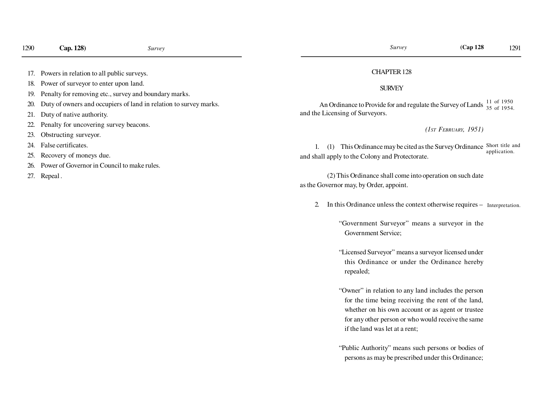- 18. Power of surveyor to enter upon land.
- 19. Penalty for removing etc., survey and boundary marks.
- 20. Duty of owners and occupiers of land in relation to survey marks.
- 21. Duty of native authority.
- 22. Penalty for uncovering survey beacons.
- 23. Obstructing surveyor.
- 24. False certificates.
- 25. Recovery of moneys due.
- 26. Power of Governor in Council to make rules.
- 27. Repeal .

#### CHAPTER 128

## SURVEY

An Ordinance to Provide for and regulate the Survey of Lands and the Licensing of Surveyors.11 of 1950 35 of 1954.

#### *(1ST FEBRUARY, 1951)*

1. (1) This Ordinance may be cited as the Survey Ordinance Short title and and shall apply to the Colony and Protectorate.application.

(2) This Ordinance shall come into operation on such dateas the Governor may, by Order, appoint.

2. In this Ordinance unless the context otherwise requires – Interpretation.

"Government Surveyor" means a surveyor in theGovernment Service;

- "Licensed Surveyor" means a surveyor licensed underthis Ordinance or under the Ordinance herebyrepealed;
- "Owner" in relation to any land includes the person for the time being receiving the rent of the land,whether on his own account or as agent or trusteefor any other person or who would receive the sameif the land was let at a rent;
- "Public Authority" means such persons or bodies ofpersons as may be prescribed under this Ordinance;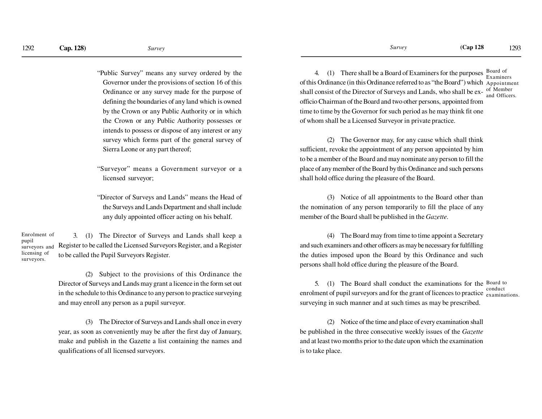"Public Survey" means any survey ordered by theGovernor under the provisions of section 16 of thisOrdinance or any survey made for the purpose ofdefining the boundaries of any land which is owned by the Crown or any Public Authority or in which the Crown or any Public Authority possesses orintends to possess or dispose of any interest or any survey which forms part of the general survey ofSierra Leone or any part thereof;

"Surveyor" means a Government surveyor or alicensed surveyor;

"Director of Surveys and Lands" means the Head ofthe Surveys and Lands Department and shall includeany duly appointed officer acting on his behalf.

3. (1) The Director of Surveys and Lands shall keep aRegister to be called the Licensed Surveyors Register, and a Registerto be called the Pupil Surveyors Register.Enrolment ofpupilsurveyors andlicensing ofsurveyors.

> (2) Subject to the provisions of this Ordinance theDirector of Surveys and Lands may grant a licence in the form set outin the schedule to this Ordinance to any person to practice surveyingand may enroll any person as a pupil surveyor.

> (3) The Director of Surveys and Lands shall once in everyyear, as soon as conveniently may be after the first day of January,make and publish in the Gazette a list containing the names andqualifications of all licensed surveyors.

4. (1) There shall be a Board of Examiners for the purposesof this Ordinance (in this Ordinance referred to as "the Board") which Appointmentshall consist of the Director of Surveys and Lands, who shall be ex- $\frac{\text{of Member}}{\text{and Offion}}$ officio Chairman of the Board and two other persons, appointed from time to time by the Governor for such period as he may think fit oneof whom shall be a Licensed Surveyor in private practice.Board of Examinersand Officers.

(2) The Governor may, for any cause which shall think sufficient, revoke the appointment of any person appointed by him to be a member of the Board and may nominate any person to fill theplace of any member of the Board by this Ordinance and such personsshall hold office during the pleasure of the Board.

(3) Notice of all appointments to the Board other than the nomination of any person temporarily to fill the place of anymember of the Board shall be published in the *Gazette.*

(4) The Board may from time to time appoint a Secretaryand such examiners and other officers as may be necessary for fulfilling the duties imposed upon the Board by this Ordinance and suchpersons shall hold office during the pleasure of the Board.

5. (1) The Board shall conduct the examinations for the  $B$ oard to enrolment of pupil surveyors and for the grant of licences to practice examinations. surveying in such manner and at such times as may be prescribed.conduct

(2) Notice of the time and place of every examination shallbe published in the three consecutive weekly issues of the *Gazette*and at least two months prior to the date upon which the examinationis to take place.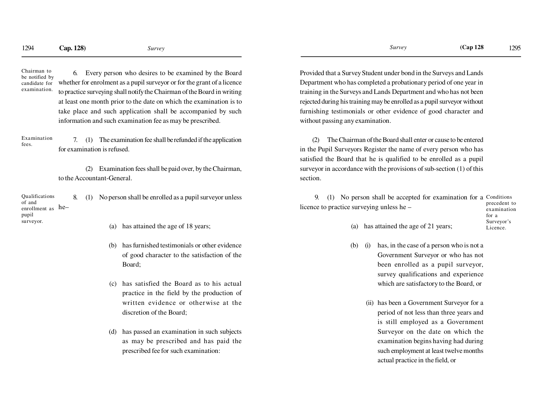Chairman to be notified by candidate forexamination.

6. Every person who desires to be examined by the Board whether for enrolment as a pupil surveyor or for the grant of a licenceto practice surveying shall notify the Chairman of the Board in writingat least one month prior to the date on which the examination is to take place and such application shall be accompanied by suchinformation and such examination fee as may be prescribed.

7. (1) The examination fee shall be refunded if the applicationfor examination is refused.Examinationfees.

> (2) Examination fees shall be paid over, by the Chairman, to the Accountant-General.

8. (1) No person shall be enrolled as a pupil surveyor unlessenrollment as he– Qualificationsof andpupilsurveyor.

- (a) has attained the age of 18 years;
- has furnished testimonials or other evidence of good character to the satisfaction of theBoard;
- (c) has satisfied the Board as to his actualpractice in the field by the production ofwritten evidence or otherwise at thediscretion of the Board;
- (d) has passed an examination in such subjectsas may be prescribed and has paid theprescribed fee for such examination:

Provided that a Survey Student under bond in the Surveys and LandsDepartment who has completed a probationary period of one year in training in the Surveys and Lands Department and who has not beenrejected during his training may be enrolled as a pupil surveyor withoutfurnishing testimonials or other evidence of good character andwithout passing any examination.

(2) The Chairman of the Board shall enter or cause to be entered in the Pupil Surveyors Register the name of every person who hassatisfied the Board that he is qualified to be enrolled as a pupilsurveyor in accordance with the provisions of sub-section (1) of thissection.

9. (1) No person shall be accepted for examination for a Conditions licence to practice surveying unless he –precedent toexamination

| precedent to |
|--------------|
| examination  |
| for a        |
| Surveyor's   |
| Licence.     |
|              |

- (a) has attained the age of 21 years;
- (b) (i) has, in the case of a person who is not a Government Surveyor or who has notbeen enrolled as a pupil surveyor,survey qualifications and experiencewhich are satisfactory to the Board, or
	- (ii) has been a Government Surveyor for aperiod of not less than three years and is still employed as a GovernmentSurveyor on the date on which theexamination begins having had during such employment at least twelve monthsactual practice in the field, or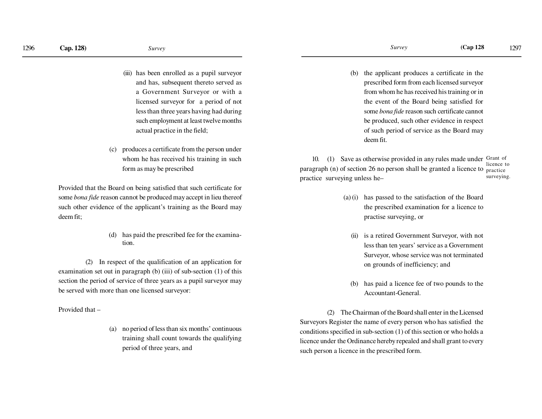- (iii) has been enrolled as a pupil surveyorand has, subsequent thereto served asa Government Surveyor or with alicensed surveyor for a period of notless than three years having had during such employment at least twelve monthsactual practice in the field;
- (c) produces a certificate from the person underwhom he has received his training in suchform as may be prescribed

Provided that the Board on being satisfied that such certificate forsome *bona fide* reason cannot be produced may accept in lieu thereofsuch other evidence of the applicant's training as the Board maydeem fit;

> (d) has paid the prescribed fee for the examination.

(2) In respect of the qualification of an application forexamination set out in paragraph (b) (iii) of sub-section (1) of thissection the period of service of three years as a pupil surveyor maybe served with more than one licensed surveyor:

Provided that –

(a) no period of less than six months' continuoustraining shall count towards the qualifyingperiod of three years, and

(b) the applicant produces a certificate in theprescribed form from each licensed surveyorfrom whom he has received his training or inthe event of the Board being satisfied forsome *bona fide* reason such certificate cannotbe produced, such other evidence in respectof such period of service as the Board maydeem fit.

10. (1) Save as otherwise provided in any rules made under Grant of paragraph (n) of section 26 no person shall be granted a licence to <sub>practice</sub> practice surveying unless he–licence tosurveying.

- (a) (i) has passed to the satisfaction of the Board the prescribed examination for a licence topractise surveying, or
	- (ii) is a retired Government Surveyor, with notless than ten years' service as a GovernmentSurveyor, whose service was not terminatedon grounds of inefficiency; and
	- (b) has paid a licence fee of two pounds to theAccountant-General.

(2) The Chairman of the Board shall enter in the Licensed Surveyors Register the name of every person who has satisfied theconditions specified in sub-section (1) of this section or who holds alicence under the Ordinance hereby repealed and shall grant to everysuch person a licence in the prescribed form.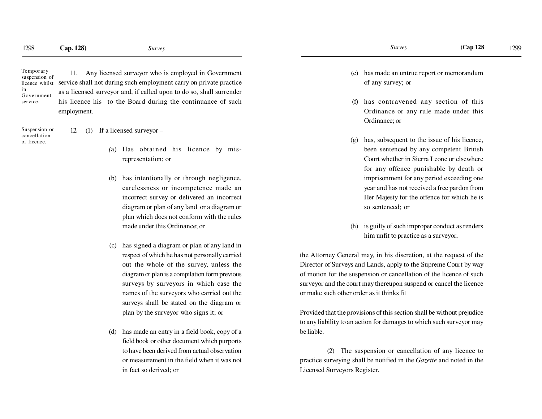Temporary suspension of licence whilstin Governmentservice.

11. Any licensed surveyor who is employed in Governmentservice shall not during such employment carry on private practiceas a licensed surveyor and, if called upon to do so, shall surrenderhis licence his to the Board during the continuance of suchemployment.

Suspension orcancellationof licence.

12. (1) If a licensed surveyor –

- *(*a) Has obtained his licence by misrepresentation; or
- (b) has intentionally or through negligence, carelessness or incompetence made an incorrect survey or delivered an incorrectdiagram or plan of any land or a diagram orplan which does not conform with the rulesmade under this Ordinance; or
- (c) has signed a diagram or plan of any land in respect of which he has not personally carried out the whole of the survey, unless thediagram or plan is a compilation form previoussurveys by surveyors in which case thenames of the surveyors who carried out thesurveys shall be stated on the diagram orplan by the surveyor who signs it; or
- (d) has made an entry in a field book, copy of a field book or other document which purportsto have been derived from actual observationor measurement in the field when it was notin fact so derived; or
- (e) has made an untrue report or memorandumof any survey; or
- (f) has contravened any section of thisOrdinance or any rule made under thisOrdinance; or
- (g) has, subsequent to the issue of his licence, been sentenced by any competent British Court whether in Sierra Leone or elsewherefor any offence punishable by death orimprisonment for any period exceeding oneyear and has not received a free pardon from Her Majesty for the offence for which he isso sentenced; or
- (h) is guilty of such improper conduct as rendershim unfit to practice as a surveyor,

the Attorney General may, in his discretion, at the request of theDirector of Surveys and Lands, apply to the Supreme Court by wayof motion for the suspension or cancellation of the licence of suchsurveyor and the court may thereupon suspend or cancel the licenceor make such other order as it thinks fit

Provided that the provisions of this section shall be without prejudiceto any liability to an action for damages to which such surveyor maybe liable.

(2) The suspension or cancellation of any licence topractice surveying shall be notified in the *Gazette* and noted in theLicensed Surveyors Register.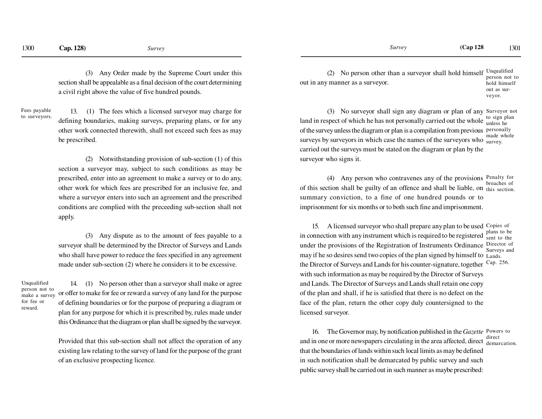(3) Any Order made by the Supreme Court under thissection shall be appealable as a final decision of the court determininga civil right above the value of five hundred pounds.

Fees payableto surveyors.

13. (1) The fees which a licensed surveyor may charge fordefining boundaries, making surveys, preparing plans, or for anyother work connected therewith, shall not exceed such fees as maybe prescribed.

(2) Notwithstanding provision of sub-section (1) of thissection a surveyor may, subject to such conditions as may beprescribed, enter into an agreement to make a survey or to do any,other work for which fees are prescribed for an inclusive fee, andwhere a surveyor enters into such an agreement and the prescribed conditions are complied with the preceeding sub-section shall notapply.

(3) Any dispute as to the amount of fees payable to asurveyor shall be determined by the Director of Surveys and Landswho shall have power to reduce the fees specified in any agreementmade under sub-section (2) where he considers it to be excessive.

Unqualified person not to make a surveyfor fee orreward.

14. (1) No person other than a surveyor shall make or agreeor offer to make for fee or reward a survey of any land for the purposeof defining boundaries or for the purpose of preparing a diagram orplan for any purpose for which it is prescribed by, rules made underthis Ordinance that the diagram or plan shall be signed by the surveyor.

Provided that this sub-section shall not affect the operation of any existing law relating to the survey of land for the purpose of the grantof an exclusive prospecting licence.

(2) No person other than a surveyor shall hold himself  $U_{\text{nquadified}}$ out in any manner as a surveyor.person not to hold himselfout as sur-

veyor.

(3) No surveyor shall sign any diagram or plan of any Surveyor not land in respect of which he has not personally carried out the whole  $\frac{10 \text{ kg}}{10 \text{ mless he}}$  of the survey unless the diagram or plan is a compilation from previous personallysurveys by surveyors in which case the names of the surveyors who  $\frac{ma}{survey}$ . carried out the surveys must be stated on the diagram or plan by thesurveyor who signs it.to sign planmade whole

(4) Any person who contravenes any of the provisions Penalty for of this section shall be guilty of an offence and shall be liable, on this section. summary conviction, to a fine of one hundred pounds or to imprisonment for six months or to both such fine and imprisonment.breaches of

15. A licensed surveyor who shall prepare any plan to be used Copies of in connection with any instrument which is required to be registeredunder the provisions of the Registration of Instruments Ordinance Director of may if he so desires send two copies of the plan signed by himself to Lands. the Director of Surveys and Lands for his counter-signature, togetherwith such information as may be required by the Director of Surveysand Lands. The Director of Surveys and Lands shall retain one copy of the plan and shall, if he is satisfied that there is no defect on theface of the plan, return the other copy duly countersigned to thelicensed surveyor. plans to be sent to theSurveys andCap. 256.

16. The Governor may, by notification published in the *Gazette* Powers to and in one or more newspapers circulating in the area affected, direct  $\frac{direct}{demarcation}$ . that the boundaries of lands within such local limits as may be defined in such notification shall be demarcated by public survey and suchpublic survey shall be carried out in such manner as maybe prescribed: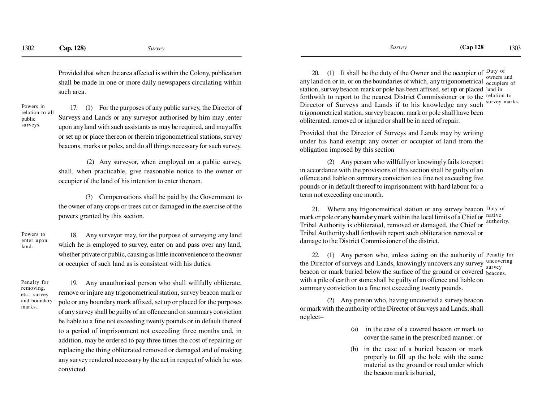Provided that when the area affected is within the Colony, publication shall be made in one or more daily newspapers circulating withinsuch area.

Powers in relation to allpublicsurveys.

17. (1) For the purposes of any public survey, the Director ofSurveys and Lands or any surveyor authorised by him may ,enterupon any land with such assistants as may be required, and may affix or set up or place thereon or therein trigonometrical stations, surveybeacons, marks or poles, and do all things necessary for such survey.

 (2) Any surveyor, when employed on a public survey, shall, when practicable, give reasonable notice to the owner oroccupier of the land of his intention to enter thereon.

(3) Compensations shall be paid by the Government tothe owner of any crops or trees cut or damaged in the exercise of thepowers granted by this section.

Powers to enter uponland.

 18. Any surveyor may, for the purpose of surveying any land which he is employed to survey, enter on and pass over any land,whether private or public, causing as little inconvenience to the owneror occupier of such land as is consistent with his duties.

Penalty forremoving, etc., survey and boundarymarks..

19. Any unauthorised person who shall willfully obliterate, remove or injure any trigonometrical station, survey beacon mark orpole or any boundary mark affixed, set up or placed for the purposesof any survey shall be guilty of an offence and on summary convictionbe liable to a fine not exceeding twenty pounds or in default thereofto a period of imprisonment not exceeding three months and, in addition, may be ordered to pay three times the cost of repairing orreplacing the thing obliterated removed or damaged and of making any survey rendered necessary by the act in respect of which he wasconvicted.

20. (1) It shall be the duty of the Owner and the occupier of  $_{\text{Duty of}}$ any land on or in, or on the boundaries of which, any trigonometrical  $\frac{\text{owness and}}{\text{occupiers of}}$ station, survey beacon mark or pole has been affixed, set up or placed land in forthwith to report to the nearest District Commissioner or to the relation to Director of Surveys and Lands if to his knowledge any such survey marks. trigonometrical station, survey beacon, mark or pole shall have beenobliterated, removed or injured or shall be in need of repair.owners and

Provided that the Director of Surveys and Lands may by writing under his hand exempt any owner or occupier of land from theobligation imposed by this section

(2) Any person who willfully or knowingly fails to report in accordance with the provisions of this section shall be guilty of an offence and liable on summary conviction to a fine not exceeding five pounds or in default thereof to imprisonment with hard labour for aterm not exceeding one month.

21. Where any trigonometrical station or any survey beacon Duty of mark or pole or any boundary mark within the local limits of a Chief or  $\frac{\text{native}}{\text{ortho}}$  Tribal Authority is obliterated, removed or damaged, the Chief or Tribal Authority shall forthwith report such obliteration removal ordamage to the District Commissioner of the district.authority.

22. (1) Any person who, unless acting on the authority of Penalty for the Director of surveys and Lands, knowingly uncovers any survey uncovering beacon or mark buried below the surface of the ground or covered beacons. with a pile of earth or stone shall be guilty of an offence and liable onsummary conviction to a fine not exceeding twenty pounds.survey

(2) Any person who, having uncovered a survey beacon or mark with the authority of the Director of Surveys and Lands, shallneglect–

- (a) in the case of a covered beacon or mark tocover the same in the prescribed manner, or
- (b) in the case of a buried beacon or mark properly to fill up the hole with the same material as the ground or road under whichthe beacon mark is buried,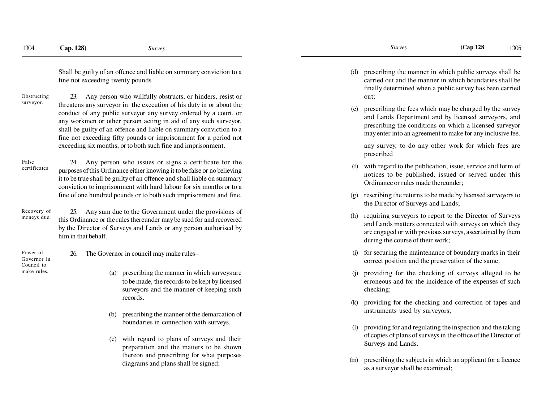Shall be guilty of an offence and liable on summary conviction to afine not exceeding twenty pounds

23. Any person who willfully obstructs, or hinders, resist or threatens any surveyor in· the execution of his duty in or about the conduct of any public surveyor any survey ordered by a court, or any workmen or other person acting in aid of any such surveyor, shall be guilty of an offence and liable on summary conviction to a fine not exceeding fifty pounds or imprisonment for a period notexceeding six months, or to both such fine and imprisonment.Obstructingsurveyor.

24. Any person who issues or signs a certificate for the purposes of this Ordinance either knowing it to be false or no believing it to be true shall be guilty of an offence and shall liable on summary conviction to imprisonment with hard labour for six months or to a fine of one hundred pounds or to both such imprisonment and fine.Falsecertificates

25. Any sum due to the Government under the provisions of this Ordinance or the rules thereunder may be sued for and recovered by the Director of Surveys and Lands or any person authorised byhim in that behalf.Recovery ofmoneys due.

Power of Governor inCouncil tomake rules.

26. The Governor in council may make rules–

- (a) prescribing the manner in which surveys are to be made, the records to be kept by licensed surveyors and the manner of keeping suchrecords.
- (b) prescribing the manner of the demarcation ofboundaries in connection with surveys.
- (c) with regard to plans of surveys and their preparation and the matters to be shown thereon and prescribing for what purposesdiagrams and plans shall be signed;

(d) prescribing the manner in which public surveys shall be carried out and the manner in which boundaries shall be finally determined when a public survey has been carriedout;

(e) prescribing the fees which may be charged by the survey and Lands Department and by licensed surveyors, and prescribing the conditions on which a licensed surveyormay enter into an agreement to make for any inclusive fee.

any survey, to do any other work for which fees areprescribed

- (f) with regard to the publication, issue, service and form of notices to be published, issued or served under thisOrdinance or rules made thereunder;
- (g) rescribing the returns to be made by licensed surveyors tothe Director of Surveys and Lands;
- (h) requiring surveyors to report to the Director of Surveys and Lands matters connected with surveys on which they are engaged or with previous surveys, ascertained by themduring the course of their work;
- (i) for securing the maintenance of boundary marks in theircorrect position and the preservation of the same;
- (j) providing for the checking of surveys alleged to be erroneous and for the incidence of the expenses of suchchecking;
- (k) providing for the checking and correction of tapes andinstruments used by surveyors;
- (l) providing for and regulating the inspection and the taking of copies of plans of surveys in the office of the Director ofSurveys and Lands.
- (m) prescribing the subjects in which an applicant for a licenceas a surveyor shall be examined;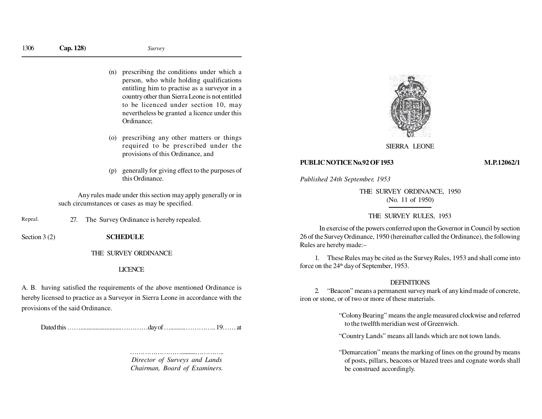- (n) prescribing the conditions under which a person, who while holding qualifications entitling him to practise as a surveyor in a country other than Sierra Leone is not entitled to be licenced under section 10, may nevertheless be granted a licence under thisOrdinance;
- (o) prescribing any other matters or things required to be prescribed under theprovisions of this Ordinance, and
- (p) generally for giving effect to the purposes ofthis Ordinance.

Any rules made under this section may apply generally or insuch circumstances or cases as may be specified.

27. The Survey Ordinance is hereby repealed. Repeal.

Section 3 (2) **SCHEDULE** 

THE SURVEY ORDINANCE

# LICENCE

A. B. having satisfied the requirements of the above mentioned Ordinance ishereby licensed to practice as a Surveyor in Sierra Leone in accordance with theprovisions of the said Ordinance.

Dated this ……...........................…………day of …..........………….. 19…… at

………………………………………………………… *Director of Surveys and LandsChairman, Board of Examiners.*



SIERRA LEONE

### **PUBLIC NOTICE No.92 OF 1953 M.P.12062/1**

*Published 24th September, 1953*

THE SURVEY ORDINANCE, 1950(No. 11 of 1950)

# THE SURVEY RULES, 1953

In exercise of the powers conferred upon the Governor in Council by section 26 of the Survey Ordinance, 1950 (hereinafter called the Ordinance), the followingRules are hereby made:–

1. These Rules may be cited as the Survey Rules, 1953 and shall come intoforce on the 24<sup>th</sup> day of September, 1953.

## DEFINITIONS

 2. "Beacon" means a permanent survey mark of any kind made of concrete, iron or stone, or of two or more of these materials.

> "Colony Bearing" means the angle measured clockwise and referredto the twelfth meridian west of Greenwich.

"Country Lands" means all lands which are not town lands.

"Demarcation" means the marking of lines on the ground by means of posts, pillars, beacons or blazed trees and cognate words shallbe construed accordingly.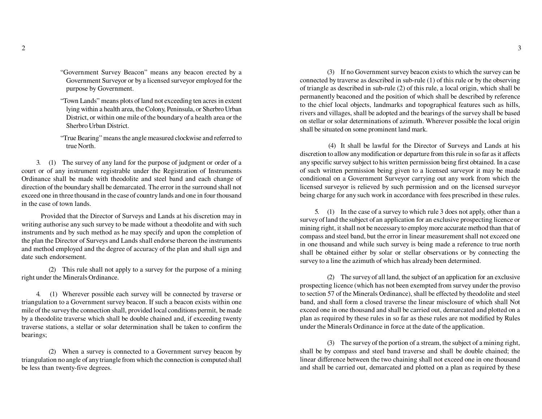- "Government Survey Beacon" means any beacon erected by a Government Surveyor or by a licensed surveyor employed for thepurpose by Government.
- "Town Lands" means plots of land not exceeding ten acres in extent lying within a health area, the Colony, Peninsula, or Sherbro Urban District, or within one mile of the boundary of a health area or theSherbro Urban District.
- "True Bearing" means the angle measured clockwise and referred totrue North.

3. (1) The survey of any land for the purpose of judgment or order of a court or of any instrument registrable under the Registration of Instruments Ordinance shall be made with theodolite and steel band and each change of direction of the boundary shall be demarcated. The error in the surround shall not exceed one in three thousand in the case of country lands and one in four thousandin the case of town lands.

Provided that the Director of Surveys and Lands at his discretion may in writing authorise any such survey to be made without a theodolite and with such instruments and by such method as he may specify and upon the completion of the plan the Director of Surveys and Lands shall endorse thereon the instruments and method employed and the degree of accuracy of the plan and shall sign anddate such endorsement.

(2) This rule shall not apply to a survey for the purpose of a miningright under the Minerals Ordinance.

4. (1) Wherever possible each survey will be connected by traverse or triangulation to a Government survey beacon. If such a beacon exists within one mile of the survey the connection shall, provided local conditions permit, be made by a theodolite traverse which shall be double chained and, if exceeding twenty traverse stations, a stellar or solar determination shall be taken to confirm thebearings;

(2) When a survey is connected to a Government survey beacon by triangulation no angle of any triangle from which the connection is computed shallbe less than twenty-five degrees.

(3) If no Government survey beacon exists to which the survey can be connected by traverse as described in sub-rule (1) of this rule or by the observing of triangle as described in sub-rule (2) of this rule, a local origin, which shall be permanently beaconed and the position of which shall be described by reference to the chief local objects, landmarks and topographical features such as hills, rivers and villages, shall be adopted and the bearings of the survey shall be based on stellar or solar determinations of azimuth. Wherever possible the local originshall be situated on some prominent land mark.

 (4) It shall be lawful for the Director of Surveys and Lands at his discretion to allow any modification or departure from this rule in so far as it affects any specific survey subject to his written permission being first obtained. In a case of such written permission being given to a licensed surveyor it may be made conditional on a Government Surveyor carrying out any work from which the licensed surveyor is relieved by such permission and on the licensed surveyorbeing charge for any such work in accordance with fees prescribed in these rules.

5. (1) In the case of a survey to which rule 3 does not apply, other than a survey of land the subject of an application for an exclusive prospecting licence or mining right, it shall not be necessary to employ more accurate method than that of compass and steel band, but the error in linear measurement shall not exceed one in one thousand and while such survey is being made a reference to true north shall be obtained either by solar or stellar observations or by connecting thesurvey to a line the azimuth of which has already been determined.

(2) The survey of all land, the subject of an application for an exclusive prospecting licence (which has not been exempted from survey under the proviso to section 57 of the Minerals Ordinance), shall be effected by theodolite and steel band, and shall form a closed traverse the linear misclosure of which shall Notexceed one in one thousand and shall be carried out, demarcated and plotted on a plan as required by these rules in so far as these rules are not modified by Rulesunder the Minerals Ordinance in force at the date of the application.

(3) The survey of the portion of a stream, the subject of a mining right, shall be by compass and steel band traverse and shall be double chained; the linear difference between the two chaining shall not exceed one in one thousandand shall be carried out, demarcated and plotted on a plan as required by these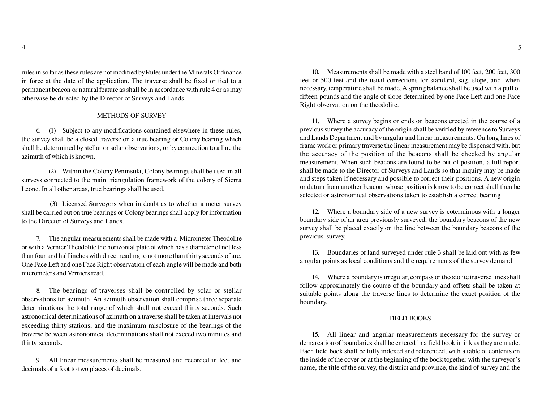rules in so far as these rules are not modified by Rules under the Minerals Ordinance in force at the date of the application. The traverse shall be fixed or tied to a permanent beacon or natural feature as shall be in accordance with rule 4 or as mayotherwise be directed by the Director of Surveys and Lands.

# METHODS OF SURVEY

6. (1) Subject to any modifications contained elsewhere in these rules, the survey shall be a closed traverse on a true bearing or Colony bearing which shall be determined by stellar or solar observations, or by connection to a line theazimuth of which is known.

(2) Within the Colony Peninsula, Colony bearings shall be used in all surveys connected to the main triangulation framework of the colony of SierraLeone. In all other areas, true bearings shall be used.

 (3) Licensed Surveyors when in doubt as to whether a meter survey shall be carried out on true bearings or Colony bearings shall apply for informationto the Director of Surveys and Lands.

7. The angular measurements shall be made with a Micrometer Theodolite or with a Vernier Theodolite the horizontal plate of which has a diameter of not less than four and half inches with direct reading to not more than thirty seconds of arc. One Face Left and one Face Right observation of each angle will be made and bothmicrometers and Verniers read.

8. The bearings of traverses shall be controlled by solar or stellar observations for azimuth. An azimuth observation shall comprise three separate determinations the total range of which shall not exceed thirty seconds. Such astronomical determinations of azimuth on a traverse shall be taken at intervals notexceeding thirty stations, and the maximum misclosure of the bearings of the traverse between astronomical determinations shall not exceed two minutes andthirty seconds.

9. All linear measurements shall be measured and recorded in feet anddecimals of a foot to two places of decimals.

10. Measurements shall be made with a steel band of 100 feet, 200 feet, 300 feet or 500 feet and the usual corrections for standard, sag, slope, and, when necessary, temperature shall be made. A spring balance shall be used with a pull of fifteen pounds and the angle of slope determined by one Face Left and one FaceRight observation on the theodolite.

11. Where a survey begins or ends on beacons erected in the course of a previous survey the accuracy of the origin shall be verified by reference to Surveys and Lands Department and by angular and linear measurements. On long lines of frame work or primary traverse the linear measurement may be dispensed with, butthe accuracy of the position of the beacons shall be checked by angular measurement. When such beacons are found to be out of position, a full reportshall be made to the Director of Surveys and Lands so that inquiry may be made and steps taken if necessary and possible to correct their positions. A new origin or datum from another beacon whose position is know to be correct shall then beselected or astronomical observations taken to establish a correct bearing

12. Where a boundary side of a new survey is coterminous with a longer boundary side of an area previously surveyed, the boundary beacons of the new survey shall be placed exactly on the line between the boundary beacons of theprevious survey.

13. Boundaries of land surveyed under rule 3 shall be laid out with as fewangular points as local conditions and the requirements of the survey demand.

14. Where a boundary is irregular, compass or theodolite traverse lines shall follow approximately the course of the boundary and offsets shall be taken atsuitable points along the traverse lines to determine the exact position of theboundary.

# FIELD BOOKS

15. All linear and angular measurements necessary for the survey or demarcation of boundaries shall be entered in a field book in ink as they are made. Each field book shall be fully indexed and referenced, with a table of contents on the inside of the cover or at the beginning of the book together with the surveyor'sname, the title of the survey, the district and province, the kind of survey and the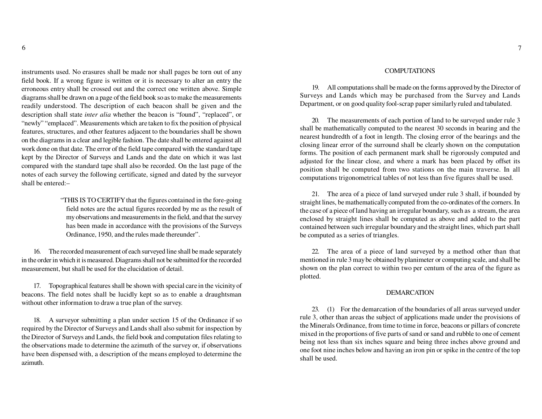instruments used. No erasures shall be made nor shall pages be torn out of any field book. If a wrong figure is written or it is necessary to alter an entry the erroneous entry shall be crossed out and the correct one written above. Simple diagrams shall be drawn on a page of the field book so as to make the measurements readily understood. The description of each beacon shall be given and the description shall state *inter alia* whether the beacon is "found", "replaced", or "newly" "emplaced". Measurements which are taken to fix the position of physical features, structures, and other features adjacent to the boundaries shall be shown on the diagrams in a clear and legible fashion. The date shall be entered against all work done on that date. The error of the field tape compared with the standard tape kept by the Director of Surveys and Lands and the date on which it was lastcompared with the standard tape shall also be recorded. On the last page of the notes of each survey the following certificate, signed and dated by the surveyorshall be entered:–

> "THIS IS TO CERTIFY that the figures contained in the fore-going field notes are the actual figures recorded by me as the result of my observations and measurements in the field, and that the survey has been made in accordance with the provisions of the SurveysOrdinance, 1950, and the rules made thereunder".

16. The recorded measurement of each surveyed line shall be made separately in the order in which it is measured. Diagrams shall not be submitted for the recordedmeasurement, but shall be used for the elucidation of detail.

17. Topographical features shall be shown with special care in the vicinity of beacons. The field notes shall be lucidly kept so as to enable a draughtsmanwithout other information to draw a true plan of the survey.

18. A surveyor submitting a plan under section 15 of the Ordinance if so required by the Director of Surveys and Lands shall also submit for inspection by the Director of Surveys and Lands, the field book and computation files relating to the observations made to determine the azimuth of the survey or, if observations have been dispensed with, a description of the means employed to determine theazimuth.

# COMPUTATIONS

19. All computations shall be made on the forms approved by the Director of Surveys and Lands which may be purchased from the Survey and LandsDepartment, or on good quality fool-scrap paper similarly ruled and tabulated.

20. The measurements of each portion of land to be surveyed under rule 3 shall be mathematically computed to the nearest 30 seconds in bearing and the nearest hundredth of a foot in length. The closing error of the bearings and the closing linear error of the surround shall be clearly shown on the computation forms. The position of each permanent mark shall be rigorously computed and adjusted for the linear close, and where a mark has been placed by offset its position shall be computed from two stations on the main traverse. In allcomputations trigonometrical tables of not less than five figures shall be used.

21. The area of a piece of land surveyed under rule 3 shall, if bounded by straight lines, be mathematically computed from the co-ordinates of the corners. In the case of a piece of land having an irregular boundary, such as a stream, the area enclosed by straight lines shall be computed as above and added to the part contained between such irregular boundary and the straight lines, which part shallbe computed as a series of triangles.

22. The area of a piece of land surveyed by a method other than that mentioned in rule 3 may be obtained by planimeter or computing scale, and shall be shown on the plan correct to within two per centum of the area of the figure asplotted.

## DEMARCATION

23. (1) For the demarcation of the boundaries of all areas surveyed under rule 3, other than areas the subject of applications made under the provisions of the Minerals Ordinance, from time to time in force, beacons or pillars of concrete mixed in the proportions of five parts of sand or sand and rubble to one of cement being not less than six inches square and being three inches above ground and one foot nine inches below and having an iron pin or spike in the centre of the topshall be used.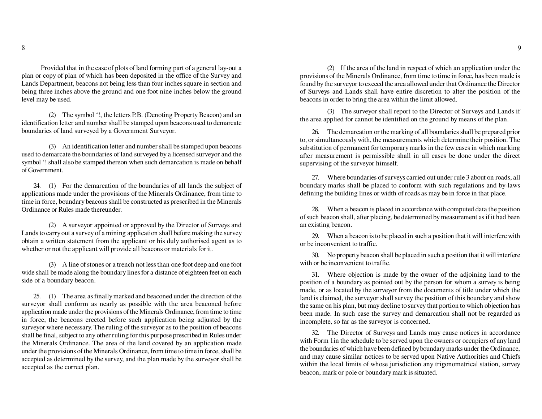Provided that in the case of plots of land forming part of a general lay-out a plan or copy of plan of which has been deposited in the office of the Survey and Lands Department, beacons not being less than four inches square in section and being three inches above the ground and one foot nine inches below the groundlevel may be used.

(2) The symbol '!, the letters P.B. (Denoting Property Beacon) and an identification letter and number shall be stamped upon beacons used to demarcateboundaries of land surveyed by a Government Surveyor.

(3) An identification letter and number shall be stamped upon beacons used to demarcate the boundaries of land surveyed by a licensed surveyor and the symbol '! shall also be stamped thereon when such demarcation is made on behalfof Government.

24. (1) For the demarcation of the boundaries of all lands the subject of applications made under the provisions of the Minerals Ordinance, from time to time in force, boundary beacons shall be constructed as prescribed in the MineralsOrdinance or Rules made thereunder.

(2) A surveyor appointed or approved by the Director of Surveys and Lands to carry out a survey of a mining application shall before making the survey obtain a written statement from the applicant or his duly authorised agent as towhether or not the applicant will provide all beacons or materials for it.

(3) A line of stones or a trench not less than one foot deep and one foot wide shall be made along the boundary lines for a distance of eighteen feet on eachside of a boundary beacon.

25. (1) The area as finally marked and beaconed under the direction of the surveyor shall conform as nearly as possible with the area beaconed before application made under the provisions of the Minerals Ordinance, from time to time in force, the beacons erected before such application being adjusted by the surveyor where necessary. The ruling of the surveyor as to the position of beacons shall be final, subject to any other ruling for this purpose prescribed in Rules under the Minerals Ordinance. The area of the land covered by an application made under the provisions of the Minerals Ordinance, from time to time in force, shall be accepted as determined by the survey, and the plan made by the surveyor shall beaccepted as the correct plan.

(2) If the area of the land in respect of which an application under the provisions of the Minerals Ordinance, from time to time in force, has been made is found by the surveyor to exceed the area allowed under that Ordinance the Director of Surveys and Lands shall have entire discretion to alter the position of thebeacons in order to bring the area within the limit allowed.

(3) The surveyor shall report to the Director of Surveys and Lands ifthe area applied for cannot be identified on the ground by means of the plan.

26. The demarcation or the marking of all boundaries shall be prepared prior to, or simultaneously with, the measurements which determine their position. The substitution of permanent for temporary marks in the few cases in which marking after measurement is permissible shall in all cases be done under the directsupervising of the surveyor himself.

27. Where boundaries of surveys carried out under rule 3 about on roads, all boundary marks shall be placed to conform with such regulations and by-lawsdefining the building lines or width of roads as may be in force in that place.

28. When a beacon is placed in accordance with computed data the position of such beacon shall, after placing, be determined by measurement as if it had beenan existing beacon.

29. When a beacon is to be placed in such a position that it will interfere withor be inconvenient to traffic.

30. No property beacon shall be placed in such a position that it will interferewith or be inconvenient to traffic.

31. Where objection is made by the owner of the adjoining land to the position of a boundary as pointed out by the person for whom a survey is being made, or as located by the surveyor from the documents of title under which the land is claimed, the surveyor shall survey the position of this boundary and show the same on his plan, but may decline to survey that portion to which objection has been made. In such case the survey and demarcation shall not be regarded asincomplete, so far as the surveyor is concerned.

32. The Director of Surveys and Lands may cause notices in accordance with Form 1in the schedule to be served upon the owners or occupiers of any land the boundaries of which have been defined by boundary marks under the Ordinance, and may cause similar notices to be served upon Native Authorities and Chiefs within the local limits of whose jurisdiction any trigonometrical station, surveybeacon, mark or pole or boundary mark is situated.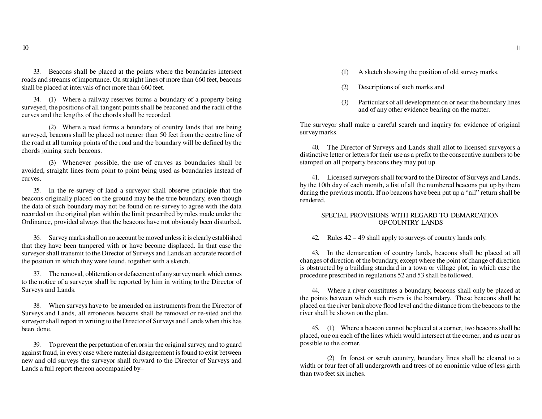33. Beacons shall be placed at the points where the boundaries intersect roads and streams of importance. On straight lines of more than 660 feet, beaconsshall be placed at intervals of not more than 660 feet.

34. (1) Where a railway reserves forms a boundary of a property being surveyed, the positions of all tangent points shall be beaconed and the radii of thecurves and the lengths of the chords shall be recorded.

(2) Where a road forms a boundary of country lands that are being surveyed, beacons shall be placed not nearer than 50 feet from the centre line of the road at all turning points of the road and the boundary will be defined by thechords joining such beacons.

(3) Whenever possible, the use of curves as boundaries shall be avoided, straight lines form point to point being used as boundaries instead ofcurves.

35. In the re-survey of land a surveyor shall observe principle that the beacons originally placed on the ground may be the true boundary, even though the data of such boundary may not be found on re-survey to agree with the data recorded on the original plan within the limit prescribed by rules made under theOrdinance, provided always that the beacons have not obviously been disturbed.

36. Survey marks shall on no account be moved unless it is clearly established that they have been tampered with or have become displaced. In that case the surveyor shall transmit to the Director of Surveys and Lands an accurate record ofthe position in which they were found, together with a sketch.

37. The removal, obliteration or defacement of any survey mark which comes to the notice of a surveyor shall be reported by him in writing to the Director ofSurveys and Lands.

38. When surveys have to be amended on instruments from the Director of Surveys and Lands, all erroneous beacons shall be removed or re-sited and the surveyor shall report in writing to the Director of Surveys and Lands when this hasbeen done.

39. To prevent the perpetuation of errors in the original survey, and to guard against fraud, in every case where material disagreement is found to exist between new and old surveys the surveyor shall forward to the Director of Surveys andLands a full report thereon accompanied by–

- (1) A sketch showing the position of old survey marks.
- (2) Descriptions of such marks and
- (3) Particulars of all development on or near the boundary linesand of any other evidence bearing on the matter.

The surveyor shall make a careful search and inquiry for evidence of originalsurvey marks.

40. The Director of Surveys and Lands shall allot to licensed surveyors a distinctive letter or letters for their use as a prefix to the consecutive numbers to bestamped on all property beacons they may put up.

41. Licensed surveyors shall forward to the Director of Surveys and Lands, by the 10th day of each month, a list of all the numbered beacons put up by them during the previous month. If no beacons have been put up a "nil" return shall berendered.

# SPECIAL PROVISIONS WITH REGARD TO DEMARCATIONOF COUNTRY LANDS

42. Rules 42 – 49 shall apply to surveys of country lands only.

43. In the demarcation of country lands, beacons shall be placed at all changes of direction of the boundary, except where the point of change of direction is obstructed by a building standard in a town or village plot, in which case theprocedure prescribed in regulations 52 and 53 shall be followed.

44. Where a river constitutes a boundary, beacons shall only be placed at the points between which such rivers is the boundary. These beacons shall be placed on the river bank above flood level and the distance from the beacons to theriver shall be shown on the plan.

45. (1) Where a beacon cannot be placed at a corner, two beacons shall be placed, one on each of the lines which would intersect at the corner, and as near aspossible to the corner.

(2) In forest or scrub country, boundary lines shall be cleared to a width or four feet of all undergrowth and trees of no enonimic value of less girththan two feet six inches.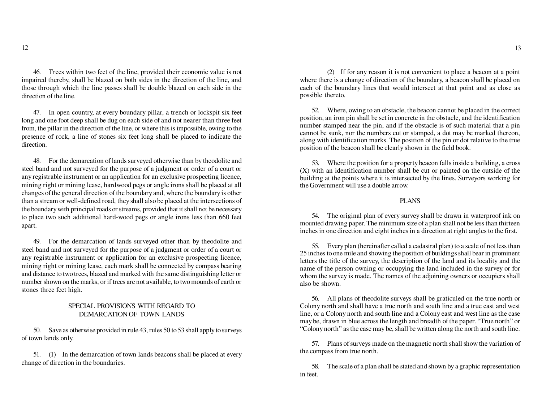46. Trees within two feet of the line, provided their economic value is not impaired thereby, shall be blazed on both sides in the direction of the line, and those through which the line passes shall be double blazed on each side in thedirection of the line.

47. In open country, at every boundary pillar, a trench or lockspit six feet long and one foot deep shall be dug on each side of and not nearer than three feet from, the pillar in the direction of the line, or where this is impossible, owing to the presence of rock, a line of stones six feet long shall be placed to indicate thedirection.

48. For the demarcation of lands surveyed otherwise than by theodolite and steel band and not surveyed for the purpose of a judgment or order of a court or any registrable instrument or an application for an exclusive prospecting licence, mining right or mining lease, hardwood pegs or angle irons shall be placed at all changes of the general direction of the boundary and, where the boundary is other than a stream or well-defined road, they shall also be placed at the intersections of the boundary with principal roads or streams, provided that it shall not be necessary to place two such additional hard-wood pegs or angle irons less than 660 feetapart.

49. For the demarcation of lands surveyed other than by theodolite and steel band and not surveyed for the purpose of a judgment or order of a court or any registrable instrument or application for an exclusive prospecting licence, mining right or mining lease, each mark shall be connected by compass bearing and distance to two trees, blazed and marked with the same distinguishing letter or number shown on the marks, or if trees are not available, to two mounds of earth orstones three feet high.

# SPECIAL PROVISIONS WITH REGARD TODEMARCATION OF TOWN LANDS

50. Save as otherwise provided in rule 43, rules 50 to 53 shall apply to surveysof town lands only.

51. (1) In the demarcation of town lands beacons shall be placed at everychange of direction in the boundaries.

(2) If for any reason it is not convenient to place a beacon at a point where there is a change of direction of the boundary, a beacon shall be placed on each of the boundary lines that would intersect at that point and as close aspossible thereto.

52. Where, owing to an obstacle, the beacon cannot be placed in the correct position, an iron pin shall be set in concrete in the obstacle, and the identification number stamped near the pin, and if the obstacle is of such material that a pin cannot be sunk, nor the numbers cut or stamped, a dot may be marked thereon, along with identification marks. The position of the pin or dot relative to the trueposition of the beacon shall be clearly shown in the field book.

53. Where the position for a property beacon falls inside a building, a cross (X) with an identification number shall be cut or painted on the outside of the building at the points where it is intersected by the lines. Surveyors working forthe Government will use a double arrow.

# PLANS

54. The original plan of every survey shall be drawn in waterproof ink on mounted drawing paper. The minimum size of a plan shall not be less than thirteeninches in one direction and eight inches in a direction at right angles to the first.

55. Every plan (hereinafter called a cadastral plan) to a scale of not less than 25 inches to one mile and showing the position of buildings shall bear in prominent letters the title of the survey, the description of the land and its locality and the name of the person owning or occupying the land included in the survey or for whom the survey is made. The names of the adjoining owners or occupiers shallalso be shown.

56. All plans of theodolite surveys shall be graticuled on the true north or Colony north and shall have a true north and south line and a true east and west line, or a Colony north and south line and a Colony east and west line as the case may be, drawn in blue across the length and breadth of the paper. "True north" or"Colony north" as the case may be, shall be written along the north and south line.

57. Plans of surveys made on the magnetic north shall show the variation ofthe compass from true north.

58. The scale of a plan shall be stated and shown by a graphic representationin feet.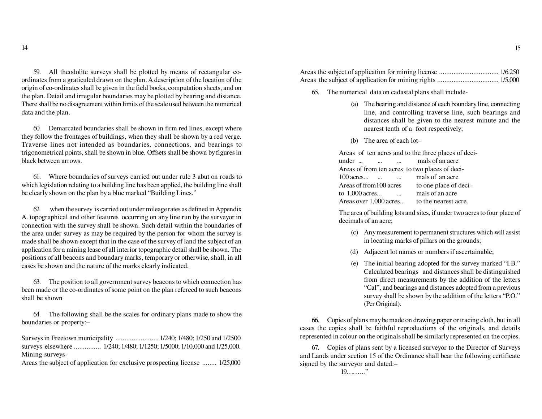59. All theodolite surveys shall be plotted by means of rectangular coordinates from a graticuled drawn on the plan. A description of the location of the origin of co-ordinates shall be given in the field books, computation sheets, and on the plan. Detail and irregular boundaries may be plotted by bearing and distance. There shall be no disagreement within limits of the scale used between the numericaldata and the plan.

60. Demarcated boundaries shall be shown in firm red lines, except where they follow the frontages of buildings, when they shall be shown by a red verge. Traverse lines not intended as boundaries, connections, and bearings to trigonometrical points, shall be shown in blue. Offsets shall be shown by figures inblack between arrows.

61. Where boundaries of surveys carried out under rule 3 abut on roads to which legislation relating to a building line has been applied, the building line shallbe clearly shown on the plan by a blue marked "Building Lines."

62. when the survey is carried out under mileage rates as defined in Appendix A. topographical and other features occurring on any line run by the surveyor in connection with the survey shall be shown. Such detail within the boundaries of the area under survey as may be required by the person for whom the survey is made shall be shown except that in the case of the survey of land the subject of an application for a mining lease of all interior topographic detail shall be shown. The positions of all beacons and boundary marks, temporary or otherwise, shall, in allcases be shown and the nature of the marks clearly indicated.

63. The position to all government survey beacons to which connection has been made or the co-ordinates of some point on the plan refereed to such beaconsshall be shown

64. The following shall be the scales for ordinary plans made to show theboundaries or property:–

Surveys in Freetown municipality ........................ 1/240; 1/480; 1/250 and 1/2500 surveys elsewhere ............... 1/240; 1/480; 1/1250; 1/5000; 1/10,000 and 1/25,000. Mining surveys-

Areas the subject of application for exclusive prospecting license ........ 1/25,000

Areas the subject of application for mining license ................................. 1/6.250Areas the subject of application for mining rights .................................. 1/5,000

- 65. The numerical data on cadastal plans shall include-
	- (a) The bearing and distance of each boundary line, connecting line, and controlling traverse line, such bearings and distances shall be given to the nearest minute and thenearest tenth of a foot respectively;
	- (b) The area of each lot–

Areas of ten acres and to the three places of deci-

| under                                          | mals of an acre       |
|------------------------------------------------|-----------------------|
| Areas of from ten acres to two places of deci- |                       |
| $100$ acres                                    | mals of an acre       |
| Areas of from 100 acres                        | to one place of deci- |
| to $1,000$ acres                               | mals of an acre       |
| Areas over 1,000 acres                         | to the nearest acre.  |

The area of building lots and sites, if under two acres to four place ofdecimals of an acre;

- (c) Any measurement to permanent structures which will assistin locating marks of pillars on the grounds;
- (d) Adjacent lot names or numbers if ascertainable;
- (e) The initial bearing adopted for the survey marked "I.B." Calculated bearings and distances shall be distinguished from direct measurements by the addition of the letters "Cal", and bearings and distances adopted from a previous survey shall be shown by the addition of the letters "P.O."(Per Original).

66. Copies of plans may be made on drawing paper or tracing cloth, but in all cases the copies shall be faithful reproductions of the originals, and detailsrepresented in colour on the originals shall be similarly represented on the copies.

67. Copies of plans sent by a licensed surveyor to the Director of Surveys and Lands under section 15 of the Ordinance shall bear the following certificatesigned by the surveyor and dated:–

19………"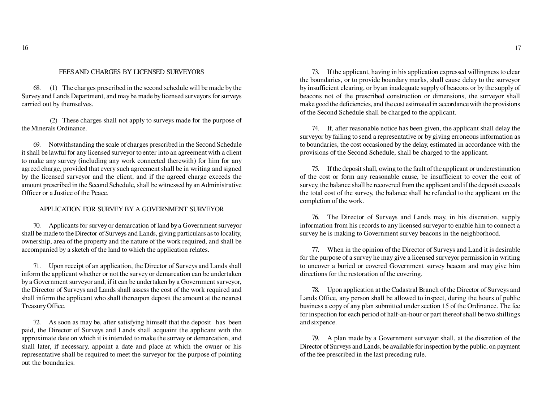# FEES AND CHARGES BY LICENSED SURVEYORS

68. (1) The charges prescribed in the second schedule will be made by the Survey and Lands Department, and may be made by licensed surveyors for surveyscarried out by themselves.

 (2) These charges shall not apply to surveys made for the purpose ofthe Minerals Ordinance.

69. Notwithstanding the scale of charges prescribed in the Second Schedule it shall be lawful for any licensed surveyor to enter into an agreement with a client to make any survey (including any work connected therewith) for him for any agreed charge, provided that every such agreement shall be in writing and signed by the licensed surveyor and the client, and if the agreed charge exceeds the amount prescribed in the Second Schedule, shall be witnessed by an AdministrativeOfficer or a Justice of the Peace.

# APPLICATION FOR SURVEY BY A GOVERNMENT SURVEYOR

70. Applicants for survey or demarcation of land by a Government surveyor shall be made to the Director of Surveys and Lands, giving particulars as to locality, ownership, area of the property and the nature of the work required, and shall beaccompanied by a sketch of the land to which the application relates.

71. Upon receipt of an application, the Director of Surveys and Lands shall inform the applicant whether or not the survey or demarcation can be undertaken by a Government surveyor and, if it can be undertaken by a Government surveyor, the Director of Surveys and Lands shall assess the cost of the work required and shall inform the applicant who shall thereupon deposit the amount at the nearestTreasury Office.

72. As soon as may be, after satisfying himself that the deposit has been paid, the Director of Surveys and Lands shall acquaint the applicant with the approximate date on which it is intended to make the survey or demarcation, and shall later, if necessary, appoint a date and place at which the owner or his representative shall be required to meet the surveyor for the purpose of pointingout the boundaries.

73. If the applicant, having in his application expressed willingness to clear the boundaries, or to provide boundary marks, shall cause delay to the surveyor by insufficient clearing, or by an inadequate supply of beacons or by the supply of beacons not of the prescribed construction or dimensions, the surveyor shall make good the deficiencies, and the cost estimated in accordance with the provisionsof the Second Schedule shall be charged to the applicant.

74. If, after reasonable notice has been given, the applicant shall delay the surveyor by failing to send a representative or by giving erroneous information as to boundaries, the cost occasioned by the delay, estimated in accordance with theprovisions of the Second Schedule, shall be charged to the applicant.

75. If the deposit shall, owing to the fault of the applicant or underestimation of the cost or form any reasonable cause, be insufficient to cover the cost of survey, the balance shall be recovered from the applicant and if the deposit exceeds the total cost of the survey, the balance shall be refunded to the applicant on thecompletion of the work.

76. The Director of Surveys and Lands may, in his discretion, supply information from his records to any licensed surveyor to enable him to connect asurvey he is making to Government survey beacons in the neighborhood.

77. When in the opinion of the Director of Surveys and Land it is desirable for the purpose of a survey he may give a licensed surveyor permission in writing to uncover a buried or covered Government survey beacon and may give himdirections for the restoration of the covering.

78. Upon application at the Cadastral Branch of the Director of Surveys and Lands Office, any person shall be allowed to inspect, during the hours of public business a copy of any plan submitted under section 15 of the Ordinance. The fee for inspection for each period of half-an-hour or part thereof shall be two shillingsand sixpence.

79. A plan made by a Government surveyor shall, at the discretion of the Director of Surveys and Lands, be available for inspection by the public, on paymentof the fee prescribed in the last preceding rule.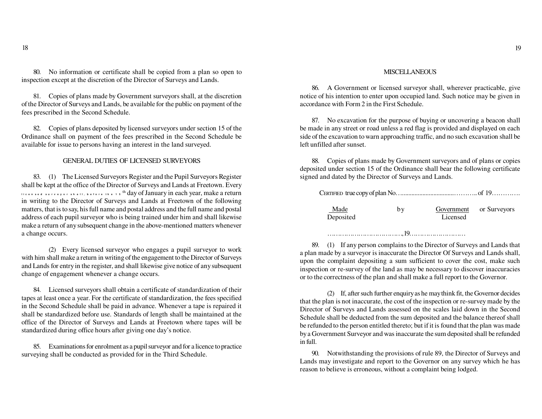80. No information or certificate shall be copied from a plan so open toinspection except at the discretion of the Director of Surveys and Lands.

81. Copies of plans made by Government surveyors shall, at the discretion of the Director of Surveys and Lands, be available for the public on payment of thefees prescribed in the Second Schedule.

82. Copies of plans deposited by licensed surveyors under section 15 of the Ordinance shall on payment of the fees prescribed in the Second Schedule beavailable for issue to persons having an interest in the land surveyed.

## GENERAL DUTIES OF LICENSED SURVEYORS

83. (1) The Licensed Surveyors Register and the Pupil Surveyors Register shall be kept at the office of the Director of Surveys and Lands at Freetown. Everylicensed survey or shall, before the 15 <sup>th</sup> day of January in each year, make a return in writing to the Director of Surveys and Lands at Freetown of the following matters, that is to say, his full name and postal address and the full name and postal address of each pupil surveyor who is being trained under him and shall likewise make a return of any subsequent change in the above-mentioned matters whenevera change occurs.

(2) Every licensed surveyor who engages a pupil surveyor to work with him shall make a return in writing of the engagement to the Director of Surveys and Lands for entry in the register, and shall likewise give notice of any subsequentchange of engagement whenever a change occurs.

84. Licensed surveyors shall obtain a certificate of standardization of their tapes at least once a year. For the certificate of standardization, the fees specified in the Second Schedule shall be paid in advance. Whenever a tape is repaired it shall be standardized before use. Standards of length shall be maintained at the office of the Director of Surveys and Lands at Freetown where tapes will bestandardized during office hours after giving one day's notice.

85. Examinations for enrolment as a pupil surveyor and for a licence to practicesurveying shall be conducted as provided for in the Third Schedule.

## **MISCELLANEOUS**

86. A Government or licensed surveyor shall, wherever practicable, give notice of his intention to enter upon occupied land. Such notice may be given inaccordance with Form 2 in the First Schedule.

87. No excavation for the purpose of buying or uncovering a beacon shall be made in any street or road unless a red flag is provided and displayed on each side of the excavation to warn approaching traffic, and no such excavation shall beleft unfilled after sunset.

88. Copies of plans made by Government surveyors and of plans or copies deposited under section 15 of the Ordinance shall bear the following certificatesigned and dated by the Director of Surveys and Lands.

| Made<br>Deposited | bv | Licensed | Government or Surveyors |
|-------------------|----|----------|-------------------------|
|                   |    |          |                         |

 89. (1) If any person complains to the Director of Surveys and Lands that a plan made by a surveyor is inaccurate the Director Of Surveys and Lands shall, upon the complaint depositing a sum sufficient to cover the cost, make such inspection or re-survey of the land as may be necessary to discover inaccuraciesor to the correctness of the plan and shall make a full report to the Governor.

(2) If, after such further enquiry as he may think fit, the Governor decides that the plan is not inaccurate, the cost of the inspection or re-survey made by the Director of Surveys and Lands assessed on the scales laid down in the Second Schedule shall be deducted from the sum deposited and the balance thereof shall be refunded to the person entitled thereto; but if it is found that the plan was made by a Government Surveyor and was inaccurate the sum deposited shall be refundedin full.

90. Notwithstanding the provisions of rule 89, the Director of Surveys and Lands may investigate and report to the Governor on any survey which he hasreason to believe is erroneous, without a complaint being lodged.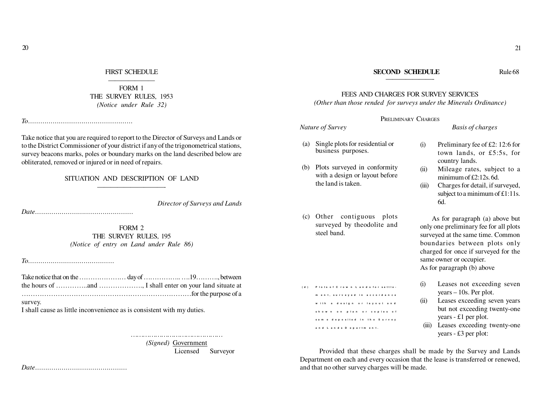### FIRST SCHEDULE———————

 FORM 1 THE SURVEY RULES, 1953*(Notice under Rule 32)*

*To……………………………………………*

Take notice that you are required to report to the Director of Surveys and Lands or to the District Commissioner of your district if any of the trigonometrical stations, survey beacons marks, poles or boundary marks on the land described below areobliterated, removed or injured or in need of repairs.

### SITUATION AND DESCRIPTION OF LAND——————————-

*Director of Surveys and Lands*

*Date…………………………………………*

FORM 2 THE SURVEY RULES, 195*(Notice of entry on Land under Rule 86)*

*To……………………………………*

Take notice that on the ………………… day of …………….. ….19………., between the hours of …………..and ………………., I shall enter on your land situate at…………………………………………………………………for the purpose of asurvey.

I shall cause as little inconvenience as is consistent with my duties.

*(Signed)* Government

Licensed Surveyor

*Date………………………………………*

# FEES AND CHARGES FOR SURVEY SERVICES

*(Other than those rended for surveys under the Minerals Ordinance)*

## PRELIMINARY CHARGES

*Nature of Survey Basis of charges*

- (a) Single plots for residential orbusiness purposes.
- (b) Plots surveyed in conformity with a design or layout beforethe land is taken.
- (c) Other contiguous plots surveyed by theodolite andsteel band.

ment.surveved in accordance with a design or lavout and shown on plan or copies of same deposited in the Survey and Lands Department.

(d) Plots of Crown Lands for settle-

- Preliminary fee of £2: 12:6 for town lands, or £5:5s, forcountry lands.
- (ii) Mileage rates, subject to aminimum of £2:12s. 6d.
- (iii) Charges for detail, if surveyed, subject to a minimum of  $£1:11s$ . 6d.

 As for paragraph (a) above but only one preliminary fee for all plots surveyed at the same time. Common boundaries between plots only charged for once if surveyed for thesame owner or occupier.As for paragraph (b) above

- (i) Leases not exceeding sevenyears – 10s. Per plot.
- (ii) Leases exceeding seven years but not exceeding twenty-oneyears - £1 per plot.
- (iii) Leases exceeding twenty-oneyears - £3 per plot:

Provided that these charges shall be made by the Survey and Lands Department on each and every occasion that the lease is transferred or renewed,and that no other survey charges will be made.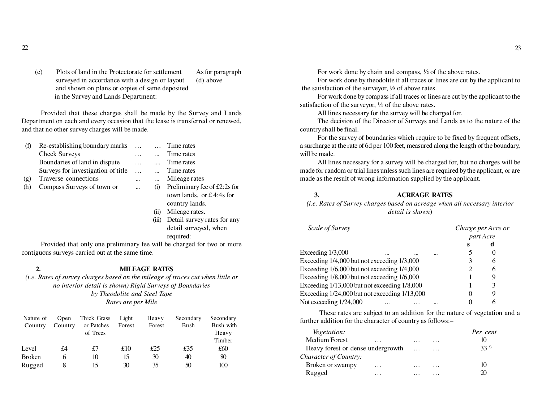(e) Plots of land in the Protectorate for settlement As for paragraphsurveyed in accordance with a design or layout (d) above and shown on plans or copies of same depositedin the Survey and Lands Department:

Provided that these charges shall be made by the Survey and Lands Department on each and every occasion that the lease is transferred or renewed,and that no other survey charges will be made.

| (f)              | Re-establishing boundary marks     | $\cdots$  | Time rates                     |
|------------------|------------------------------------|-----------|--------------------------------|
|                  | <b>Check Surveys</b>               | $\cdots$  | Time rates                     |
|                  | Boundaries of land in dispute      | $\cdots$  | Time rates                     |
|                  | Surveys for investigation of title | $\cdots$  | Time rates                     |
| $(\mathfrak{g})$ | Traverse connections               | $\cdots$  | Mileage rates                  |
| (h)              | Compass Surveys of town or         | $\ddotsc$ | Preliminary fee of £2:2s for   |
|                  |                                    |           | town lands or $f \Delta A$ for |

- town lands, or £ 4:4s forcountry lands.
- (ii) Mileage rates.
- (iii) Detail survey rates for anydetail surveyed, whenrequired:

Provided that only one preliminary fee will be charged for two or morecontiguous surveys carried out at the same time.

**2.**

**MILEAGE RATES**

 *(i.e. Rates of survey charges based on the mileage of traces cut when little orno interior detail is shown) Rigid Surveys of Boundariesby Theodolite and Steel TapeRates are per Mile*

| Nature of     | Open    | Thick Grass | Light  | Heavy  | Secondary | Secondary |
|---------------|---------|-------------|--------|--------|-----------|-----------|
| Country       | Country | or Patches  | Forest | Forest | Bush      | Bush with |
|               |         | of Trees    |        |        |           | Heavy     |
|               |         |             |        |        |           | Timber    |
| Level         | £4      | £7          | £10    | £25    | £35       | £60       |
| <b>Broken</b> |         | 10          | 15     | 30     | 40        | 80        |
| Rugged        |         | 15          | 30     | 35     | 50        | 100       |

For work done by chain and compass, ½ of the above rates.

 For work done by theodolite if all traces or lines are cut by the applicant tothe satisfaction of the surveyor,  $\frac{1}{2}$  of above rates.

 For work done by compass if all traces or lines are cut by the applicant to thesatisfaction of the surveyor,  $\frac{1}{4}$  of the above rates.

All lines necessary for the survey will be charged for.

 The decision of the Director of Surveys and Lands as to the nature of thecountry shall be final.

For the survey of boundaries which require to be fixed by frequent offsets, a surcharge at the rate of 6d per 100 feet, measured along the length of the boundary,will be made.

All lines necessary for a survey will be charged for, but no charges will be made for random or trial lines unless such lines are required by the applicant, or aremade as the result of wrong information supplied by the applicant.

# **3. ACREAGE RATES**

 *(i.e. Rates of Survey charges based on acreage when all necessary interiordetail is shown*)

| Scale of Survey                               |  |           | Charge per Acre or |  |
|-----------------------------------------------|--|-----------|--------------------|--|
|                                               |  | part Acre |                    |  |
|                                               |  | S         | d                  |  |
| Exceeding $1/3,000$<br><br>                   |  |           |                    |  |
| Exceeding 1/4,000 but not exceeding 1/3,000   |  |           | 6                  |  |
| Exceeding 1/6,000 but not exceeding 1/4,000   |  |           | 6                  |  |
| Exceeding 1/8,000 but not exceeding 1/6,000   |  |           |                    |  |
| Exceeding 1/13,000 but not exceeding 1/8,000  |  |           | 3                  |  |
| Exceeding 1/24,000 but not exceeding 1/13,000 |  |           | 9                  |  |
| Not exceeding 1/24,000                        |  |           |                    |  |

These rates are subject to an addition for the nature of vegetation and afurther addition for the character of country as follows:–

| <i>Vegetation:</i>                |          |          |          | Per cent   |
|-----------------------------------|----------|----------|----------|------------|
| Medium Forest                     | .        | .        | $\cdots$ | 10         |
| Heavy forest or dense undergrowth |          | $\cdots$ | $\cdots$ | $33^{1/3}$ |
| Character of Country:             |          |          |          |            |
| Broken or swampy                  | $\cdots$ | .        | $\cdots$ | 10         |
| Rugged                            | .        |          |          | $\infty$   |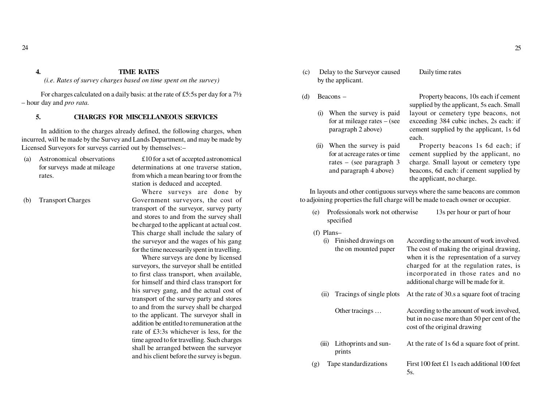# **4. TIME RATES**

*(i.e. Rates of survey charges based on time spent on the survey)*

For charges calculated on a daily basis: at the rate of £5:5s per day for a 7½– hour day and *pro rata.*

# **5. CHARGES FOR MISCELLANEOUS SERVICES**

In addition to the charges already defined, the following charges, when incurred, will be made by the Survey and Lands Department, and may be made byLicensed Surveyors for surveys carried out by themselves:–

(a) Astronomical observations for surveys made at mileagerates.

£10 for a set of accepted astronomical determinations at one traverse station,from which a mean bearing to or from thestation is deduced and accepted.

(b) Transport Charges

Where surveys are done by Government surveyors, the cost of transport of the surveyor, survey party and stores to and from the survey shallbe charged to the applicant at actual cost. This charge shall include the salary of the surveyor and the wages of his gangfor the time necessarily spent in travelling.

Where surveys are done by licensed surveyors, the surveyor shall be entitled to first class transport, when available,for himself and third class transport for his survey gang, and the actual cost of transport of the survey party and stores to and from the survey shall be charged to the applicant. The surveyor shall in addition be entitled to remuneration at the rate of £3:3s whichever is less, for the time agreed to for travelling. Such charges shall be arranged between the surveyorand his client before the survey is begun.

- (c) Delay to the Surveyor causedby the applicant.
- (d) Beacons –
	- (i) When the survey is paid for at mileage rates – (seeparagraph 2 above)
	- (ii) When the survey is paid for at acreage rates or time rates – (see paragraph 3and paragraph 4 above)

Property beacons, 10s each if cementsupplied by the applicant, 5s each. Small layout or cemetery type beacons, notexceeding 384 cubic inches, 2s each: if cement supplied by the applicant, 1s 6deach.

Daily time rates

Property beacons 1s 6d each; if cement supplied by the applicant, no charge. Small layout or cemetery type beacons, 6d each: if cement supplied bythe applicant, no charge.

In layouts and other contiguous surveys where the same beacons are commonto adjoining properties the full charge will be made to each owner or occupier.

- (e) Professionals work not otherwise 13s per hour or part of hourspecified
- (f) Plans–

| (i)   | Finished drawings on<br>the on mounted paper | According to the amount of work involved.<br>The cost of making the original drawing,<br>when it is the representation of a survey<br>charged for at the regulation rates, is<br>incorporated in those rates and no<br>additional charge will be made for it. |
|-------|----------------------------------------------|---------------------------------------------------------------------------------------------------------------------------------------------------------------------------------------------------------------------------------------------------------------|
| (11)  | Tracings of single plots                     | At the rate of 30.s a square foot of tracing                                                                                                                                                                                                                  |
|       | Other tracings                               | According to the amount of work involved,<br>but in no case more than 50 per cent of the<br>cost of the original drawing                                                                                                                                      |
| (iii) | Lithoprints and sun-<br>prints               | At the rate of 1s 6d a square foot of print.                                                                                                                                                                                                                  |
| (g)   | Tape standardizations                        | First 100 feet £1 1s each additional 100 feet<br>5s.                                                                                                                                                                                                          |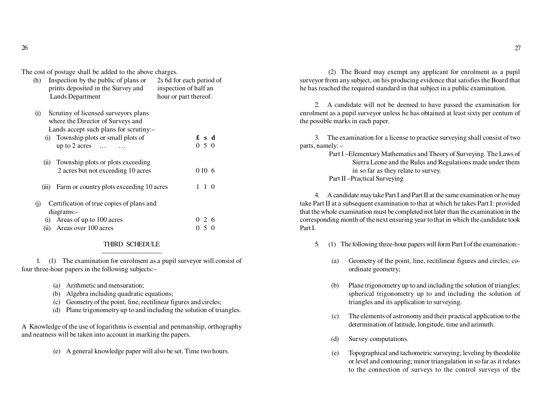The cost of postage shall be added to the above charges.

| Inspection by the public of plans or<br>(h)<br>prints deposited in the Survey and<br>Lands Department                                                              | 2s 6d for each period of<br>inspection of half an<br>hour or part thereof. |
|--------------------------------------------------------------------------------------------------------------------------------------------------------------------|----------------------------------------------------------------------------|
| Scrutiny of licensed surveyors plans<br>(i)<br>where the Director of Surveys and<br>Lands accept such plans for scrutiny:-<br>(i) Township plots or small plots of | £sd                                                                        |
| up to 2 acres $\dots$<br>Township plots or plots exceeding<br>(ii)                                                                                                 | 0, 5, 0                                                                    |
| 2 acres but not exceeding 10 acres<br>Farm or country plots exceeding 10 acres<br>(iii)                                                                            | 010 6<br>1 1 0                                                             |
| Certification of true copies of plans and<br>$\ddot{\theta}$<br>diagrams:-                                                                                         |                                                                            |
| (i) Areas of up to 100 acres<br>Areas over 100 acres<br>(ii)                                                                                                       | 0 2 6<br>050                                                               |

### THIRD SCHEDULE—————————

 1. (1) The examination for enrolment as a pupil surveyor will consist offour three-hour papers in the following subjects:–

- (a) Arithmetic and mensuration;
- (b) Algebra including quadratic equations;
- (c) Geometry of the point, line, rectilinear figures and circles;
- (d) Plane trigonometry up to and including the solution of triangles.

A Knowledge of the use of logarithms is essential and penmanship, orthographyand neatness will be taken into account in marking the papers.

(e) A general knowledge paper will also be set. Time two hours.

 (2) The Board may exempt any applicant for enrolment as a pupil surveyor from any subject, on his producing evidence that satisfies the Board thathe has reached the required standard in that subject in a public examination.

2. A candidate will not be deemed to have passed the examination for enrolment as a pupil surveyor unless he has obtained at least sixty per centum ofthe possible marks in each paper.

3. The examination for a license to practice surveying shall consist of twoparts, namely: –

 Part I –Elementary Mathematics and Theory of Surveying. The Laws of Sierra Leone and the Rules and Regulations made under themin so far as they relate to survey.Part II –Practical Surveying

4. A candidate may take Part I and Part II at the same examination or he may take Part II at a subsequent examination to that at which he takes Part I: provided that the whole examination must be completed not later than the examination in the corresponding month of the next ensuring year to that in which the candidate tookPart I.

- 5. (1) The following three-hour papers will form Part I of the examination:-
	- (a) Geometry of the point, line, rectilinear figures and circles; coordinate geometry;
	- (b) Plane trigonometry up to and including the solution of triangles; spherical trigonometry up to and including the solution oftriangles and its application to surveying.
	- (c) The elements of astronomy and their practical application to thedetermination of latitude, longitude, time and azimuth.
	- (d) Survey computations.
	- (e) Topographical and tachometric surveying; leveling by theodolite or level and contouring; minor triangulation in so far as it relatesto the connection of surveys to the control surveys of the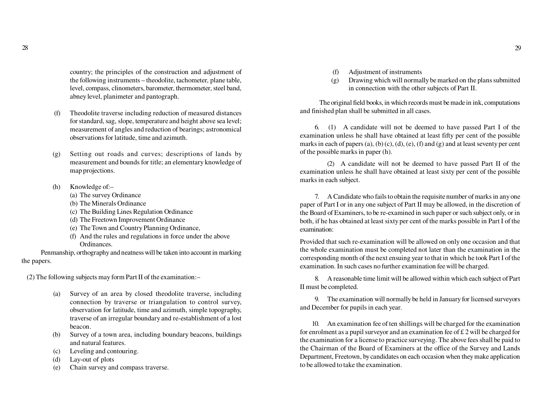country; the principles of the construction and adjustment of the following instruments – theodolite, tachometer, plane table, level, compass, clinometers, barometer, thermometer, steel band,abney level, planimeter and pantograph.

- (f) Theodolite traverse including reduction of measured distances for standard, sag, slope, temperature and height above sea level; measurement of angles and reduction of bearings; astronomicalobservations for latitude, time and azimuth.
- (g) Setting out roads and curves; descriptions of lands by measurement and bounds for title; an elementary knowledge ofmap projections.
- (h) Knowledge of:–
	- (a) The survey Ordinance
	- (b) The Minerals Ordinance
	- (c) The Building Lines Regulation Ordinance
	- (d) The Freetown Improvement Ordinance
	- (e) The Town and Country Planning Ordinance,
	- (f) And the rules and regulations in force under the aboveOrdinances.

 Penmanship, orthography and neatness will be taken into account in markingthe papers.

(2) The following subjects may form Part II of the examination:–

- (a) Survey of an area by closed theodolite traverse, including connection by traverse or triangulation to control survey,observation for latitude, time and azimuth, simple topography, traverse of an irregular boundary and re-establishment of a lostbeacon.
- (b) Survey of a town area, including boundary beacons, buildingsand natural features.
- (c) Leveling and contouring.
- (d) Lay-out of plots
- (e) Chain survey and compass traverse.
- (f) Adjustment of instruments
- (g) Drawing which will normally be marked on the plans submittedin connection with the other subjects of Part II.

The original field books, in which records must be made in ink, computationsand finished plan shall be submitted in all cases.

6. (1) A candidate will not be deemed to have passed Part I of the examination unless he shall have obtained at least fifty per cent of the possible marks in each of papers (a), (b) (c), (d), (e), (f) and (g) and at least seventy per centof the possible marks in paper (h).

(2) A candidate will not be deemed to have passed Part II of the examination unless he shall have obtained at least sixty per cent of the possiblemarks in each subject.

7. A Candidate who fails to obtain the requisite number of marks in any one paper of Part I or in any one subject of Part II may be allowed, in the discretion of the Board of Examiners, to be re-examined in such paper or such subject only, or in both, if he has obtained at least sixty per cent of the marks possible in Part I of theexamination:

Provided that such re-examination will be allowed on only one occasion and that the whole examination must be completed not later than the examination in the corresponding month of the next ensuing year to that in which he took Part I of theexamination. In such cases no further examination fee will be charged.

8. A reasonable time limit will be allowed within which each subject of PartII must be completed.

9. The examination will normally be held in January for licensed surveyorsand December for pupils in each year.

10. An examination fee of ten shillings will be charged for the examination for enrolment as a pupil surveyor and an examination fee of £ 2 will be charged for the examination for a license to practice surveying. The above fees shall be paid to the Chairman of the Board of Examiners at the office of the Survey and Lands Department, Freetown, by candidates on each occasion when they make applicationto be allowed to take the examination.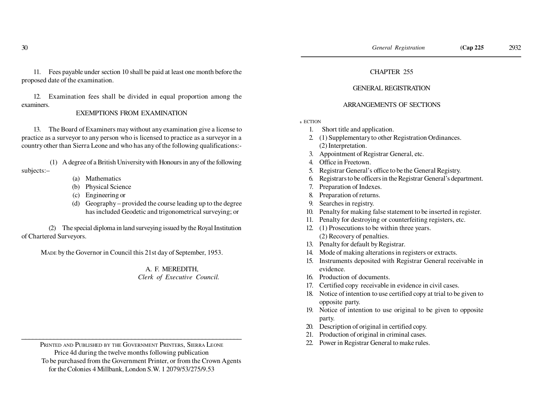11. Fees payable under section 10 shall be paid at least one month before theproposed date of the examination.

12. Examination fees shall be divided in equal proportion among theexaminers.

# EXEMPTIONS FROM EXAMINATION

13. The Board of Examiners may without any examination give a license to practice as a surveyor to any person who is licensed to practice as a surveyor in acountry other than Sierra Leone and who has any of the following qualifications:-

 (1) A degree of a British University with Honours in any of the followingsubjects:–

- (a) Mathematics
- (b) Physical Science
- (c) Engineering or
- (d) Geography provided the course leading up to the degreehas included Geodetic and trigonometrical surveying; or

(2) The special diploma in land surveying issued by the Royal Institutionof Chartered Surveyors.

MADE by the Governor in Council this 21st day of September, 1953.

 A. F. MEREDITH,*Clerk of Executive Council.*

 PRINTED AND PUBLISHED BY THE GOVERNMENT PRINTERS, SIERRA LEONE Price 4d during the twelve months following publication To be purchased from the Government Printer, or from the Crown Agentsfor the Colonies 4 Millbank, London S.W. 1 2079/53/275/9.53

\_\_\_\_\_\_\_\_\_\_\_\_\_\_\_\_\_\_\_\_\_\_\_\_\_\_\_\_\_\_\_\_\_\_\_\_\_\_\_\_\_\_\_\_\_\_\_\_\_\_\_\_\_\_\_\_\_\_\_\_\_\_

# CHAPTER 255

# GENERAL REGISTRATION

# ARRANGEMENTS OF SECTIONS

**S** ECTION

- 1. Short title and application.
- 2. (1) Supplementary to other Registration Ordinances. (2) Interpretation.
- 3. Appointment of Registrar General, etc.
- 4. Office in Freetown.
- 5. Registrar General's office to be the General Registry.
- 6. Registrars to be officers in the Registrar General's department.
- 7. Preparation of Indexes.
- 8. Preparation of returns.
- 9. Searches in registry.
- 10. Penalty for making false statement to be inserted in register.
- 11. Penalty for destroying or counterfeiting registers, etc.
- 12. (1) Prosecutions to be within three years. (2) Recovery of penalties.
- 13. Penalty for default by Registrar.
- 14. Mode of making alterations in registers or extracts.
- 15. Instruments deposited with Registrar General receivable inevidence.
- 16. Production of documents.
- 17. Certified copy receivable in evidence in civil cases.
- 18. Notice of intention to use certified copy at trial to be given toopposite party.
- 19. Notice of intention to use original to be given to oppositeparty.
- 20. Description of original in certified copy.
- 21. Production of original in criminal cases.
- 22. Power in Registrar General to make rules.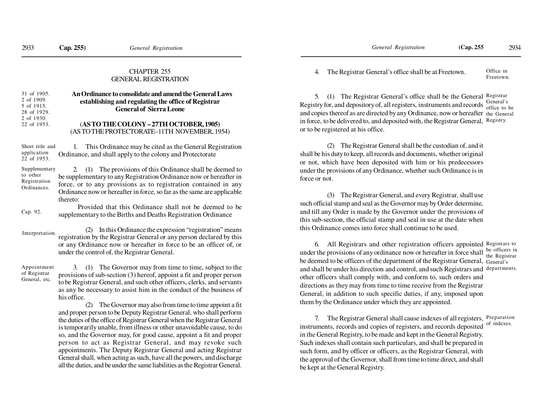# CHAPTER 255GENERAL REGISTRATION

| 31 of 1905. | An Ordinance to consolidate and amend the General Laws |
|-------------|--------------------------------------------------------|
| 2 of 1909.  | establishing and regulating the office of Registrar    |
| 5 of 1915.  |                                                        |
| 28 of 1929. | <b>General of Sierra Leone</b>                         |
| 2 of 1930.  |                                                        |
| 22 of 1953. | (AS TO THE COLONY - 27TH OCTOBER, 1905)                |
|             | (AS TO THE PROTECTORATE-11TH NOVEMBER, 1954)           |
|             |                                                        |
|             |                                                        |

1. This Ordinance may be cited as the General RegistrationOrdinance, and shall apply to the colony and ProtectorateShort title andapplication22 of 1953.

2. (1) The provisions of this Ordinance shall be deemed to be supplementary to any Registration Ordinance now or hereafter in force, or to any provisions as to registration contained in any Ordinance now or hereafter in force, so far as the same are applicablethereto:Supplementaryto other RegistrationOrdinances.

 Provided that this Ordinance shall not be deemed to besupplementary to the Births and Deaths Registration OrdinanceCap. 92.

(2) In this Ordinance the expression "registration" means registration by the Registrar General or any person declared by this or any Ordinance now or hereafter in force to be an officer of, orunder the control of, the Registrar General.Interpretation.

Appointmentof RegistrarGeneral, etc.

3. (1) The Governor may from time to time, subject to the provisions of sub-section (3) hereof, appoint a fit and proper person to be Registrar General, and such other officers, clerks, and servants as any be necessary to assist him in the conduct of the business ofhis office.

(2) The Governor may also from time to time appoint a fit and proper person to be Deputy Registrar General, who shall perform the duties of the office of Registrar General when the Registrar General is temporarily unable, from illness or other unavoidable cause, to do so, and the Governor may, for good cause, appoint a fit and proper person to act as Registrar General, and may revoke such appointments. The Deputy Registrar General and acting Registrar General shall, when acting as such, have all the powers, and dischargeall the duties, and be under the same liabilities as the Registrar General.

4. The Registrar General's office shall be at Freetown. Office inFreetown.

5. (1) The Registrar General's office shall be the General Registrar Registry for, and depository of, all registers, instruments and records  $\frac{General's}{office to be}$ and copies thereof as are directed by any Ordinance, now or hereafter the General in force, to be delivered to, and deposited with, the Registrar General, Registry. or to be registered at his office.

(2) The Registrar General shall be the custodian of, and itshall be his duty to keep, all records and documents, whether originalor not, which have been deposited with him or his predecessors under the provisions of any Ordinance, whether such Ordinance is inforce or not.

(3) The Registrar General, and every Registrar, shall use such official stamp and seal as the Governor may by Order determine,and till any Order is made by the Governor under the provisions of this sub-section, the official stamp and seal in use at the date whenthis Ordinance comes into force shall continue to be used.

6. All Registrars and other registration officers appointed Registrars to under the provisions of any ordinance now or hereafter in force shall be deemed to be officers of the department of the Registrar General, General's and shall be under his direction and control, and such Registrars and departments. other officers shall comply with, and conform to, such orders and directions as they may from time to time receive from the Registrar General, in addition to such specific duties, if any, imposed uponthem by the Ordinance under which they are appointed.be officers in the Registrar

7. The Registrar General shall cause indexes of all registers, Preparationinstruments, records and copies of registers, and records deposited in the General Registry, to be made and kept in the General Registry.Such indexes shall contain such particulars, and shall be prepared in such form, and by officer or officers, as the Registrar General, with the approval of the Governor, shall from time to time direct, and shallbe kept at the General Registry.of indexes.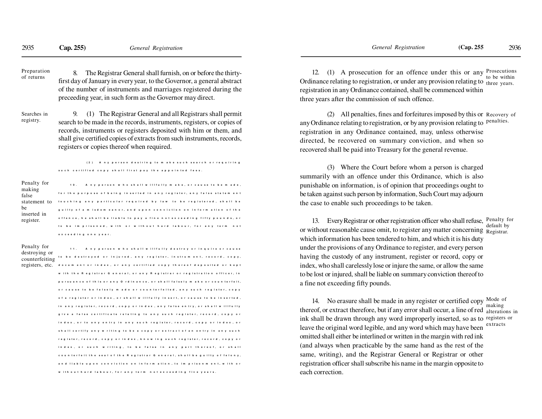8. The Registrar General shall furnish, on or before the thirtyfirst day of January in every year, to the Governor, a general abstractof the number of instruments and marriages registered during thepreceeding year, in such form as the Governor may direct.Preparationof returns

Searches inregistry.

9. (1) The Registrar General and all Registrars shall permitsearch to be made in the records, instruments, registers, or copies of records, instruments or registers deposited with him or them, and shall give certified copies of extracts from such instruments, records,registers or copies thereof when required.

(2) Any person desiring to make such search or requiring such certified copy shall first pay the appointed fees.

| Penalty for<br>making<br>false | 10. Any person who shall willfully make, or cause to be made,<br>for the purpose of being inserted in any register, any false statement |
|--------------------------------|-----------------------------------------------------------------------------------------------------------------------------------------|
| statement to                   | touching any particular required by law to be registered, shall be                                                                      |
| be<br>inserted in              | guilty of a misdemeanor, and upon conviction on information of the                                                                      |
| register.                      | offence, he shall be liable to pay a fine notex ceeding fifty pounds, or                                                                |
|                                | to be imprisoned, with or without hard labour, for any term not                                                                         |
|                                | exceeding one vear.                                                                                                                     |

11. Any person who shall will fully destroy or inquire or cause destroying or<br>counterfeiting <sup>to be</sup> destroyed or injured, any register, instrument, record, copy, TCO SECTS, CLC. document or index, or any certified copy thereof deposited or kept with the Registrar General, or any Registrar or registration officer, in pursuance of this or any Ordinance, or shall falsely make or counterfeit. or cause to be falsely made or counterfeited, any such register, copy of a register or index, or shall willfully insert, or cause to be inserted, in any register, record, copy or index, any false entry, or shall willfully give a false certificate relating to any such register, record, copy or index, or to any entry in any such register, record, copy or index, or shall certify any writing to be a copy or extract of an entry in any such register, record, copy or index, know ing such register, record, copy or index, or such writing, to be false in any part thereof, or shall counterfeit the seal of the Registrar General, shall be guilty of felony, and liable upon conviction on information, to imprisonment, with or with out hard labour, for any term not exceeding five years. Penalty fordestroying or

12. (1) A prosecution for an offence under this or any Ordinance relating to registration, or under any provision relating to three years. registration in any Ordinance contained, shall be commenced withinthree years after the commission of such offence.Prosecutions to be within

(2) All penalties, fines and forfeitures imposed by this or Recovery of any Ordinance relating to registration, or by any provision relating to <sup>penalties.</sup> registration in any Ordinance contained, may, unless otherwise directed, be recovered on summary conviction, and when sorecovered shall be paid into Treasury for the general revenue.

(3) Where the Court before whom a person is charged summarily with an offence under this Ordinance, which is also punishable on information, is of opinion that proceedings ought to be taken against such person by information, Such Court may adjournthe case to enable such proceedings to be taken.

13. Every Registrar or other registration officer who shall refuse, Penalty for or without reasonable cause omit, to register any matter concerning Registrar. which information has been tendered to him, and which it is his duty under the provisions of any Ordinance to register, and every person having the custody of any instrument, register or record, copy orindex, who shall carelessly lose or injure the same, or allow the same to be lost or injured, shall be liable on summary conviction thereof toa fine not exceeding fifty pounds.default by

14. No erasure shall be made in any register or certified copy  $\frac{\text{Mode of}}{\text{Total}}$ thereof, or extract therefore, but if any error shall occur, a line of red alterations in ink shall be drawn through any word improperly inserted, so as to registers or leave the original word legible, and any word which may have been omitted shall either be interlined or written in the margin with red ink (and always when practicable by the same hand as the rest of the same, writing), and the Registrar General or Registrar or otherregistration officer shall subscribe his name in the margin opposite toeach correction.extracts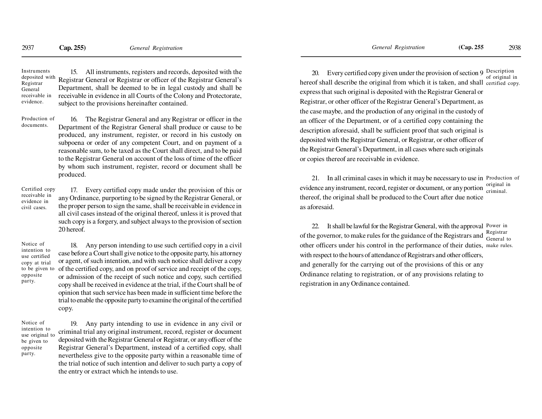15. All instruments, registers and records, deposited with the Registrar General or Registrar or officer of the Registrar General's Department, shall be deemed to be in legal custody and shall be receivable in evidence in all Courts of the Colony and Protectorate,subject to the provisions hereinafter contained.Instruments deposited withRegistrarGeneral receivable inevidence.

16. The Registrar General and any Registrar or officer in the Department of the Registrar General shall produce or cause to be produced, any instrument, register, or record in his custody on subpoena or order of any competent Court, and on payment of a reasonable sum, to be taxed as the Court shall direct, and to be paid to the Registrar General on account of the loss of time of the officer by whom such instrument, register, record or document shall beproduced.Production ofdocuments.

17. Every certified copy made under the provision of this or any Ordinance, purporting to be signed by the Registrar General, or the proper person to sign the same, shall be receivable in evidence in all civil cases instead of the original thereof, unless it is proved that such copy is a forgery, and subject always to the provision of section20 hereof.Certified copyreceivable in evidence incivil cases.

Notice of intention to use certified copy at trial to be given tooppositeparty.

18. Any person intending to use such certified copy in a civil case before a Court shall give notice to the opposite party, his attorney or agent, of such intention, and with such notice shall deliver a copy of the certified copy, and on proof of service and receipt of the copy, or admission of the receipt of such notice and copy, such certified copy shall be received in evidence at the trial, if the Court shall be of opinion that such service has been made in sufficient time before the trial to enable the opposite party to examine the original of the certifiedcopy.

Notice of intention to use original tobe given tooppositeparty.

19. Any party intending to use in evidence in any civil or criminal trial any original instrument, record, register or document deposited with the Registrar General or Registrar, or any officer of the Registrar General's Department, instead of a certified copy, shall nevertheless give to the opposite party within a reasonable time of the trial notice of such intention and deliver to such party a copy ofthe entry or extract which he intends to use.

20. Every certified copy given under the provision of section 9  $\frac{\text{Description}}{\text{S}}$ hereof shall describe the original from which it is taken, and shall certified copy. express that such original is deposited with the Registrar General orRegistrar, or other officer of the Registrar General's Department, asthe case maybe, and the production of any original in the custody ofan officer of the Department, or of a certified copy containing thedescription aforesaid, shall be sufficient proof that such original isdeposited with the Registrar General, or Registrar, or other officer ofthe Registrar General's Department, in all cases where such originalsor copies thereof are receivable in evidence.of original in

21. In all criminal cases in which it may be necessary to use in Production of evidence any instrument, record, register or document, or any portion  $\frac{\text{original}}{\text{ criminal}}$  thereof, the original shall be produced to the Court after due noticeas aforesaid.original in

22. It shall be lawful for the Registrar General, with the approval Power in of the governor, to make rules for the guidance of the Registrars and  $\frac{\text{Registrar}}{\text{General to}}$  other officers under his control in the performance of their duties, make rules.with respect to the hours of attendance of Registrars and other officers,and generally for the carrying out of the provisions of this or any Ordinance relating to registration, or of any provisions relating toregistration in any Ordinance contained.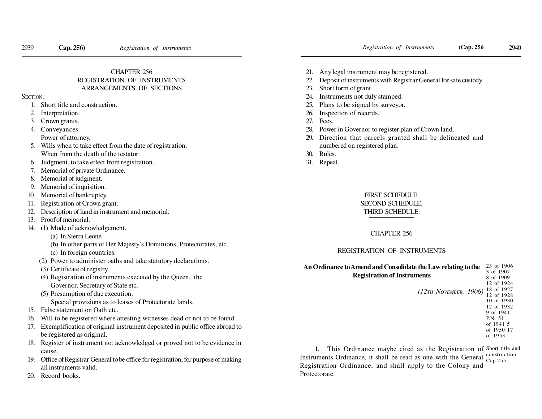# CHAPTER 256

# REGISTRATION OF INSTRUMENTSARRANGEMENTS OF SECTIONS

SECTION.

- 1. Short title and construction.
- 2. Interpretation.
- 3. Crown grants.
- 4. Conveyances.
- Power of attorney.
- 5. Wills when to take effect from the date of registration. When from the death of the testator.
- 6. Judgment, to take effect from registration.
- 7. Memorial of private Ordinance.
- 8. Memorial of judgment.
- 9. Memorial of inquisition.
- 10. Memorial of bankruptcy.
- 11. Registration of Crown grant.
- 12. Description of land in instrument and memorial.
- 13. Proof of memorial.
- 14. (1) Mode of acknowledgement.
	- (a) In Sierra Leone
	- (b) In other parts of Her Majesty's Dominions, Protectorates, etc. (c) In foreign countries.
	- (2) Power to administer oaths and take statutory declarations.
	- (3) Certificate of registry.
	- (4) Registration of instruments executed by the Queen, theGovernor, Secretary of State etc.
	- (5) Presumption of due execution.
		- Special provisions as to leases of Protectorate lands.
- 15. False statement on Oath etc.
- 16. Will to be registered where attesting witnesses dead or not to be found.
- 17. Exemplification of original instrument deposited in public office abroad tobe registered as original.
- 18. Register of instrument not acknowledged or proved not to be evidence incause.
- 19. Office of Registrar General to be office for registration, for purpose of makingall instruments valid.
- 20. Record books.
- 21. Any legal instrument may be registered.
- 22. Deposit of instruments with Registrar General for safe custody.
- 23. Short form of grant.
- 24. Instruments not duly stamped.
- 25. Plans to be signed by surveyor.
- 26. Inspection of records.
- 27. Fees.
- 28. Power in Governor to register plan of Crown land.
- 29. Direction that parcels granted shall be delineated andnumbered on registered plan.
- 30. Rules.
- 31. Repeal.

# FIRST SCHEDULE.SECOND SCHEDULE.THIRD SCHEDULE.

# CHAPTER 256

# REGISTRATION OF INSTRUMENTS

| An Ordinance to Amend and Consolidate the Law relating to the | 23 of 1906 |
|---------------------------------------------------------------|------------|
|                                                               | 3 of 1907  |
| <b>Registration of Instruments</b>                            | 8 of 1909  |
|                                                               | 12 of 1924 |
| $(12\pi H$ NOVEMBER, 1906)                                    | 18 of 1927 |
|                                                               | 12 of 1928 |
|                                                               | 10 of 1930 |
|                                                               | 12 of 1932 |
|                                                               | 9 of 1941  |
|                                                               | P.N. 51    |
|                                                               | of 1941 5  |
|                                                               | of 1950 17 |
|                                                               | of 1953.   |
|                                                               |            |

1. This Ordinance maybe cited as the Registration of Short title and Instruments Ordinance, it shall be read as one with the General Registration Ordinance, and shall apply to the Colony andProtectorate.construction Cap.255.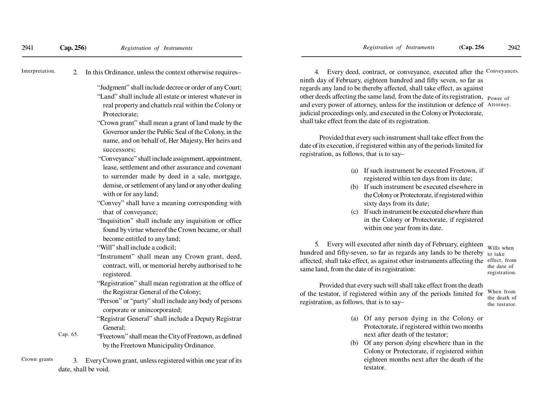2. In this Ordinance, unless the context otherwise requires–Interpretation.

- "Judgment" shall include decree or order of any Court;"Land" shall include all estate or interest whatever in real property and chattels real within the Colony orProtectorate;
- "Crown grant" shall mean a grant of land made by the Governor under the Public Seal of the Colony, in the name, and on behalf of, Her Majesty, Her heirs andsuccessors;
- "Conveyance" shall include assignment, appointment,lease, settlement and other assurance and covenantto surrender made by deed in a sale, mortgage,demise, or settlement of any land or any other dealingwith or for any land;
- "Convey" shall have a meaning corresponding withthat of conveyance;
- "Inquisition" shall include any inquisition or office found by virtue whereof the Crown became, or shallbecome entitled to any land;
- "Will" shall include a codicil;
- "Instrument" shall mean any Crown grant, deed,contract, will, or memorial hereby authorised to beregistered.
- "Registration" shall mean registration at the office ofthe Registrar General of the Colony;
- "Person" or "party" shall include any body of personscorporate or unincorporated;
- "Registrar General" shall include a Deputy RegistrarGeneral;
- "Freetown" shall mean the City of Freetown, as definedby the Freetown Municipality Ordinance.Cap. 65.

3. Every Crown grant, unless registered within one year of itsdate, shall be void.Crown grants

4. Every deed, contract, or conveyance, executed after the Conveyances. ninth day of February, eighteen hundred and fifty seven, so far as regards any land to be thereby affected, shall take effect, as againstother deeds affecting the same land, from the date of its registration, Power of and every power of attorney, unless for the institution or defence of Attorney.judicial proceedings only, and executed in the Colony or Protectorate,shall take effect from the date of its registration.

Provided that every such instrument shall take effect from the date of its execution, if registered within any of the periods limited forregistration, as follows, that is to say–

- (a) If such instrument be executed Freetown, ifregistered within ten days from its date;
- (b) If such instrument be executed elsewhere in the Colony or Protectorate, if registered withinsixty days from its date;
- (c) If such instrument be executed elsewhere than in the Colony or Protectorate, if registeredwithin one year from its date.

5. Every will executed after ninth day of February, eighteen wills when hundred and fifty-seven, so far as regards any lands to be thereby to take affected, shall take effect, as against other instruments affecting the effect, fromsame land, from the date of its registration:

 the date ofregistration.

Provided that every such will shall take effect from the death of the testator, if registered within any of the periods limited forregistration, as follows, that is to say–

When from the death ofthe testator.

- (a) Of any person dying in the Colony or Protectorate, if registered within two monthsnext after death of the testator;
- (b) Of any person dying elsewhere than in the Colony or Protectorate, if registered within eighteen months next after the death of thetestator.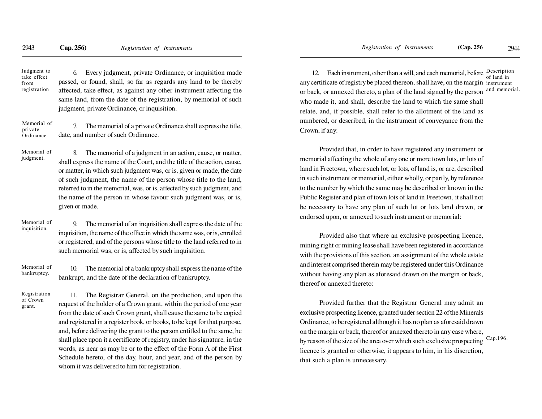Judgment to take effectfromregistration

6. Every judgment, private Ordinance, or inquisition made passed, or found, shall, so far as regards any land to be thereby affected, take effect, as against any other instrument affecting the same land, from the date of the registration, by memorial of suchjudgment, private Ordinance, or inquisition.

7. The memorial of a private Ordinance shall express the title, date, and number of such Ordinance.Memorial ofprivateOrdinance.

Memorial ofjudgment.

8. The memorial of a judgment in an action, cause, or matter, shall express the name of the Court, and the title of the action, cause,or matter, in which such judgment was, or is, given or made, the date of such judgment, the name of the person whose title to the land,referred to in the memorial, was, or is, affected by such judgment, and the name of the person in whose favour such judgment was, or is,given or made.

### Memorial ofinquisition.

9. The memorial of an inquisition shall express the date of the inquisition, the name of the office in which the same was, or is, enrolled or registered, and of the persons whose title to the land referred to insuch memorial was, or is, affected by such inquisition.

10. The memorial of a bankruptcy shall express the name of thebankrupt, and the date of the declaration of bankruptcy.Memorial ofbankruptcy.

Registrationof Crowngrant.

11. The Registrar General, on the production, and upon the request of the holder of a Crown grant, within the period of one yearfrom the date of such Crown grant, shall cause the same to be copied and registered in a register book, or books, to be kept for that purpose,and, before delivering the grant to the person entitled to the same, he shall place upon it a certificate of registry, under his signature, in the words, as near as may be or to the effect of the Form A of the FirstSchedule hereto, of the day, hour, and year, and of the person bywhom it was delivered to him for registration.

12. Each instrument, other than a will, and each memorial, before  $\frac{Description}{if$ any certificate of registry be placed thereon, shall have, on the margin instrument or back, or annexed thereto, a plan of the land signed by the person who made it, and shall, describe the land to which the same shallrelate, and, if possible, shall refer to the allotment of the land asnumbered, or described, in the instrument of conveyance from theCrown, if any:of land inand memorial.

Provided that, in order to have registered any instrument ormemorial affecting the whole of any one or more town lots, or lots ofland in Freetown, where such lot, or lots, of land is, or are, described in such instrument or memorial, either wholly, or partly, by referenceto the number by which the same may be described or known in thePublic Register and plan of town lots of land in Freetown, it shall notbe necessary to have any plan of such lot or lots land drawn, orendorsed upon, or annexed to such instrument or memorial:

Provided also that where an exclusive prospecting licence,mining right or mining lease shall have been registered in accordancewith the provisions of this section, an assignment of the whole estateand interest comprised therein may be registered under this Ordinancewithout having any plan as aforesaid drawn on the margin or back,thereof or annexed thereto:

Provided further that the Registrar General may admit an exclusive prospecting licence, granted under section 22 of the MineralsOrdinance, to be registered although it has no plan as aforesaid drawnon the margin or back, thereof or annexed thereto in any case where,by reason of the size of the area over which such exclusive prospecting licence is granted or otherwise, it appears to him, in his discretion,that such a plan is unnecessary.Cap.196.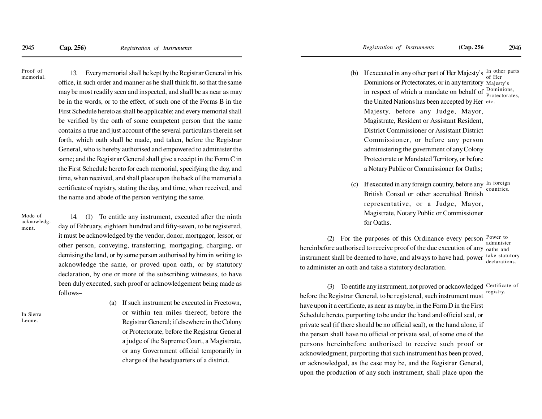Proof ofmemorial.

13. Every memorial shall be kept by the Registrar General in hisoffice, in such order and manner as he shall think fit, so that the samemay be most readily seen and inspected, and shall be as near as maybe in the words, or to the effect, of such one of the Forms B in the First Schedule hereto as shall be applicable; and every memorial shallbe verified by the oath of some competent person that the samecontains a true and just account of the several particulars therein setforth, which oath shall be made, and taken, before the RegistrarGeneral, who is hereby authorised and empowered to administer thesame; and the Registrar General shall give a receipt in the Form C in the First Schedule hereto for each memorial, specifying the day, and time, when received, and shall place upon the back of the memorial acertificate of registry, stating the day, and time, when received, andthe name and abode of the person verifying the same.

Mode of acknowledgment.

14. (1) To entitle any instrument, executed after the ninth day of February, eighteen hundred and fifty-seven, to be registered,it must be acknowledged by the vendor, donor, mortgagor, lessor, orother person, conveying, transferring, mortgaging, charging, ordemising the land, or by some person authorised by him in writing to acknowledge the same, or proved upon oath, or by statutorydeclaration, by one or more of the subscribing witnesses, to havebeen duly executed, such proof or acknowledgement being made asfollows–

In SierraLeone.

(a) If such instrument be executed in Freetown, or within ten miles thereof, before theRegistrar General; if elsewhere in the Colony or Protectorate, before the Registrar Generala judge of the Supreme Court, a Magistrate,or any Government official temporarily incharge of the headquarters of a district.

- (b) If executed in any other part of Her Majesty's  $\frac{In \ other}{In \$ Dominions or Protectorates, or in any territory Majesty's in respect of which a mandate on behalf of the United Nations has been accepted by Heretc. Majesty, before any Judge, Mayor,Magistrate, Resident or Assistant Resident,District Commissioner or Assistant DistrictCommissioner, or before any person administering the government of any ColonyProtectorate or Mandated Territory, or beforea Notary Public or Commissioner for Oaths;of Her Dominions, Protectorates,
- (c) If executed in any foreign country, before any  $\text{In }$  foreign British Consul or other accredited British representative, or a Judge, Mayor,Magistrate, Notary Public or Commissionerfor Oaths.countries.

(2) For the purposes of this Ordinance every person  $P_{\text{over to}}$ hereinbefore authorised to receive proof of the due execution of any <sub>oaths</sub> and instrument shall be deemed to have, and always to have had, powerto administer an oath and take a statutory declaration. administer take statutorydeclarations.

(3) To entitle any instrument, not proved or acknowledged Certificate of before the Registrar General, to be registered, such instrument musthave upon it a certificate, as near as may be, in the Form D in the FirstSchedule hereto, purporting to be under the hand and official seal, orprivate seal (if there should be no official seal), or the hand alone, ifthe person shall have no official or private seal, of some one of thepersons hereinbefore authorised to receive such proof oracknowledgment, purporting that such instrument has been proved,or acknowledged, as the case may be, and the Registrar General,upon the production of any such instrument, shall place upon theregistry.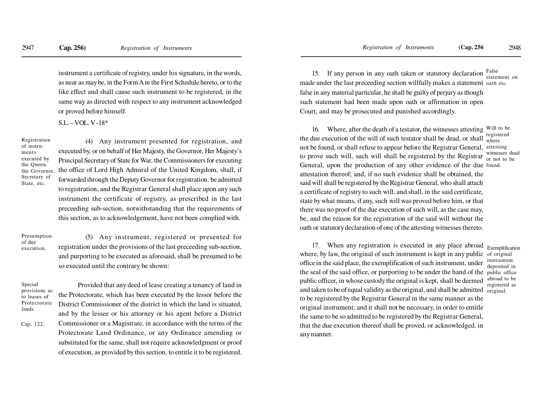instrument a certificate of registry, under his signature, in the words,as near as may be, in the Form A in the First Schedule hereto, or to thelike effect and shall cause such instrument to be registered, in thesame way as directed with respect to any instrument acknowledgedor proved before himself.

S.L. – VOL. V -18\*

Registrationof instruments executed by the Queen, the Governor,Secretary ofState, etc.

(4) Any instrument presented for registration, andexecuted by, or on behalf of Her Majesty, the Governor, Her Majesty'sPrincipal Secretary of State for War, the Commissioners for executing the office of Lord High Admiral of the United Kingdom, shall, ifforwarded through the Deputy Governor for registration, be admitted to registration, and the Registrar General shall place upon any such instrument the certificate of registry, as prescribed in the lastpreceeding sub-section, notwithstanding that the requirements ofthis section, as to acknowledgement, have not been complied with.

Presumptionof dueexecution.

(5) Any instrument, registered or presented forregistration under the provisions of the last preceeding sub-section,and purporting to be executed as aforesaid, shall be presumed to beso executed until the contrary be shown:

Provided that any deed of lease creating a tenancy of land in

Special provisions asto leases of Protectoratelands.

Cap. 122.

the Protectorate, which has been executed by the lessor before theDistrict Commissioner of the district in which the land is situated,and by the lessee or his attorney or his agent before a DistrictCommissioner or a Magistrate, in accordance with the terms of theProtectorate Land Ordinance, or any Ordinance amending orsubstituted for the same, shall not require acknowledgment or proofof execution, as provided by this section, to entitle it to be registered.

15. If any person in any oath taken or statutory declaration  $F_{\text{at}}$ made under the last preceeding section willfully makes a statement oath etc. false in any material particular, he shall be guilty of perjury as though such statement had been made upon oath or affirmation in openCourt, and may be prosecuted and punished accordingly.statement on

16. Where, after the death of a testator, the witnesses attesting Will to be the due execution of the will of such testator shall be dead, or shall  $\frac{1}{\text{where}}$ not be found, or shall refuse to appear before the Registrar General, attesting to prove such will, such will shall be registered by the Registrar General, upon the production of any other evidence of the due found. attestation thereof; and, if no such evidence shall be obtained, the said will shall be registered by the Registrar General, who shall attach a certificate of registry to such will, and shall, in the said certificate,state by what means, if any, such will was proved before him, or thatthere was no proof of the due execution of such will, as the case may,be, and the reason for the registration of the said will without the oath or statutory declaration of one of the attesting witnesses thereto.registeredwitnesses dead or not to be

17. When any registration is executed in any place abroadwhere, by law, the original of such instrument is kept in any public of original office in the said place, the exemplification of such instrument, underthe seal of the said office, or purporting to be under the hand of the public office public officer, in whose custody the original is kept, shall be deemed and taken to be of equal validity as the original, and shall be admitted to be registered by the Registrar General in the same manner as the original instrument; and it shall not be necessary, in order to entitle the same to be so admitted to be registered by the Registrar General,that the due execution thereof shall be proved, or acknowledged, inany manner.original.

Exemplification instrument deposited in abroad to beregistered as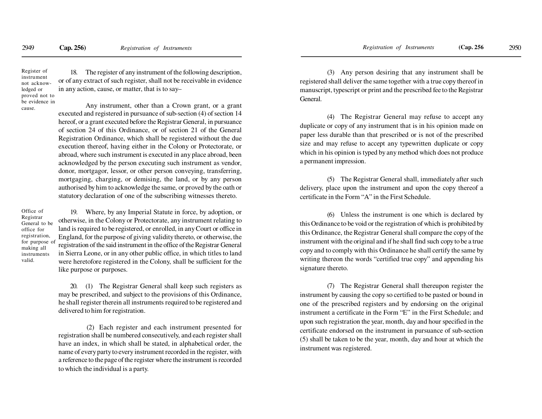18. The register of any instrument of the following description, or of any extract of such register, shall not be receivable in evidencein any action, cause, or matter, that is to say–Register of instrument not acknowledged orproved not to

be evidence in

cause.

Any instrument, other than a Crown grant, or a grantexecuted and registered in pursuance of sub-section (4) of section 14 hereof, or a grant executed before the Registrar General, in pursuance of section 24 of this Ordinance, or of section 21 of the GeneralRegistration Ordinance, which shall be registered without the due execution thereof, having either in the Colony or Protectorate, or abroad, where such instrument is executed in any place abroad, been acknowledged by the person executing such instrument as vendor,donor, mortgagor, lessor, or other person conveying, transferring,mortgaging, charging, or demising, the land, or by any person authorised by him to acknowledge the same, or proved by the oath orstatutory declaration of one of the subscribing witnesses thereto.

Office of Registrar General to beoffice for registration, for purpose ofmaking all instrumentsvalid.

19. Where, by any Imperial Statute in force, by adoption, or otherwise, in the Colony or Protectorate, any instrument relating to land is required to be registered, or enrolled, in any Court or office in England, for the purpose of giving validity thereto, or otherwise, the registration of the said instrument in the office of the Registrar General in Sierra Leone, or in any other public office, in which titles to land were heretofore registered in the Colony, shall be sufficient for thelike purpose or purposes.

20. (1) The Registrar General shall keep such registers as may be prescribed, and subject to the provisions of this Ordinance,he shall register therein all instruments required to be registered anddelivered to him for registration.

 (2) Each register and each instrument presented for registration shall be numbered consecutively, and each register shall have an index, in which shall be stated, in alphabetical order, the name of every party to every instrument recorded in the register, with a reference to the page of the register where the instrument is recordedto which the individual is a party.

(3) Any person desiring that any instrument shall be registered shall deliver the same together with a true copy thereof in manuscript, typescript or print and the prescribed fee to the RegistrarGeneral.

(4) The Registrar General may refuse to accept any duplicate or copy of any instrument that is in his opinion made on paper less durable than that prescribed or is not of the prescribed size and may refuse to accept any typewritten duplicate or copy which in his opinion is typed by any method which does not producea permanent impression.

(5) The Registrar General shall, immediately after such delivery, place upon the instrument and upon the copy thereof acertificate in the Form "A" in the First Schedule.

(6) Unless the instrument is one which is declared by this Ordinance to be void or the registration of which is prohibited by this Ordinance, the Registrar General shall compare the copy of the instrument with the original and if he shall find such copy to be a true copy and to comply with this Ordinance he shall certify the same by writing thereon the words "certified true copy" and appending hissignature thereto.

(7) The Registrar General shall thereupon register the instrument by causing the copy so certified to be pasted or bound in one of the prescribed registers and by endorsing on the originalinstrument a certificate in the Form "E" in the First Schedule; and upon such registration the year, month, day and hour specified in the certificate endorsed on the instrument in pursuance of sub-section (5) shall be taken to be the year, month, day and hour at which theinstrument was registered.